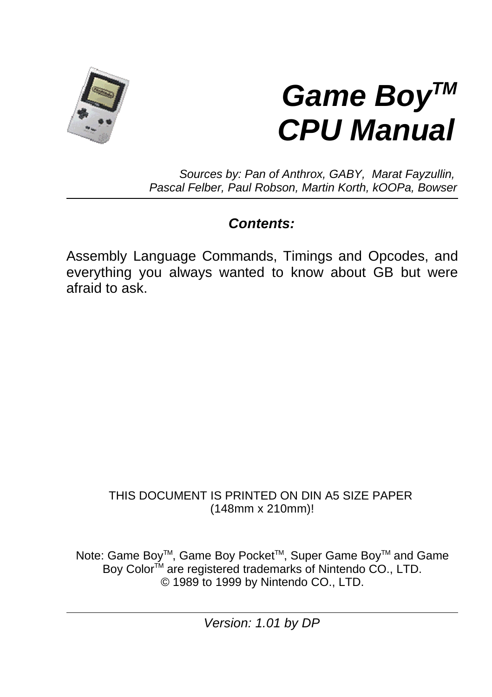

# *Game BoyTM CPU Manual*

*Sources by: Pan of Anthrox, GABY, Marat Fayzullin, Pascal Felber, Paul Robson, Martin Korth, kOOPa, Bowser*

### *Contents:*

Assembly Language Commands, Timings and Opcodes, and everything you always wanted to know about GB but were afraid to ask.

#### THIS DOCUMENT IS PRINTED ON DIN A5 SIZE PAPER (148mm x 210mm)!

Note: Game Boy™, Game Boy Pocket™, Super Game Boy™ and Game Boy Color<sup>™</sup> are registered trademarks of Nintendo CO., LTD. © 1989 to 1999 by Nintendo CO., LTD.

*Version: 1.01 by DP*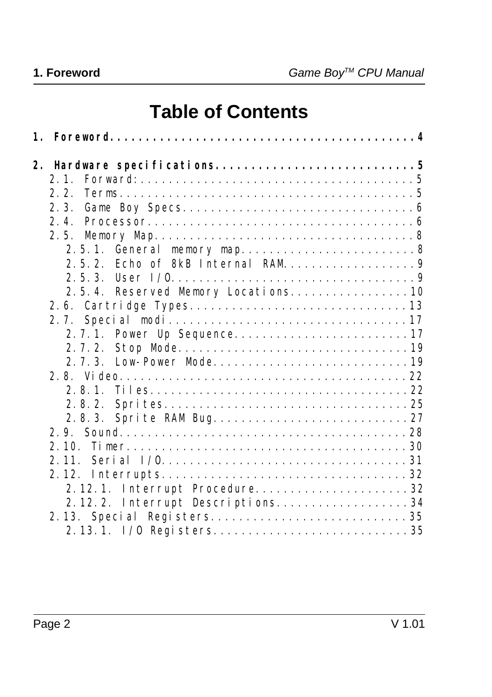# **Table of Contents**

| 2.2.                             |  |
|----------------------------------|--|
|                                  |  |
| 2.4.                             |  |
| 2.5.                             |  |
| 2.5.1.                           |  |
| 2, 5, 2,                         |  |
|                                  |  |
|                                  |  |
|                                  |  |
|                                  |  |
|                                  |  |
| 2, 7, 2,                         |  |
|                                  |  |
|                                  |  |
| $2, 8, 1$ .                      |  |
| 2.8.2.                           |  |
|                                  |  |
|                                  |  |
|                                  |  |
|                                  |  |
|                                  |  |
| 2.12.1. Interrupt Procedure32    |  |
| 2.12.2. Interrupt Descriptions34 |  |
|                                  |  |
|                                  |  |
|                                  |  |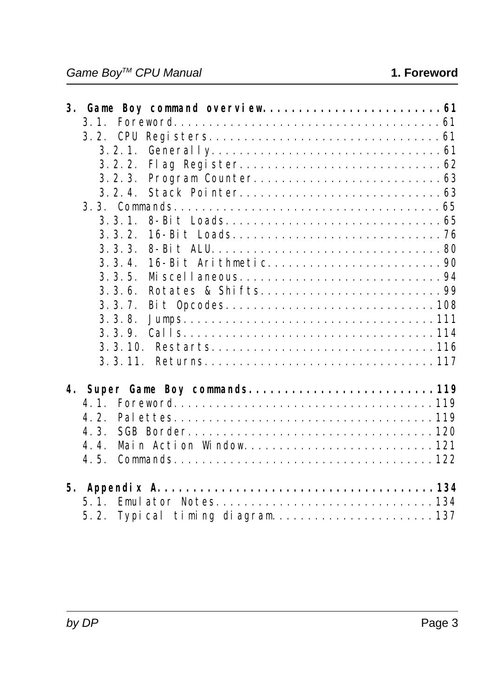|             | 3. Gane Boy command overview 61 |
|-------------|---------------------------------|
|             |                                 |
|             |                                 |
| 3.2.1.      |                                 |
| 3.2.2.      |                                 |
| 3.2.3.      |                                 |
| $3, 2, 4$ . |                                 |
|             |                                 |
| $3, 3, 1$ . |                                 |
| 3, 3, 2.    |                                 |
| 3.3.3       |                                 |
| 3, 3, 4.    |                                 |
| 3, 3, 5.    |                                 |
| 3, 3, 6.    |                                 |
| 3.3.7.      |                                 |
| 3.3.8.      |                                 |
| 3.3.9.      |                                 |
|             |                                 |
|             | 3.3.11. Returns117              |
|             | 4. Super Gane Boy commands119   |
| 4.1         |                                 |
| 4.2         |                                 |
| 4.3.        |                                 |
| 4.4.        |                                 |
| 4.5.        |                                 |
|             |                                 |
|             |                                 |
| 5.1.        |                                 |
|             |                                 |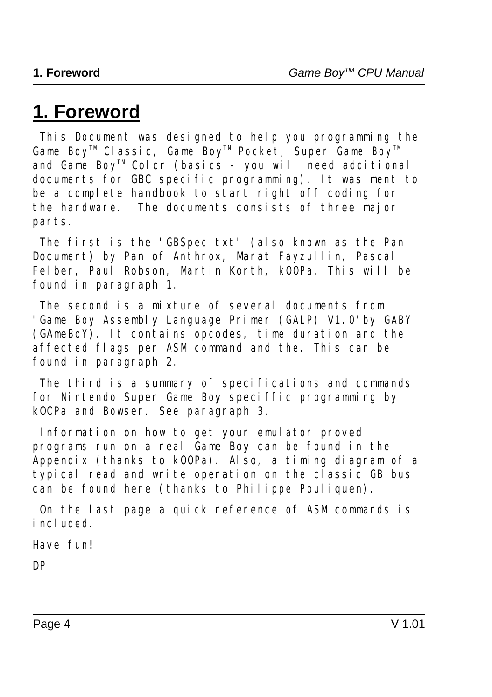# **1. Foreword**

 This Document was designed to help you programming the *Game BoyTM Classic*, *Game BoyTM Pocket*, *Super Game BoyTM* and *Game BoyTM Color* (basics - you will need additional documents for GBC specific programming). It was ment to be a complete handbook to start right off coding for the hardware. The documents consists of three major parts.

 The first is the 'GBSpec.txt' (also known as the Pan Document) by *Pan of Anthrox*, *Marat Fayzullin*, *Pascal Felber*, *Paul Robson*, *Martin Korth*, *kOOPa*. This will be found in paragraph 1.

The second is a mixture of several documents from 'Game Boy Assembly Language Primer (GALP) V1.0'by *GABY (GAmeBoY)*. It contains opcodes, time duration and the affected flags per ASM command and the. This can be found in paragraph 2.

 The third is a summary of specifications and commands for Nintendo Super Game Boy speciffic programming by *kOOPa* and *Bowser*. See paragraph 3.

 Information on how to get your emulator proved programs run on a real Game Boy can be found in the Appendix (thanks to kOOPa). Also, a timing diagram of a typical read and write operation on the classic GB bus can be found here (thanks to Philippe Pouliquen).

 On the last page a quick reference of ASM commands is included.

*Have fun!*

*DP*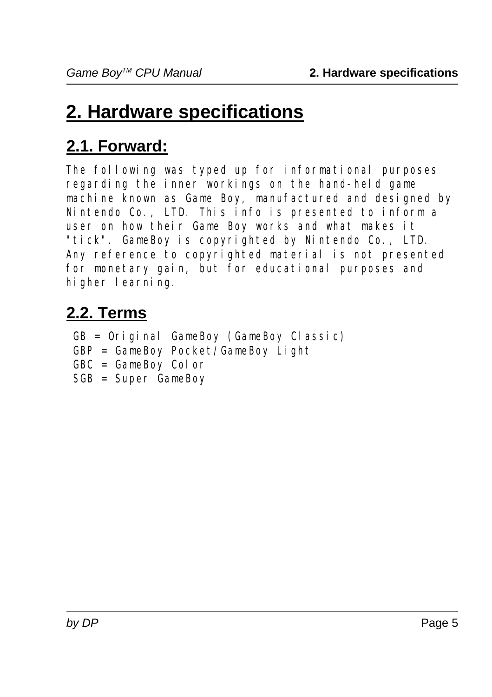# **2. Hardware specifications**

# **2.1. Forward:**

The following was typed up for informational purposes regarding the inner workings on the hand-held game machine known as Game Boy, manufactured and designed by Nintendo Co., LTD. This info is presented to inform a user on how their Game Boy works and what makes it "tick". GameBoy is copyrighted by Nintendo Co., LTD. Any reference to copyrighted material is not presented for monetary gain, but for educational purposes and higher learning.

# **2.2. Terms**

 GB = Original GameBoy (GameBoy Classic) GBP = GameBoy Pocket/GameBoy Light GBC = GameBoy Color SGB = Super GameBoy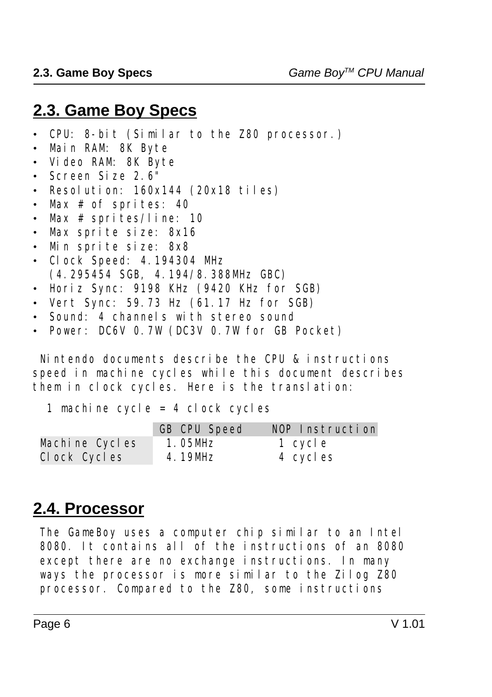# **2.3. Game Boy Specs**

- ï CPU: 8-bit (Similar to the Z80 processor.)
- · Main RAM: 8K Byte
- ï Video RAM: 8K Byte
- $\cdot$  Screen Size 2.6"
- $\cdot$  Resolution: 160x144 (20x18 tiles)
- $\cdot$  Max # of sprites: 40
- Max  $#$  sprites/line: 10
- Max sprite size: 8x16
- $\cdot$  Min sprite size: 8x8
- Clock Speed: 4.194304 MHz (4.295454 SGB, 4.194/8.388MHz GBC)
- ï Horiz Sync: 9198 KHz (9420 KHz for SGB)
- Vert Sync: 59.73 Hz (61.17 Hz for SGB)
- Sound: 4 channels with stereo sound
- ï Power: DC6V 0.7W (DC3V 0.7W for GB Pocket)

 Nintendo documents describe the CPU & instructions speed in machine cycles while this document describes them in clock cycles. Here is the translation:

1 machine cycle = 4 clock cycles

|                | <b>GB CPU Speed</b> | NOP Instruction |
|----------------|---------------------|-----------------|
| Machine Cycles | $1.05$ MHz          | 1 cycle         |
| Clock Cycles   | 4.19MHz             | 4 cycles        |

# **2.4. Processor**

 The GameBoy uses a computer chip similar to an Intel 8080. It contains all of the instructions of an 8080 except there are no exchange instructions. In many ways the processor is more similar to the Zilog Z80 processor. Compared to the Z80, some instructions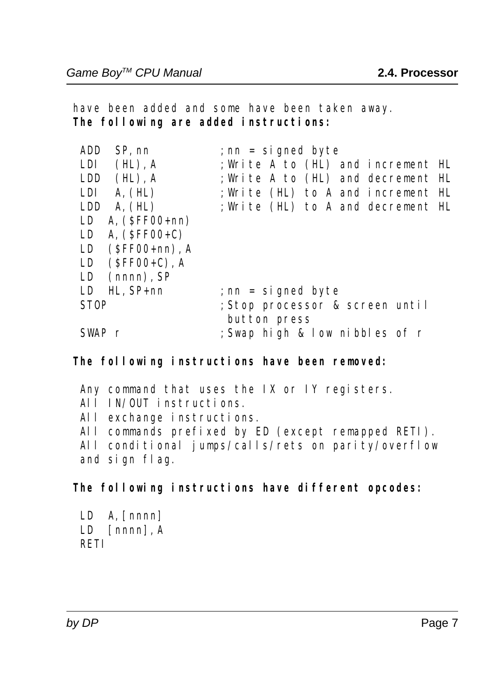have been added and some have been taken away.  **The following are added instructions:**

| <b>ADD</b><br>SP, nn     | ; $nn = si$ gned byte                           |
|--------------------------|-------------------------------------------------|
| LDI.<br>$(HL)$ , A       | ; Write A to (HL) and increment HL              |
| $(HL)$ , A<br><b>LDD</b> | ; Write A to (HL) and decrement HL              |
| $LDI \quad A, (HL)$      | ; Write (HL) to A and increment HL              |
| A, (HL)<br><b>LDD</b>    | ; Write (HL) to A and decrement HL              |
| A. $(SFF00+nn)$<br>LD    |                                                 |
| LD A. $(SFF00+C)$        |                                                 |
| LD $(SFF00+nn)$ , A      |                                                 |
| $(SFF00+C)$ , A<br>LD    |                                                 |
| $(nnnn)$ , SP<br>LD      |                                                 |
| $HL.$ SP+nn<br>LD        | ; $nn = si$ gned byte                           |
| <b>STOP</b>              | ; Stop processor & screen until<br>button press |
| SWAP r                   | ; Swap high & low nibbles of r                  |
|                          |                                                 |

#### **The following instructions have been removed:**

Any command that uses the IX or IY registers. All IN/OUT instructions. All exchange instructions. All commands prefixed by ED (except remapped RETI). All conditional jumps/calls/rets on parity/overflow and sign flag.

#### **The following instructions have different opcodes:**

 $LD$  A, [nnnn] LD [nnnn], A RETI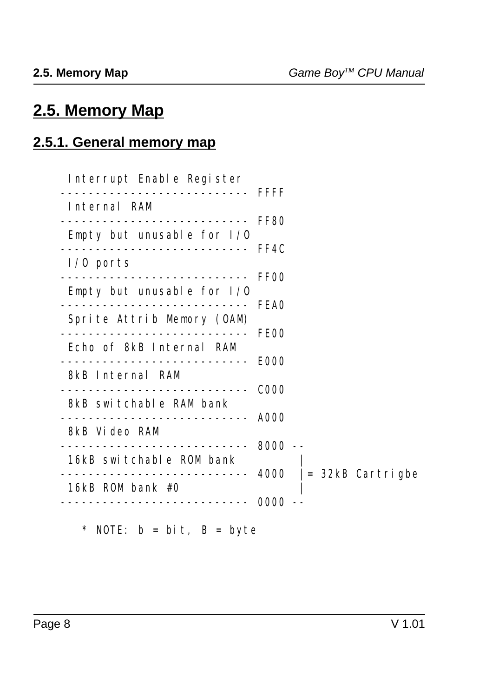# **2.5. Memory Map**

### **2.5.1. General memory map**

| Interrupt Enable Register<br>--------------------------- FFFF |                         |
|---------------------------------------------------------------|-------------------------|
| Internal RAM                                                  |                         |
| ----------------------------<br>Empty but unusable for $I/0$  | <b>FF80</b>             |
| $I/0$ ports                                                   |                         |
| Empty but unusable for $I/0$                                  | <b>FF00</b>             |
|                                                               | <b>FEA0</b>             |
| Sprite Attrib Memory (OAM)                                    | FE00                    |
| Echo of 8kB Internal RAM                                      | <b>E000</b>             |
| 8kB Internal RAM                                              | <b>COOO</b>             |
| 8kB switchable RAM bank                                       |                         |
| 8kB Video RAM                                                 | A000                    |
| ______________________________<br>16kB switchable ROM bank    | $8000 - -$              |
| 16 $kB$ ROM bank #0                                           | $4000$ = 32kB Cartrigbe |
|                                                               | 0000                    |

\* NOTE: b = bit, B = byte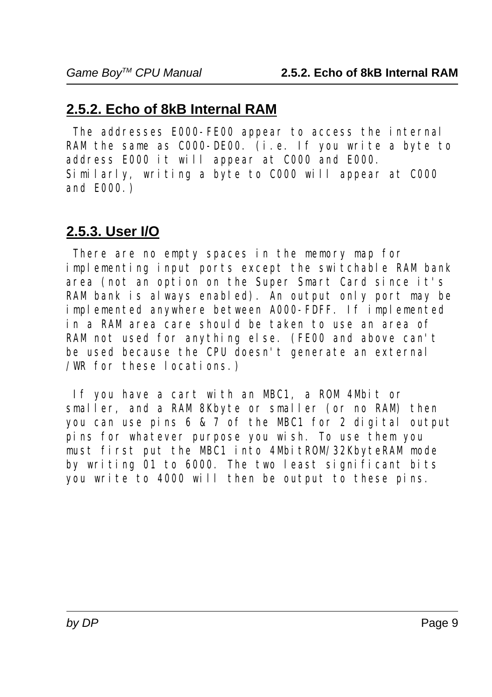#### **2.5.2. Echo of 8kB Internal RAM**

 The addresses E000-FE00 appear to access the internal RAM the same as C000-DE00. (i.e. If you write a byte to address E000 it will appear at C000 and E000. Similarly, writing a byte to C000 will appear at C000 and E000.)

#### **2.5.3. User I/O**

 There are no empty spaces in the memory map for implementing input ports except the switchable RAM bank area (not an option on the Super Smart Card since it's RAM bank is always enabled). An output only port may be implemented anywhere between A000-FDFF. If implemented in a RAM area care should be taken to use an area of RAM not used for anything else. (FE00 and above can't be used because the CPU doesn't generate an external /WR for these locations.)

 If you have a cart with an MBC1, a ROM 4Mbit or smaller, and a RAM 8Kbyte or smaller (or no RAM) then you can use pins 6 & 7 of the MBC1 for 2 digital output pins for whatever purpose you wish. To use them you must first put the MBC1 into 4MbitROM/32KbyteRAM mode by writing 01 to 6000. The two least significant bits you write to 4000 will then be output to these pins.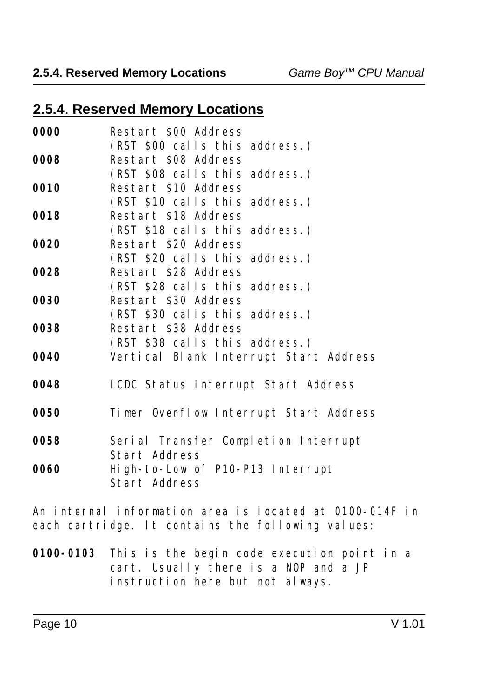#### **2.5.4. Reserved Memory Locations** *Game BoyTM CPU Manual*

#### **2.5.4. Reserved Memory Locations**

| <b>Restart \$08 Address</b><br>0008<br>(RST \$08 calls this address.)<br>Restart \$10 Address<br>0010<br>(RST \$10 calls this address.)<br>Restart \$18 Address<br>(RST \$18 calls this address.)<br>Restart \$20 Address<br>(RST \$20 calls this address.)<br>Restart \$28 Address<br>(RST \$28 calls this address.)<br>Restart \$30 Address<br>0030<br>(RST \$30 calls this address.)<br>Restart \$38 Address<br>0038<br>(RST \$38 calls this address.)<br>Vertical Blank Interrupt Start Address<br>0040<br>LCDC Status Interrupt Start Address<br>Timer Overflow Interrupt Start Address<br>Serial Transfer Completion Interrupt | 0000 | Restart \$00 Address             |
|--------------------------------------------------------------------------------------------------------------------------------------------------------------------------------------------------------------------------------------------------------------------------------------------------------------------------------------------------------------------------------------------------------------------------------------------------------------------------------------------------------------------------------------------------------------------------------------------------------------------------------------|------|----------------------------------|
|                                                                                                                                                                                                                                                                                                                                                                                                                                                                                                                                                                                                                                      |      | (RST \$00 calls this address.)   |
|                                                                                                                                                                                                                                                                                                                                                                                                                                                                                                                                                                                                                                      |      |                                  |
|                                                                                                                                                                                                                                                                                                                                                                                                                                                                                                                                                                                                                                      |      |                                  |
|                                                                                                                                                                                                                                                                                                                                                                                                                                                                                                                                                                                                                                      |      |                                  |
|                                                                                                                                                                                                                                                                                                                                                                                                                                                                                                                                                                                                                                      |      |                                  |
|                                                                                                                                                                                                                                                                                                                                                                                                                                                                                                                                                                                                                                      | 0018 |                                  |
|                                                                                                                                                                                                                                                                                                                                                                                                                                                                                                                                                                                                                                      |      |                                  |
|                                                                                                                                                                                                                                                                                                                                                                                                                                                                                                                                                                                                                                      | 0020 |                                  |
|                                                                                                                                                                                                                                                                                                                                                                                                                                                                                                                                                                                                                                      |      |                                  |
|                                                                                                                                                                                                                                                                                                                                                                                                                                                                                                                                                                                                                                      | 0028 |                                  |
|                                                                                                                                                                                                                                                                                                                                                                                                                                                                                                                                                                                                                                      |      |                                  |
|                                                                                                                                                                                                                                                                                                                                                                                                                                                                                                                                                                                                                                      |      |                                  |
|                                                                                                                                                                                                                                                                                                                                                                                                                                                                                                                                                                                                                                      |      |                                  |
|                                                                                                                                                                                                                                                                                                                                                                                                                                                                                                                                                                                                                                      |      |                                  |
|                                                                                                                                                                                                                                                                                                                                                                                                                                                                                                                                                                                                                                      |      |                                  |
|                                                                                                                                                                                                                                                                                                                                                                                                                                                                                                                                                                                                                                      |      |                                  |
|                                                                                                                                                                                                                                                                                                                                                                                                                                                                                                                                                                                                                                      |      |                                  |
|                                                                                                                                                                                                                                                                                                                                                                                                                                                                                                                                                                                                                                      | 0048 |                                  |
|                                                                                                                                                                                                                                                                                                                                                                                                                                                                                                                                                                                                                                      |      |                                  |
|                                                                                                                                                                                                                                                                                                                                                                                                                                                                                                                                                                                                                                      | 0050 |                                  |
|                                                                                                                                                                                                                                                                                                                                                                                                                                                                                                                                                                                                                                      |      |                                  |
|                                                                                                                                                                                                                                                                                                                                                                                                                                                                                                                                                                                                                                      | 0058 |                                  |
| <b>Start Address</b>                                                                                                                                                                                                                                                                                                                                                                                                                                                                                                                                                                                                                 |      |                                  |
|                                                                                                                                                                                                                                                                                                                                                                                                                                                                                                                                                                                                                                      | 0060 | High-to-Low of P10-P13 Interrupt |
|                                                                                                                                                                                                                                                                                                                                                                                                                                                                                                                                                                                                                                      |      | Start Address                    |
|                                                                                                                                                                                                                                                                                                                                                                                                                                                                                                                                                                                                                                      |      |                                  |
|                                                                                                                                                                                                                                                                                                                                                                                                                                                                                                                                                                                                                                      |      |                                  |

An internal information area is located at 0100-014F in each cartridge. It contains the following values:

**0100-0103** This is the begin code execution point in a cart. Usually there is a NOP and a JP instruction here but not always.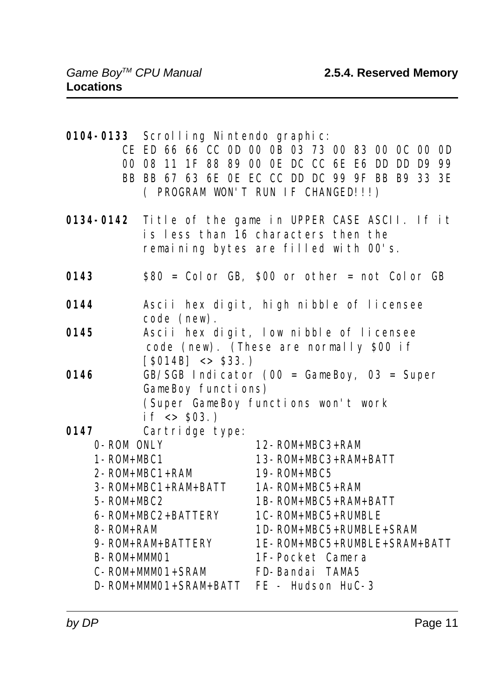|                   | 0104-0133 Scrolling Nintendo graphic:     | CE ED 66 66 CC OD 00 OB 03 73 00 83 00 OC 00 OD<br>00 08 11 1F 88 89 00 0E DC CC 6E E6 DD DD D9 99<br>BB BB 67 63 6E OE EC CC DD DC 99 9F BB B9 33 3E<br>( PROGRAM WON'T RUN IF CHANGED!!!) |
|-------------------|-------------------------------------------|---------------------------------------------------------------------------------------------------------------------------------------------------------------------------------------------|
|                   |                                           | 0134-0142 Title of the game in UPPER CASE ASCII. If it<br>is less than 16 characters then the<br>remaining bytes are filled with 00's.                                                      |
| 0143              |                                           | $$80 = Col or GB, $00 or other = not Col or GB$                                                                                                                                             |
| 0144              | code (new).                               | Ascii hex digit, high nibble of licensee                                                                                                                                                    |
| 0145              | $[$014B] < > $33.$ )                      | Ascii hex digit, low nibble of licensee<br>code (new). (These are normally \$00 if                                                                                                          |
| 0146              | GameBoy functions)<br>if $\langle$ \$03.) | $GB/SGB$ Indicator (00 = GameBoy, 03 = Super<br>(Super GameBoy functions won't work                                                                                                         |
| 0147              | Cartridge type:                           |                                                                                                                                                                                             |
| 0-ROM ONLY        |                                           | $12 - ROM + MBC3 + RAM$                                                                                                                                                                     |
| $1 - ROM + MBC1$  |                                           | 13-ROM+MBC3+RAM+BATT                                                                                                                                                                        |
|                   | $2 - ROM + MBC1 + RAM$                    | 19-ROM+MBC5                                                                                                                                                                                 |
|                   | 3-ROM+MBC1+RAM+BATT                       | $1A - ROM + MBC5 + RAM$                                                                                                                                                                     |
| 5-ROM+MBC2        |                                           | 1B-ROM+MBC5+RAM+BATT                                                                                                                                                                        |
| 8-ROM+RAM         | 6-ROM+MBC2+BATTERY                        | 1C-ROM+MBC5+RUMBLE<br>1D-ROM+MBC5+RUMBLE+SRAM                                                                                                                                               |
|                   | 9- ROM+RAM+BATTERY                        | 1E-ROM+MBC5+RUMBLE+SRAM+BATT                                                                                                                                                                |
| <b>B-ROM+MM01</b> |                                           | 1F-Pocket Camera                                                                                                                                                                            |
|                   | C-ROM+MMO1+SRAM                           | FD-Bandai TAMA5                                                                                                                                                                             |
|                   | D-ROM+MMO1+SRAM+BATT                      | FE - Hudson HuC-3                                                                                                                                                                           |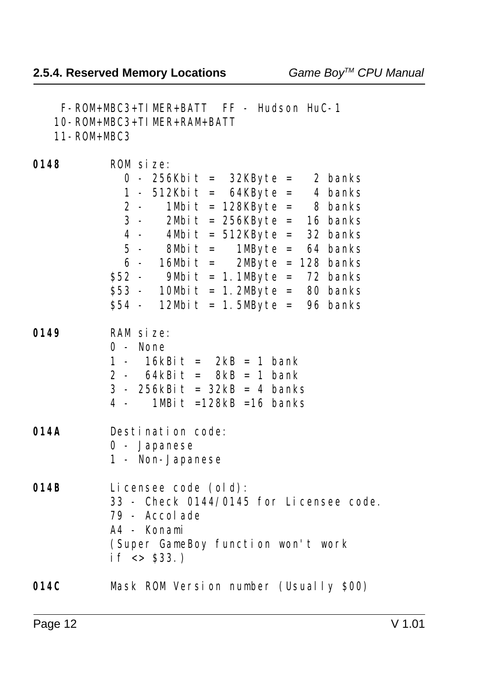F-ROM+MBC3+TIMER+BATT FF - Hudson HuC-1 10-ROM+MBC3+TIMER+RAM+BATT 11-ROM+MBC3 **0148** ROM size: 0 - 256Kbit = 32KByte = 2 banks 1 - 512Kbit = 64KByte = 4 banks<br>2 - 1Mbit = 128KByte = 8 banks<br>3 - 2Mbit = 256KByte = 16 banks  $1 \text{Mbi}$ t =  $128 \text{KBy}$ te = 8 banks  $2M\text{bit}$  = 256KByte = 16 banks 4 - 4Mbit = 512KByte = 32 banks 5 - 8Mbit = 1MByte = 64 banks 6 - 16Mbit =  $2M\ddot{B}$ yte = 128 banks  $$52$  - 9Mbit = 1.1MByte = 72 banks \$53 - 10Mbit = 1.2Mbyte = 80 banks  $$54$  - 12Mbit = 1.5MByte = 96 banks **0149** RAM size: 0 - None 1 -  $16kBi t = 2kB = 1 bank$ 2 -  $64kBit = 8kB = 1 bank$  3 - 256kBit = 32kB = 4 banks 4 -  $1MBit = 128kB = 16$  banks **014A** Destination code: 0 - Japanese 1 - Non-Japanese **014B** Licensee code (old): 33 - Check 0144/0145 for Licensee code. 79 - Accolade A4 - Konami (Super GameBoy function won't work if  $\sim$  \$33.) **014C** Mask ROM Version number (Usually \$00)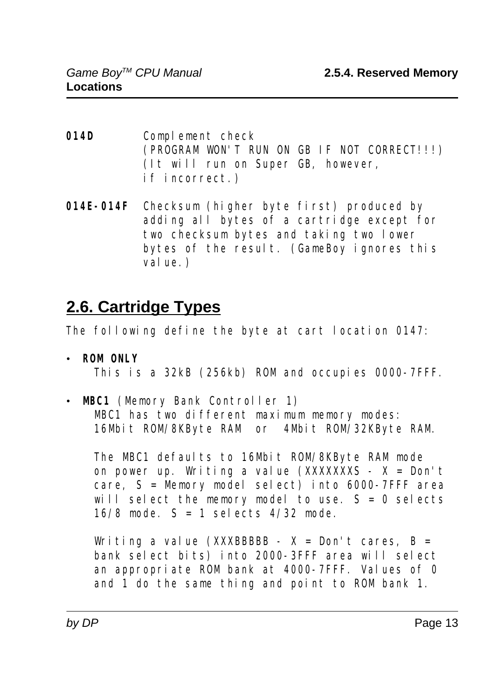- **014D** Complement check (PROGRAM WON'T RUN ON GB IF NOT CORRECT!!!) (It will run on Super GB, however, if incorrect.)
- **014E-014F** Checksum (higher byte first) produced by adding all bytes of a cartridge except for two checksum bytes and taking two lower bytes of the result. (GameBoy ignores this value.)

# **2.6. Cartridge Types**

The following define the byte at cart location 0147:

- ï **ROM ONLY** This is a 32kB (256kb) ROM and occupies 0000-7FFF.
- **MBC1** (Memory Bank Controller 1) MBC1 has two different maximum memory modes: 16Mbit ROM/8KByte RAM or 4Mbit ROM/32KByte RAM.

The MBC1 defaults to 16Mbit ROM/8KByte RAM mode on power up. Writing a value  $(XXXXXXS - X = Don't$ care,  $S =$ Memory model select) into 6000-7FFF area will select the memory model to use.  $S = 0$  selects 16/8 mode.  $S = 1$  selects 4/32 mode.

Writing a value (XXXBBBBB -  $X = Don't cares, B =$  bank select bits) into 2000-3FFF area will select an appropriate ROM bank at 4000-7FFF. Values of 0 and 1 do the same thing and point to ROM bank 1.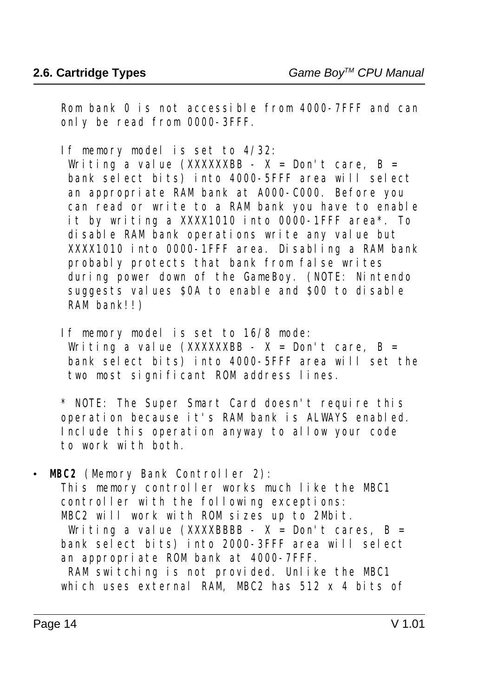Rom bank 0 is not accessible from 4000-7FFF and can only be read from 0000-3FFF.

If memory model is set to 4/32:

Writing a value (XXXXXXBB -  $X =$  Don't care, B = bank select bits) into 4000-5FFF area will select an appropriate RAM bank at A000-C000. Before you can read or write to a RAM bank you have to enable it by writing a XXXX1010 into 0000-1FFF area\*. To disable RAM bank operations write any value but XXXX1010 into 0000-1FFF area. Disabling a RAM bank probably protects that bank from false writes during power down of the GameBoy. (NOTE: Nintendo suggests values \$0A to enable and \$00 to disable RAM bank!!)

 If memory model is set to 16/8 mode: Writing a value (XXXXXXBB -  $X =$  Don't care, B = bank select bits) into 4000-5FFF area will set the two most significant ROM address lines.

 \* NOTE: The Super Smart Card doesn't require this operation because it's RAM bank is ALWAYS enabled. Include this operation anyway to allow your code to work with both.

**MBC2** (Memory Bank Controller 2):

 This memory controller works much like the MBC1 controller with the following exceptions: MBC2 will work with ROM sizes up to 2Mbit.

Writing a value (XXXXBBBB -  $X = Don't$  cares,  $B =$  bank select bits) into 2000-3FFF area will select an appropriate ROM bank at 4000-7FFF.

RAM switching is not provided. Unlike the MBC1 which uses external RAM, MBC2 has  $512 \times 4$  bits of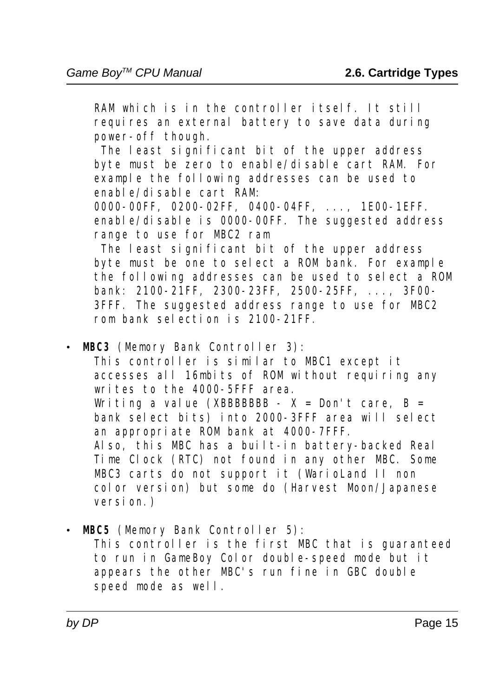RAM which is in the controller itself. It still requires an external battery to save data during power-off though.

The least significant bit of the upper address byte must be zero to enable/disable cart RAM. For example the following addresses can be used to enable/disable cart RAM:

 0000-00FF, 0200-02FF, 0400-04FF, ..., 1E00-1EFF. enable/disable is 0000-00FF. The suggested address range to use for MBC2 ram

 The least significant bit of the upper address byte must be one to select a ROM bank. For example the following addresses can be used to select a ROM bank: 2100-21FF, 2300-23FF, 2500-25FF, ..., 3F00- 3FFF. The suggested address range to use for MBC2 rom bank selection is 2100-21FF.

**• MBC3** (Memory Bank Controller 3):

 This controller is similar to MBC1 except it accesses all 16mbits of ROM without requiring any writes to the 4000-5FFF area. Writing a value (XBBBBBBB -  $X = Don't care$ , B = bank select bits) into 2000-3FFF area will select an appropriate ROM bank at 4000-7FFF. Also, this MBC has a built-in battery-backed Real Time Clock (RTC) not found in any other MBC. Some MBC3 carts do not support it (WarioLand II non color version) but some do (Harvest Moon/Japanese version.)

**· MBC5** (Memory Bank Controller 5):

 This controller is the first MBC that is guaranteed to run in GameBoy Color double-speed mode but it appears the other MBC's run fine in GBC double speed mode as well.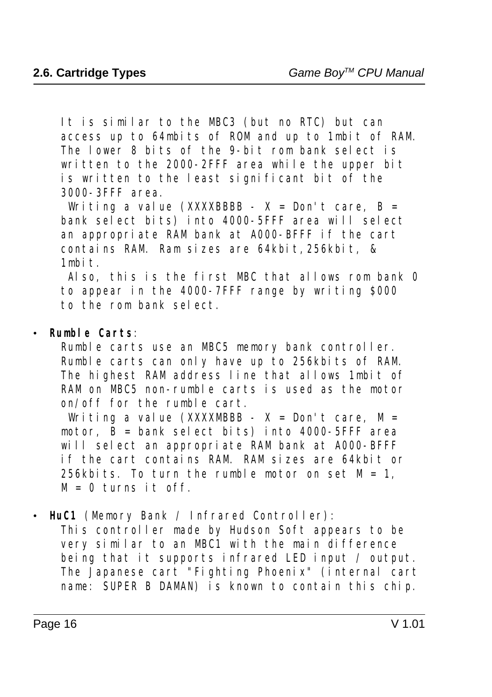It is similar to the MBC3 (but no RTC) but can access up to 64mbits of ROM and up to 1mbit of RAM. The lower 8 bits of the 9-bit rom bank select is written to the 2000-2FFF area while the upper bit is written to the least significant bit of the 3000-3FFF area.

Writing a value (XXXXBBBB -  $X = Don't care$ , B = bank select bits) into 4000-5FFF area will select an appropriate RAM bank at A000-BFFF if the cart contains RAM. Ram sizes are 64kbit,256kbit, & 1mbit.

 Also, this is the first MBC that allows rom bank 0 to appear in the 4000-7FFF range by writing \$000 to the rom bank select.

#### **Rumble Carts:**

 Rumble carts use an MBC5 memory bank controller. Rumble carts can only have up to 256kbits of RAM. The highest RAM address line that allows 1mbit of RAM on MBC5 non-rumble carts is used as the motor on/off for the rumble cart.

Writing a value (XXXXMBBB -  $X = Don't care$ ,  $M =$ motor,  $\overline{B}$  = bank select bits) into 4000-5FFF area will select an appropriate RAM bank at A000-BFFF if the cart contains RAM. RAM sizes are 64kbit or 256kbits. To turn the rumble motor on set  $M = 1$ .  $M = 0$  turns it off.

**· HuC1** (Memory Bank / Infrared Controller):

 This controller made by Hudson Soft appears to be very similar to an MBC1 with the main difference being that it supports infrared LED input / output. The Japanese cart "Fighting Phoenix" (internal cart name: SUPER B DAMAN) is known to contain this chip.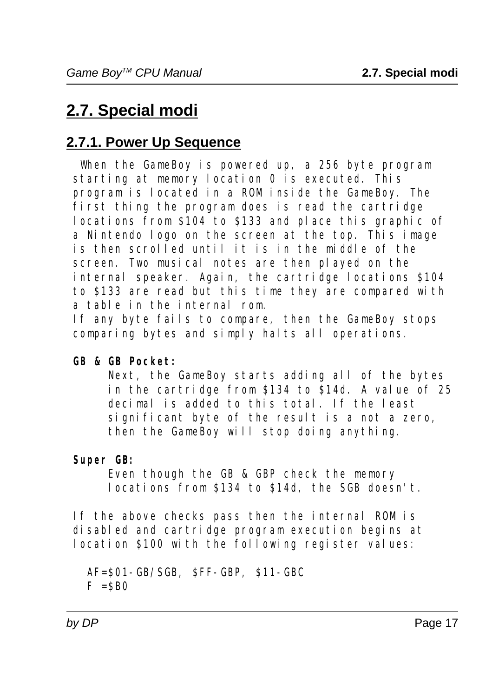# **2.7. Special modi**

### **2.7.1. Power Up Sequence**

When the GameBoy is powered up, a 256 byte program starting at memory location 0 is executed. This program is located in a ROM inside the GameBoy. The first thing the program does is read the cartridge locations from \$104 to \$133 and place this graphic of a Nintendo logo on the screen at the top. This image is then scrolled until it is in the middle of the screen. Two musical notes are then played on the internal speaker. Again, the cartridge locations \$104 to \$133 are read but this time they are compared with a table in the internal rom.

 If any byte fails to compare, then the GameBoy stops comparing bytes and simply halts all operations.

#### **GB & GB Pocket:**

 Next, the GameBoy starts adding all of the bytes in the cartridge from \$134 to \$14d. A value of 25 decimal is added to this total. If the least significant byte of the result is a not a zero, then the GameBoy will stop doing anything.

#### **Super GB:**

 Even though the GB & GBP check the memory locations from \$134 to \$14d, the SGB doesn't.

 If the above checks pass then the internal ROM is disabled and cartridge program execution begins at location \$100 with the following register values:

 AF=\$01-GB/SGB, \$FF-GBP, \$11-GBC  $F = SBO$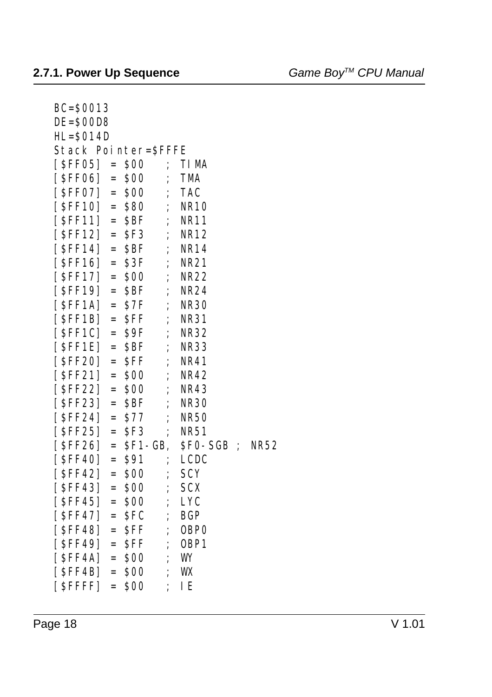| $BC = $0013$                           |            |                  |             |
|----------------------------------------|------------|------------------|-------------|
| DE=SOOD8                               |            |                  |             |
| $HL = $014D$                           |            |                  |             |
| <b>Stack Pointer=SFFFE</b>             |            |                  |             |
| $[SFF05] =$<br>\$00                    | $\vdots$   | TI MA            |             |
| [ \$FF06]<br>\$00<br>$=$               | $\vdots$   | TMA              |             |
| [ <b>SFF07</b> ]<br>\$00<br>$=$        | $\vdots$   | <b>TAC</b>       |             |
| $[$ SFF10]<br>\$80<br>$=$              | ;          | <b>NR10</b>      |             |
| $[$ SFF11]<br>\$BF<br>$=$              | ;          | <b>NR11</b>      |             |
| $[$ SFF12]<br>SF3<br>$=$               | $\vdots$   | <b>NR12</b>      |             |
| [ \$FF14 ]<br><b>SBF</b><br>$=$        | ;          | <b>NR14</b>      |             |
| $[$ SFF16]<br>\$3F<br>$=$              | $\vdots$   | <b>NR21</b>      |             |
| [SFF17]<br><b>\$00</b><br>$=$          | ;          | <b>NR22</b>      |             |
| $[$ SFF19]<br><b>SBF</b><br>$=$        | ;          | <b>NR24</b>      |             |
| [SFF1A]<br>\$7F<br>$=$                 | ;          | <b>NR30</b>      |             |
| $[$ SFF1B]<br>SFF<br>$=$               | ;          | <b>NR31</b>      |             |
| $[$ SFF1C]<br>\$9F<br>$=$              | ;          | <b>NR32</b>      |             |
| $[$ SFF1E]<br>SBF<br>$=$               | $\vdots$   | <b>NR33</b>      |             |
| [ <b>\$FF20</b> ]<br>$=$<br><b>SFF</b> | $\vdots$   | <b>NR41</b>      |             |
| $[$ SFF21]<br>\$00<br>$=$              | $\vdots$   | <b>NR42</b>      |             |
| [ SFF22]<br>\$00<br>$=$                | ;          | <b>NR43</b>      |             |
| [ <b>SFF23</b> ]<br><b>SBF</b><br>$=$  | ;          | <b>NR30</b>      |             |
| $[$ SFF24]<br>\$77<br>$=$              | ;          | <b>NR50</b>      |             |
| [ SFF25]<br>SF3<br>$=$                 | $\vdots$   | <b>NR51</b>      |             |
| [ SFF26]<br>$=$                        | $SF1-GB$ , | SFO-SGB ;        | <b>NR52</b> |
| [ \$FF40]<br><b>\$91</b><br>$=$        | ;          | <b>LCDC</b>      |             |
| $[$ SFF42]<br>\$00<br>$=$              | ;          | <b>SCY</b>       |             |
| [ <b>SFF43</b> ]<br>\$00<br>$=$        | $\vdots$   | <b>SCX</b>       |             |
| [ SFF45]<br>\$00<br>$=$                | ;          | <b>LYC</b>       |             |
| $[$ SFF47]<br><b>SFC</b><br>$=$        | $\vdots$   | <b>BGP</b>       |             |
| [ <b>SFF48</b> ]<br><b>SFF</b><br>$=$  | $\vdots$   | <b>OBPO</b>      |             |
| $[$ SFF49] =<br><b>SFF</b>             | ;          | OBP <sub>1</sub> |             |
| [ SFF4A]<br>\$00<br>$=$                | ;          | WY               |             |
| [ \$FF4B]<br>\$00<br>$=$               | ;          | WX               |             |
| \$00<br>[SFFFF]<br>$=$                 |            | IE               |             |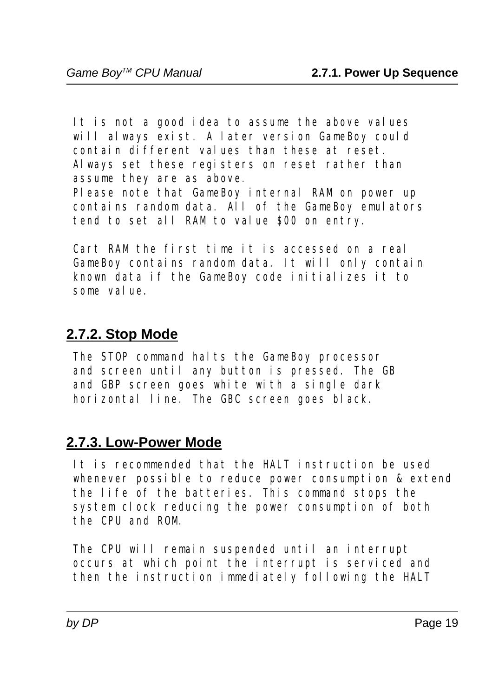It is not a good idea to assume the above values will always exist. A later version GameBoy could contain different values than these at reset. Always set these registers on reset rather than assume they are as above. Please note that GameBoy internal RAM on power up

 contains random data. All of the GameBoy emulators tend to set all RAM to value \$00 on entry.

 Cart RAM the first time it is accessed on a real GameBoy contains random data. It will only contain known data if the GameBoy code initializes it to some value.

#### **2.7.2. Stop Mode**

The STOP command halts the GameBoy processor and screen until any button is pressed. The GB and GBP screen goes white with a single dark horizontal line. The GBC screen goes black.

### **2.7.3. Low-Power Mode**

 It is recommended that the HALT instruction be used whenever possible to reduce power consumption & extend the life of the batteries. This command stops the system clock reducing the power consumption of both the CPU and ROM.

 The CPU will remain suspended until an interrupt occurs at which point the interrupt is serviced and then the instruction immediately following the HALT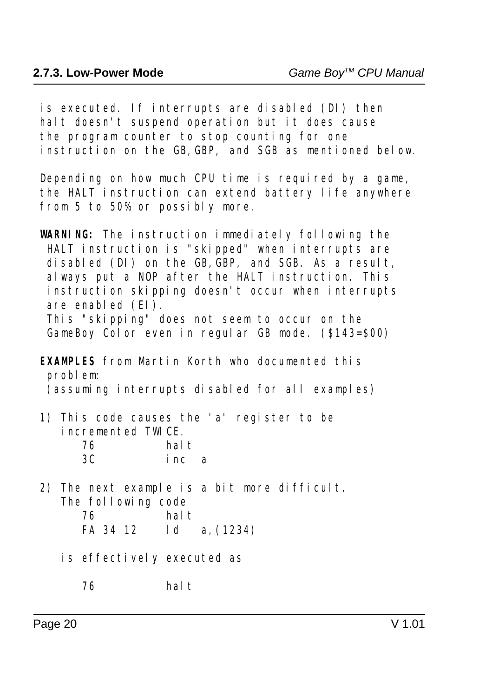is executed. If interrupts are disabled (DI) then halt doesn't suspend operation but it does cause the program counter to stop counting for one instruction on the GB,GBP, and SGB as mentioned below.

 Depending on how much CPU time is required by a game, the HALT instruction can extend battery life anywhere from 5 to 50% or possibly more.

**WARNING:** The instruction immediately following the HALT instruction is "skipped" when interrupts are disabled (DI) on the GB, GBP, and SGB. As a result, always put a NOP after the HALT instruction. This instruction skipping doesn't occur when interrupts are enabled  $(EI)$ .

 This "skipping" does not seem to occur on the GameBoy Color even in regular GB mode. (\$143=\$00)

**EXAMPLES** from Martin Korth who documented this problem: (assuming interrupts disabled for all examples)

 1) This code causes the 'a' register to be incremented TWICE. 76 halt

| 3C | inc a |  |
|----|-------|--|
|    |       |  |

 2) The next example is a bit more difficult. The following code 76 halt

| FA 34 12 |  |  |  | 1 d |  | a, (1234) |
|----------|--|--|--|-----|--|-----------|
|----------|--|--|--|-----|--|-----------|

- is effectively executed as
	- 76 halt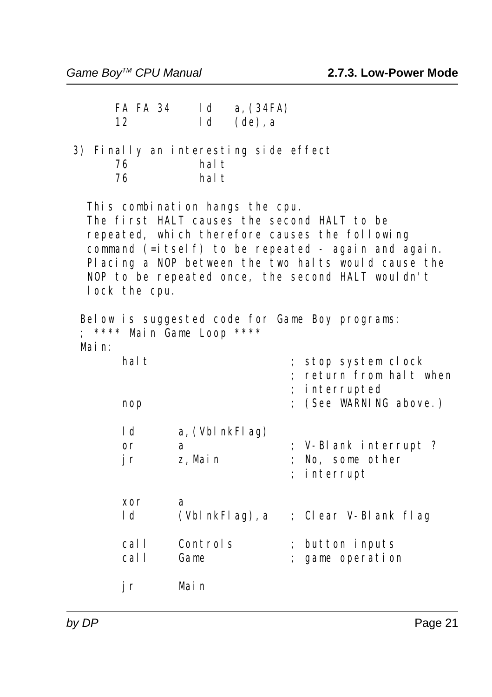| <b>FA FA 34</b><br>12                             | 1 <sub>d</sub><br>1 <sub>d</sub> | a, $(34FA)$<br>$(de)$ , a |                                                                                                                                                                                                                                                                  |
|---------------------------------------------------|----------------------------------|---------------------------|------------------------------------------------------------------------------------------------------------------------------------------------------------------------------------------------------------------------------------------------------------------|
| 3) Finally an interesting side effect<br>76<br>76 | hal t<br>hal t                   |                           |                                                                                                                                                                                                                                                                  |
| This combination hangs the cpu.<br>lock the cpu.  |                                  |                           | The first HALT causes the second HALT to be<br>repeated, which therefore causes the following<br>command (=itself) to be repeated - again and again.<br>Placing a NOP between the two halts would cause the<br>NOP to be repeated once, the second HALT wouldn't |
| **** Main Game Loop ****<br>Mai n:                |                                  |                           | Below is suggested code for Game Boy programs:                                                                                                                                                                                                                   |
| hal t                                             |                                  |                           | stop system clock<br>return from halt when<br>interrupted                                                                                                                                                                                                        |
| nop                                               |                                  |                           | (See WARNING above.)                                                                                                                                                                                                                                             |
| 1 <sub>d</sub><br>$\mathbf{or}$<br>j r            | a, (Vbl nkFl ag)<br>a<br>z, Main |                           | ; V-Blank interrupt ?<br>No, some other<br>interrupt                                                                                                                                                                                                             |
| xor<br>l d                                        | a                                | (Vbl nkFl ag), a          | ; Clear V-Blank flag                                                                                                                                                                                                                                             |
| call<br>call                                      | Controls<br>Game                 |                           | ; button inputs<br>; game operation                                                                                                                                                                                                                              |
| jr                                                | Main                             |                           |                                                                                                                                                                                                                                                                  |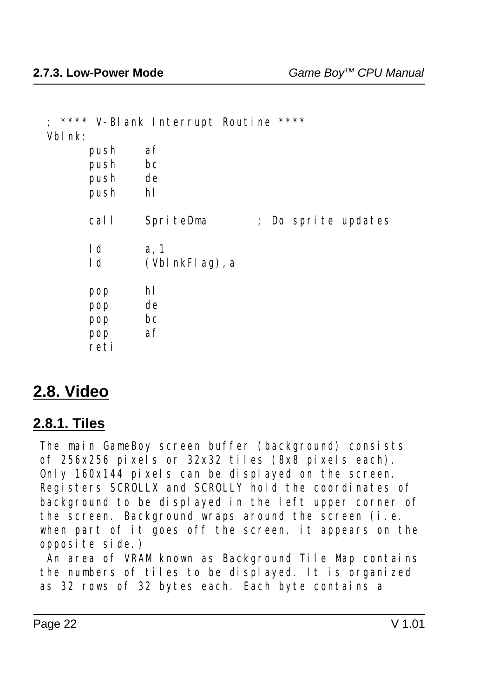|                | **** V-Blank Interrupt Routine **** |
|----------------|-------------------------------------|
| Vbl nk:        |                                     |
| push           | af                                  |
| push           | bc                                  |
| push de        |                                     |
| push           | hl                                  |
| call           | SpriteDma<br>; Do sprite updates    |
| 1d             | a, 1                                |
| 1 <sub>d</sub> | $(VblnkFlag)$ , a                   |
| pop            | hl                                  |
| pop            | de                                  |
| pop            | bc                                  |
|                | af                                  |
| pop            |                                     |
| reti           |                                     |

### **2.8. Video**

#### **2.8.1. Tiles**

 The main GameBoy screen buffer (background) consists of 256x256 pixels or 32x32 tiles (8x8 pixels each). Only 160x144 pixels can be displayed on the screen. Registers SCROLLX and SCROLLY hold the coordinates of background to be displayed in the left upper corner of the screen. Background wraps around the screen (i.e. when part of it goes off the screen, it appears on the opposite side.)

 An area of VRAM known as Background Tile Map contains the numbers of tiles to be displayed. It is organized as 32 rows of 32 bytes each. Each byte contains a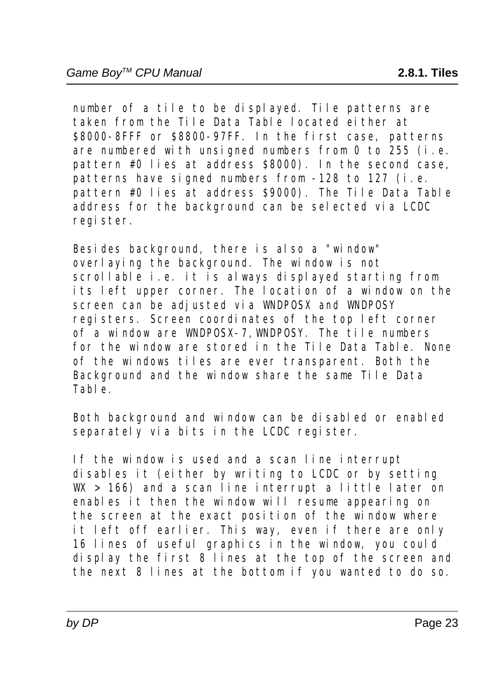number of a tile to be displayed. Tile patterns are taken from the Tile Data Table located either at \$8000-8FFF or \$8800-97FF. In the first case, patterns are numbered with unsigned numbers from 0 to 255 (i.e. pattern #0 lies at address \$8000). In the second case, patterns have signed numbers from -128 to 127 (i.e. pattern #0 lies at address \$9000). The Tile Data Table address for the background can be selected via LCDC register.

 Besides background, there is also a "window" overlaying the background. The window is not scrollable i.e. it is always displayed starting from its left upper corner. The location of a window on the screen can be adjusted via WNDPOSX and WNDPOSY registers. Screen coordinates of the top left corner of a window are WNDPOSX-7,WNDPOSY. The tile numbers for the window are stored in the Tile Data Table. None of the windows tiles are ever transparent. Both the Background and the window share the same Tile Data Table.

 Both background and window can be disabled or enabled separately via bits in the LCDC register.

 If the window is used and a scan line interrupt disables it (either by writing to LCDC or by setting  $W > 166$ ) and a scan line interrupt a little later on enables it then the window will resume appearing on the screen at the exact position of the window where it left off earlier. This way, even if there are only 16 lines of useful graphics in the window, you could display the first 8 lines at the top of the screen and the next 8 lines at the bottom if you wanted to do so.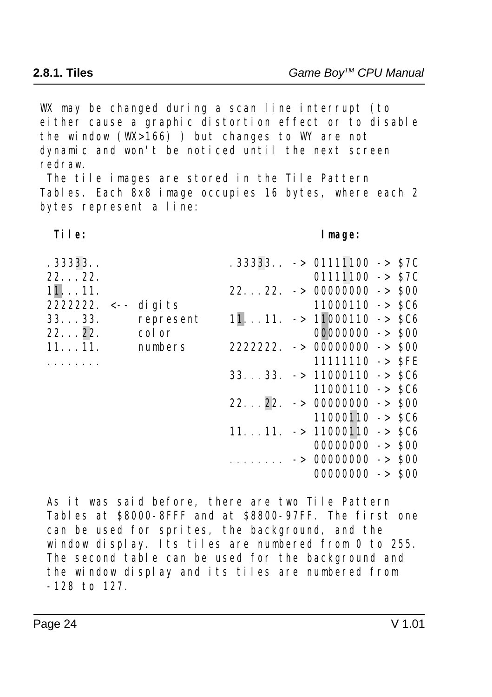WX may be changed during a scan line interrupt (to either cause a graphic distortion effect or to disable the window  $(W \ge 166)$  ) but changes to WY are not dynamic and won't be noticed until the next screen redraw.

 The tile images are stored in the Tile Pattern Tables. Each 8x8 image occupies 16 bytes, where each 2 bytes represent a line:

#### **Tile: Image:**

| .33333                  |           |  | $.333333 \rightarrow 01111100 - S7C$             |  |
|-------------------------|-----------|--|--------------------------------------------------|--|
| 22. 22.                 |           |  | $01111100 -> 87C$                                |  |
| 1111.                   |           |  | $2222. -> 00000000 -> 000$                       |  |
| 2222222. $\lt$ - digits |           |  | $11000110 -> 0.06$                               |  |
| 33. 33.                 | represent |  | $1111. -> 11000110 -> 0.06$                      |  |
| 22. 22.                 | col or    |  | $00000000 -> 000$                                |  |
| 1111.                   | numbers   |  | $2222222. -> 00000000 -> 000$                    |  |
|                         |           |  | $11111110 - >$ SFE                               |  |
|                         |           |  | $3333. -> 11000110 -> 0.06$                      |  |
|                         |           |  | $11000110 -> 5C6$                                |  |
|                         |           |  | $2222. -> 00000000 -> 000$                       |  |
|                         |           |  | $11000110 -> 0.06$                               |  |
|                         |           |  | $1111. \rightarrow 11000110 \rightarrow SCB$     |  |
|                         |           |  | $00000000 -> 000$                                |  |
|                         |           |  | $\cdots \cdots \cdots \cdots$ > 00000000 -> \$00 |  |
|                         |           |  | $00000000 -> 000$                                |  |
|                         |           |  |                                                  |  |
|                         |           |  |                                                  |  |

 As it was said before, there are two Tile Pattern Tables at \$8000-8FFF and at \$8800-97FF. The first one can be used for sprites, the background, and the window display. Its tiles are numbered from 0 to 255. The second table can be used for the background and the window display and its tiles are numbered from -128 to 127.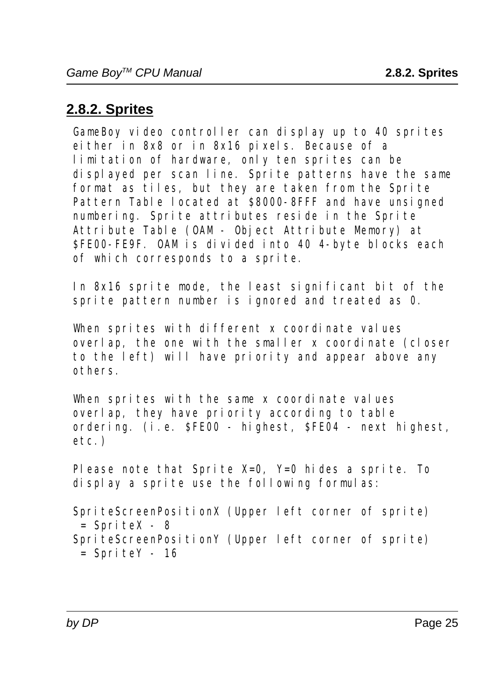### **2.8.2. Sprites**

 GameBoy video controller can display up to 40 sprites either in 8x8 or in 8x16 pixels. Because of a limitation of hardware, only ten sprites can be displayed per scan line. Sprite patterns have the same format as tiles, but they are taken from the Sprite Pattern Table located at \$8000-8FFF and have unsigned numbering. Sprite attributes reside in the Sprite Attribute Table (OAM - Object Attribute Memory) at \$FE00-FE9F. OAM is divided into 40 4-byte blocks each of which corresponds to a sprite.

 In 8x16 sprite mode, the least significant bit of the sprite pattern number is ignored and treated as 0.

When sprites with different x coordinate values overlap, the one with the smaller x coordinate (closer to the left) will have priority and appear above any others.

 When sprites with the same x coordinate values overlap, they have priority according to table ordering. (i.e. \$FE00 - highest, \$FE04 - next highest, etc.)

 Please note that Sprite X=0, Y=0 hides a sprite. To display a sprite use the following formulas:

 SpriteScreenPositionX (Upper left corner of sprite)  $=$  SpriteX - 8 SpriteScreenPositionY (Upper left corner of sprite)  $=$  SpriteY - 16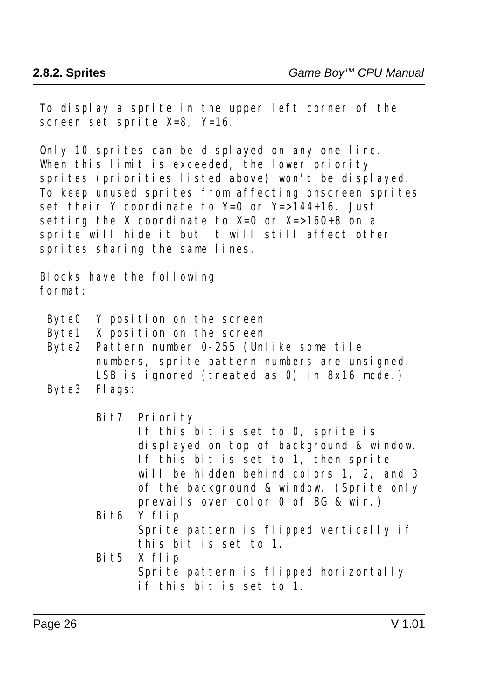To display a sprite in the upper left corner of the screen set sprite X=8, Y=16.

 Only 10 sprites can be displayed on any one line. When this limit is exceeded, the lower priority sprites (priorities listed above) won't be displayed. To keep unused sprites from affecting onscreen sprites set their Y coordinate to Y=0 or Y=>144+16. Just setting the X coordinate to  $X=0$  or  $X=>160+8$  on a sprite will hide it but it will still affect other sprites sharing the same lines.

 Blocks have the following format:

- Byte0 Y position on the screen
- Byte1 X position on the screen
- Byte2 Pattern number 0-255 (Unlike some tile numbers, sprite pattern numbers are unsigned. LSB is ignored (treated as 0) in 8x16 mode.)
- Byte3 Flags:

Bit7 Priority

 If this bit is set to 0, sprite is displayed on top of background & window. If this bit is set to 1, then sprite will be hidden behind colors 1, 2, and 3 of the background & window. (Sprite only prevails over color 0 of BG & win.)

- Bit6 Y flip Sprite pattern is flipped vertically if this bit is set to 1.
- Bit5 X flip Sprite pattern is flipped horizontally if this bit is set to 1.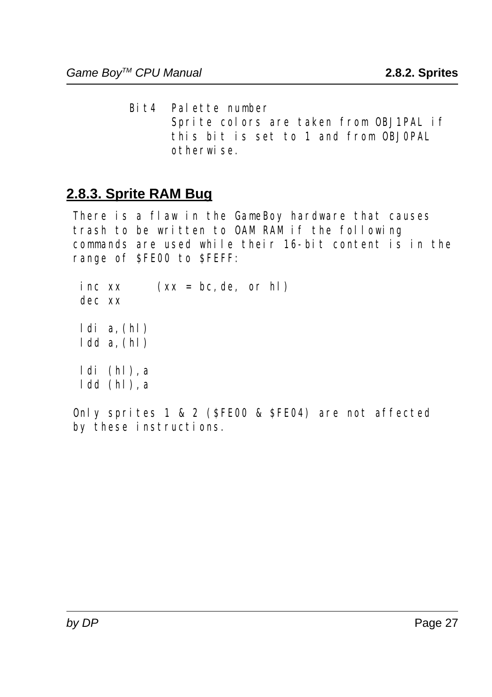Bit4 Palette number Sprite colors are taken from OBJ1PAL if this bit is set to 1 and from OBJ0PAL otherwise.

#### **2.8.3. Sprite RAM Bug**

 There is a flaw in the GameBoy hardware that causes trash to be written to OAM RAM if the following commands are used while their 16-bit content is in the range of \$FE00 to \$FEFF:

inc  $xx$   $(xx = bc, de, or hl)$  dec xx  $ldi$  a,  $(hl)$  $1dd$ a,  $(hl)$  ldi (hl),a ldd (hl),a

 Only sprites 1 & 2 (\$FE00 & \$FE04) are not affected by these instructions.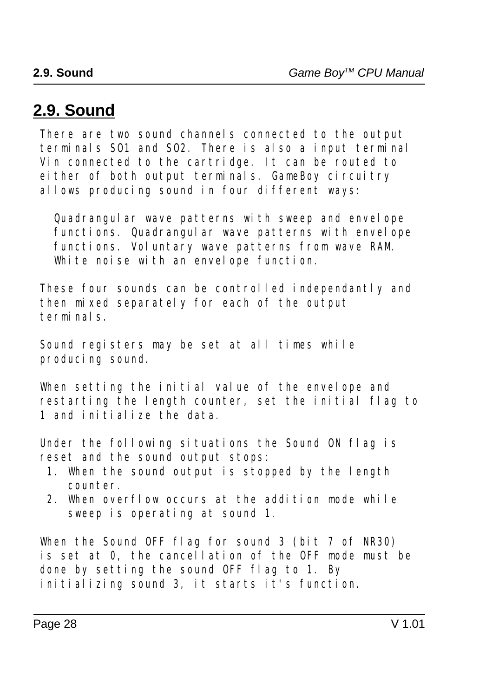# **2.9. Sound**

 There are two sound channels connected to the output terminals SO1 and SO2. There is also a input terminal Vin connected to the cartridge. It can be routed to either of both output terminals. GameBoy circuitry allows producing sound in four different ways:

 Quadrangular wave patterns with sweep and envelope functions. Quadrangular wave patterns with envelope functions. Voluntary wave patterns from wave RAM. White noise with an envelope function.

 These four sounds can be controlled independantly and then mixed separately for each of the output terminals.

 Sound registers may be set at all times while producing sound.

 When setting the initial value of the envelope and restarting the length counter, set the initial flag to 1 and initialize the data.

 Under the following situations the Sound ON flag is reset and the sound output stops:

- 1. When the sound output is stopped by the length counter.
- 2. When overflow occurs at the addition mode while sweep is operating at sound 1.

 When the Sound OFF flag for sound 3 (bit 7 of NR30) is set at 0, the cancellation of the OFF mode must be done by setting the sound OFF flag to 1. By initializing sound 3, it starts it's function.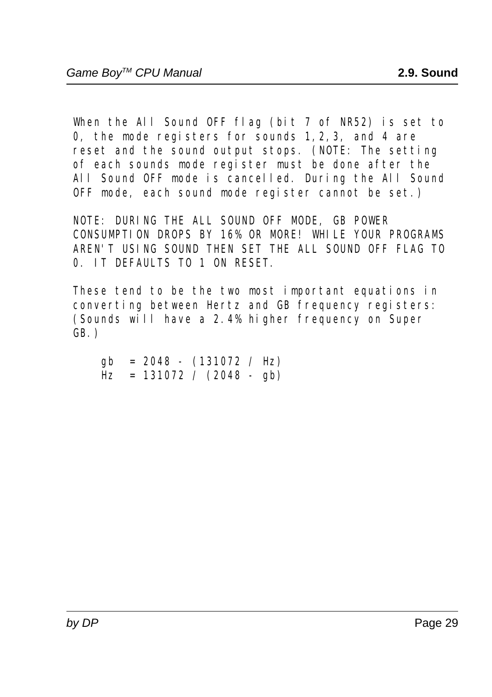When the All Sound OFF flag (bit 7 of NR52) is set to 0, the mode registers for sounds 1,2,3, and 4 are reset and the sound output stops. (NOTE: The setting of each sounds mode register must be done after the All Sound OFF mode is cancelled. During the All Sound OFF mode, each sound mode register cannot be set.)

 NOTE: DURING THE ALL SOUND OFF MODE, GB POWER CONSUMPTION DROPS BY 16% OR MORE! WHILE YOUR PROGRAMS AREN'T USING SOUND THEN SET THE ALL SOUND OFF FLAG TO 0. IT DEFAULTS TO 1 ON RESET.

 These tend to be the two most important equations in converting between Hertz and GB frequency registers: (Sounds will have a 2.4% higher frequency on Super GB.)

 $gb = 2048 - (131072 / Hz)$  $\text{Hz} = 131072 / (2048 - gh)$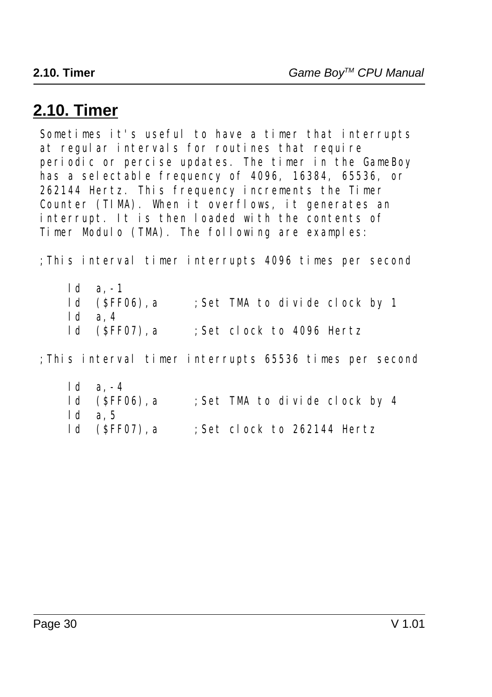# **2.10. Timer**

 Sometimes it's useful to have a timer that interrupts at regular intervals for routines that require periodic or percise updates. The timer in the GameBoy has a selectable frequency of 4096, 16384, 65536, or 262144 Hertz. This frequency increments the Timer Counter (TIMA). When it overflows, it generates an interrupt. It is then loaded with the contents of Timer Modulo (TMA). The following are examples:

;This interval timer interrupts 4096 times per second

ld a, -1<br>ld (\$FF06), a ; Set TMA to divide clock by 1 ld a,4 ld (\$FF07),a ;Set clock to 4096 Hertz

;This interval timer interrupts 65536 times per second

 ld a,-4 ld (\$FF06),a ;Set TMA to divide clock by 4 ld a,5 ld (\$FF07),a ;Set clock to 262144 Hertz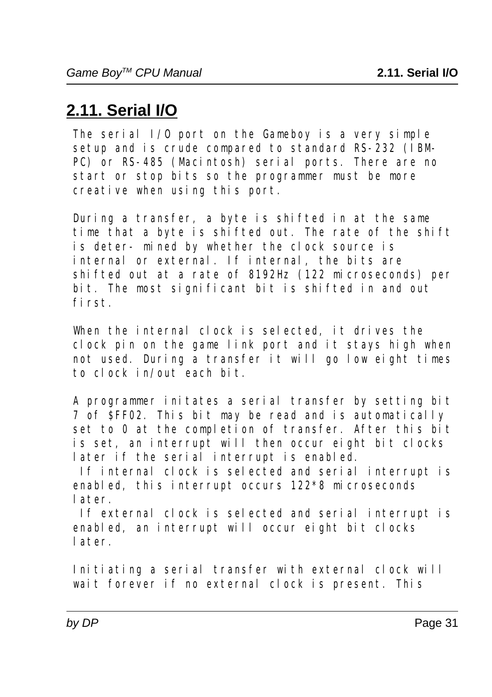# **2.11. Serial I/O**

The serial  $I/0$  port on the Gameboy is a very simple setup and is crude compared to standard RS-232 (IBM- PC) or RS-485 (Macintosh) serial ports. There are no start or stop bits so the programmer must be more creative when using this port.

 During a transfer, a byte is shifted in at the same time that a byte is shifted out. The rate of the shift is deter- mined by whether the clock source is internal or external. If internal, the bits are shifted out at a rate of 8192Hz (122 microseconds) per bit. The most significant bit is shifted in and out first.

 When the internal clock is selected, it drives the clock pin on the game link port and it stays high when not used. During a transfer it will go low eight times to clock in/out each bit.

 A programmer initates a serial transfer by setting bit 7 of \$FF02. This bit may be read and is automatically set to 0 at the completion of transfer. After this bit is set, an interrupt will then occur eight bit clocks later if the serial interrupt is enabled.

 If internal clock is selected and serial interrupt is enabled, this interrupt occurs 122\*8 microseconds later.

 If external clock is selected and serial interrupt is enabled, an interrupt will occur eight bit clocks later.

 Initiating a serial transfer with external clock will wait forever if no external clock is present. This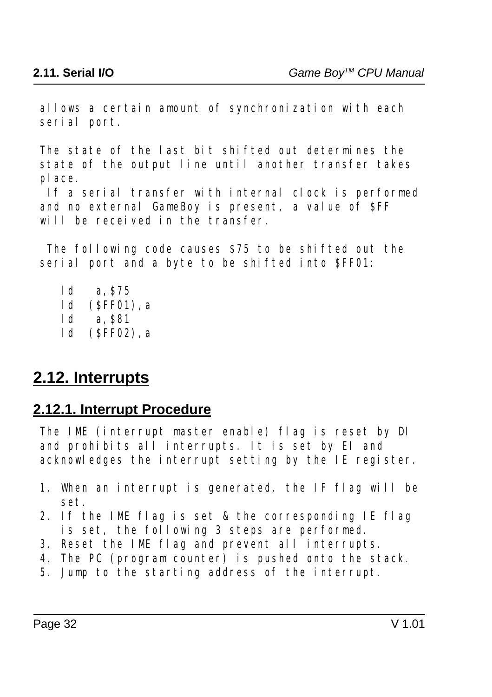allows a certain amount of synchronization with each serial port.

 The state of the last bit shifted out determines the state of the output line until another transfer takes place.

 If a serial transfer with internal clock is performed and no external GameBoy is present, a value of \$FF will be received in the transfer.

 The following code causes \$75 to be shifted out the serial port and a byte to be shifted into \$FF01:

 ld a,\$75 ld (\$FF01),a ld a,\$81 ld (\$FF02),a

## **2.12. Interrupts**

#### **2.12.1. Interrupt Procedure**

 The IME (interrupt master enable) flag is reset by DI and prohibits all interrupts. It is set by EI and acknowledges the interrupt setting by the IE register.

- 1. When an interrupt is generated, the IF flag will be set.
- 2. If the IME flag is set & the corresponding IE flag is set, the following 3 steps are performed.
- 3. Reset the IME flag and prevent all interrupts.
- 4. The PC (program counter) is pushed onto the stack.
- 5. Jump to the starting address of the interrupt.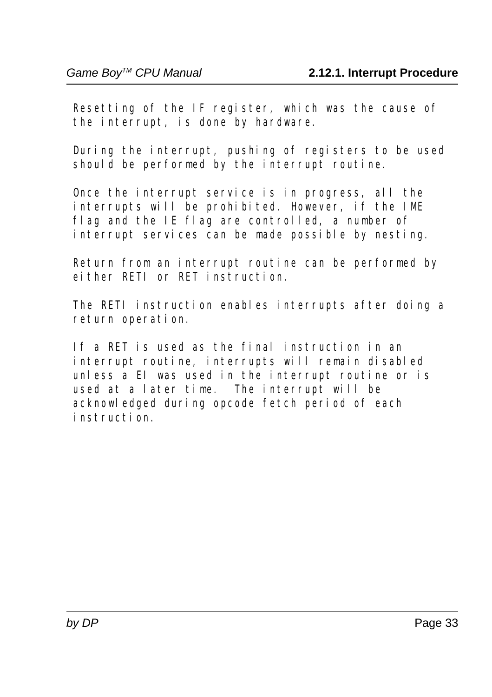Resetting of the IF register, which was the cause of the interrupt, is done by hardware.

 During the interrupt, pushing of registers to be used should be performed by the interrupt routine.

 Once the interrupt service is in progress, all the interrupts will be prohibited. However, if the IME flag and the IE flag are controlled, a number of interrupt services can be made possible by nesting.

 Return from an interrupt routine can be performed by either RETI or RET instruction.

 The RETI instruction enables interrupts after doing a return operation.

 If a RET is used as the final instruction in an interrupt routine, interrupts will remain disabled unless a EI was used in the interrupt routine or is used at a later time. The interrupt will be acknowledged during opcode fetch period of each instruction.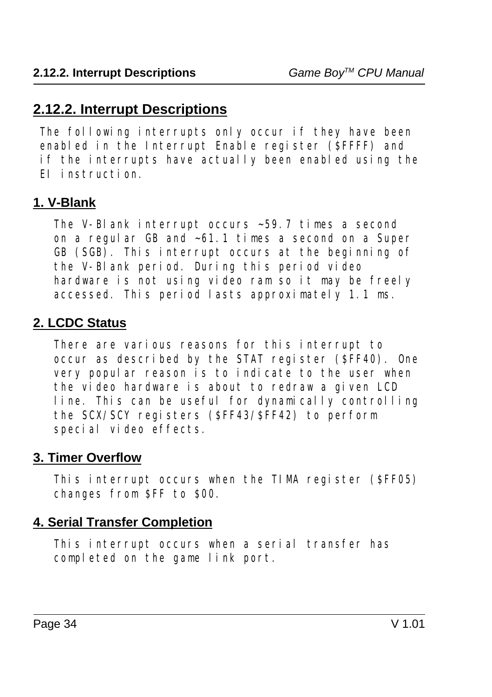#### **2.12.2. Interrupt Descriptions**

 The following interrupts only occur if they have been enabled in the Interrupt Enable register (\$FFFF) and if the interrupts have actually been enabled using the EI instruction.

#### **1. V-Blank**

 The V-Blank interrupt occurs ~59.7 times a second on a regular GB and ~61.1 times a second on a Super GB (SGB). This interrupt occurs at the beginning of the V-Blank period. During this period video hardware is not using video ram so it may be freely accessed. This period lasts approximately 1.1 ms.

#### **2. LCDC Status**

 There are various reasons for this interrupt to occur as described by the STAT register (\$FF40). One very popular reason is to indicate to the user when the video hardware is about to redraw a given LCD line. This can be useful for dynamically controlling the SCX/SCY registers (\$FF43/\$FF42) to perform special video effects.

#### **3. Timer Overflow**

 This interrupt occurs when the TIMA register (\$FF05) changes from \$FF to \$00.

#### **4. Serial Transfer Completion**

 This interrupt occurs when a serial transfer has completed on the game link port.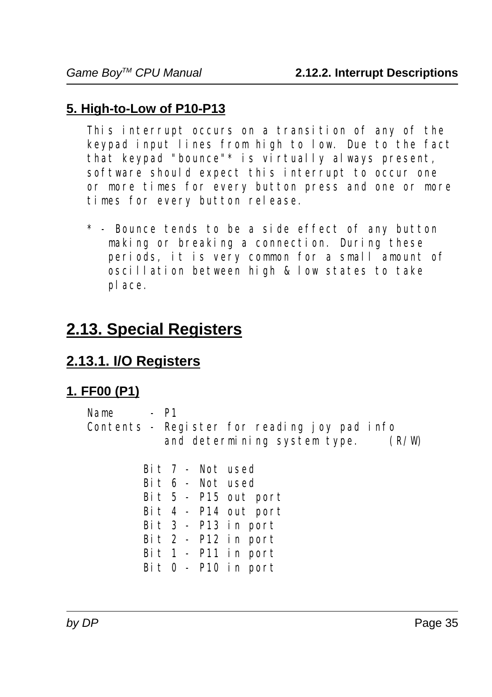#### **5. High-to-Low of P10-P13**

 This interrupt occurs on a transition of any of the keypad input lines from high to low. Due to the fact that keypad "bounce"\* is virtually always present, software should expect this interrupt to occur one or more times for every button press and one or more times for every button release.

 \* - Bounce tends to be a side effect of any button making or breaking a connection. During these periods, it is very common for a small amount of oscillation between high & low states to take place.

# **2.13. Special Registers**

#### **2.13.1. I/O Registers**

#### **1. FF00 (P1)**

| - P1<br>Name |                                              |       |
|--------------|----------------------------------------------|-------|
|              | Contents - Register for reading joy pad info |       |
|              | and determining system type.                 | (R/W) |

 Bit 7 - Not used Bit 6 - Not used Bit 5 - P15 out port Bit 4 - P14 out port Bit 3 - P13 in port Bit 2 - P12 in port Bit 1 - P11 in port Bit 0 - P10 in port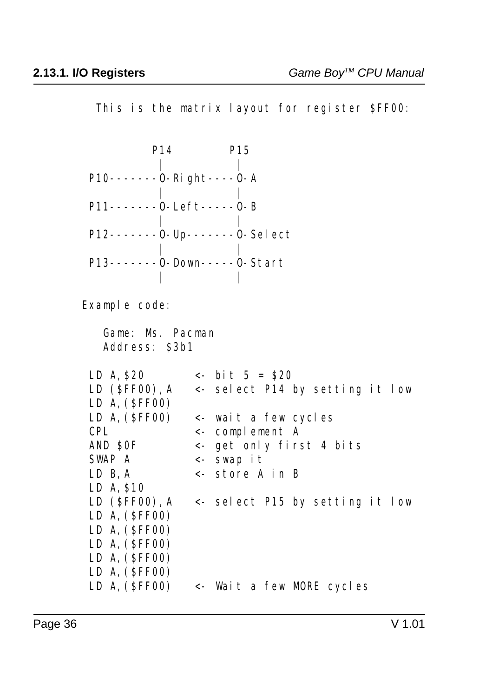This is the matrix layout for register \$FF00:

| P14                                       | P15                              |
|-------------------------------------------|----------------------------------|
|                                           |                                  |
| P10 - - - - - - - 0 - Right - - - - 0 - A |                                  |
|                                           |                                  |
| $P11$ -------0-Left-----0-B               |                                  |
|                                           | $P12$ -------0-Up-------0-Select |
|                                           | $P13$ -------0-Down-----0-Start  |
|                                           |                                  |

Example code:

 Game: Ms. Pacman Address: \$3b1

| LD A, \$20      | $\leftarrow$ bit 5 = \$20                        |
|-----------------|--------------------------------------------------|
|                 | LD $(SFF00)$ , A <- select P14 by setting it low |
| LD A, $(SFF00)$ |                                                  |
| LD A, $(SFF00)$ | <- wait a few cycles                             |
| <b>CPL</b>      | $\leftarrow$ complement A                        |
| AND SOF         | <- get only first 4 bits                         |
| SWAP A          | $\leftarrow$ swap it                             |
| LD B, A         | <- store A in B                                  |
| $LD$ A, $$10$   |                                                  |
|                 | LD $(SFF00)$ , A <- select P15 by setting it low |
| LD A, $(SFF00)$ |                                                  |
| LD A, $(SFF00)$ |                                                  |
| LD A, $(SFF00)$ |                                                  |
| LD A, $(SFF00)$ |                                                  |
| LD A, (\$FF00)  |                                                  |
| LD A, $(SFF00)$ | <- Wait a few MORE cycles                        |
|                 |                                                  |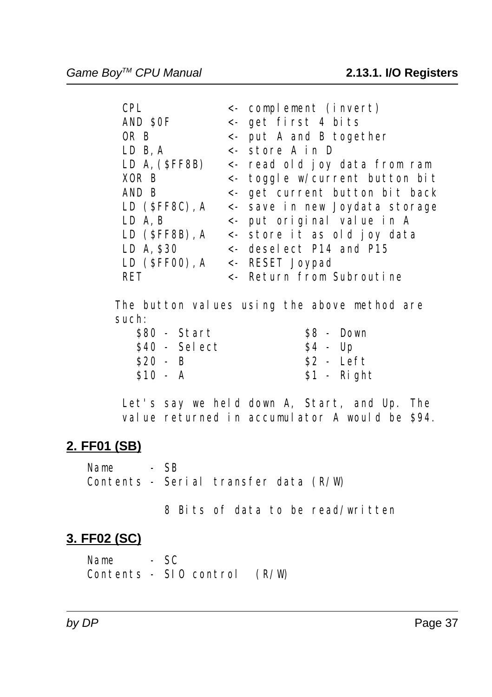| <b>CPL</b>                     | <- complement (invert)               |
|--------------------------------|--------------------------------------|
| AND SOF                        | <- get first 4 bits                  |
| OR B                           | $\leftarrow$ put A and B together    |
| $LD$ $B$ , $A$                 | $\leftarrow$ store A in D            |
| LD A, (SFF8B)                  | <- read old joy data from ram        |
| XOR B                          | <- toggle w/current button bit       |
| AND B                          | <- get current button bit back       |
| $LD$ (SFF8C), A                | <- save in new Joydata storage       |
| $LD$ A, B                      | $\leftarrow$ put original value in A |
| $LD$ (SFF8B), A                | <- store it as old joy data          |
| LD A, \$30                     | $\leftarrow$ deselect P14 and P15    |
| LD (\$FF00), A <- RESET Joypad |                                      |
| RET                            | <- Return from Subroutine            |
|                                |                                      |

 The button values using the above method are such:

| $$80$ - Start |               |  | S8 - Down    |
|---------------|---------------|--|--------------|
|               | \$40 - Select |  | $S4 - Up$    |
| $S20 - B$     |               |  | $\$2$ - Left |
| $$10 - A$     |               |  | $$1 -$ Right |
|               |               |  |              |

 Let's say we held down A, Start, and Up. The value returned in accumulator A would be \$94.

#### **2. FF01 (SB)**

 Name - SB Contents - Serial transfer data (R/W)

8 Bits of data to be read/written

#### **3. FF02 (SC)**

Name - SC Contents - SIO control (R/W)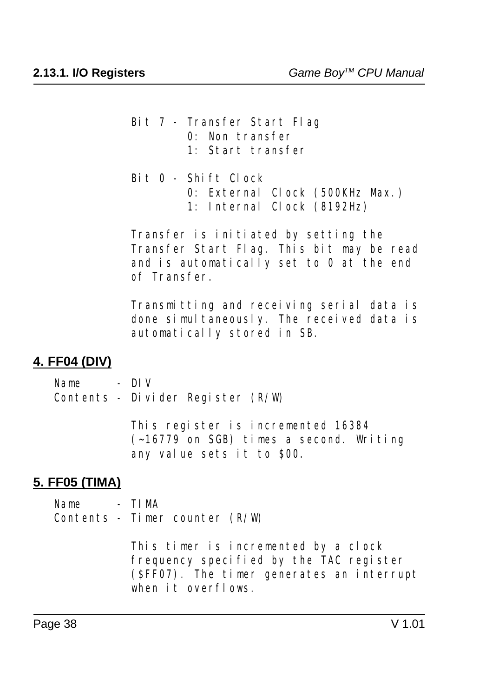- Bit 7 Transfer Start Flag 0: Non transfer 1: Start transfer
- Bit 0 Shift Clock 0: External Clock (500KHz Max.) 1: Internal Clock (8192Hz)

 Transfer is initiated by setting the Transfer Start Flag. This bit may be read and is automatically set to 0 at the end of Transfer.

 Transmitting and receiving serial data is done simultaneously. The received data is automatically stored in SB.

#### **4. FF04 (DIV)**

Name - DIV Contents - Divider Register (R/W)

> This register is incremented 16384 (~16779 on SGB) times a second. Writing any value sets it to \$00.

#### **5. FF05 (TIMA)**

Name - TIMA Contents - Timer counter (R/W)

> This timer is incremented by a clock frequency specified by the TAC register (\$FF07). The timer generates an interrupt when it overflows.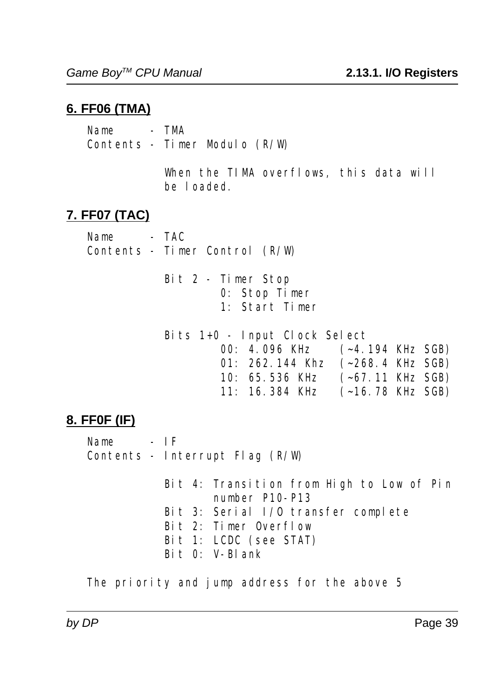### **6. FF06 (TMA)**

Name - TMA Contents - Timer Modulo (R/W)

> When the TIMA overflows, this data will be loaded.

### **7. FF07 (TAC)**

Name - TAC Contents - Timer Control (R/W)

> Bit 2 - Timer Stop 0: Stop Timer 1: Start Timer

 Bits 1+0 - Input Clock Select 00: 4.096 KHz (~4.194 KHz SGB) 01: 262.144 Khz (~268.4 KHz SGB) 10: 65.536 KHz (~67.11 KHz SGB) 11: 16.384 KHz (~16.78 KHz SGB)

#### **8. FF0F (IF)**

Name - IF Contents - Interrupt Flag (R/W)

> Bit 4: Transition from High to Low of Pin number P10-P13 Bit 3: Serial I/O transfer complete Bit 2: Timer Overflow Bit 1: LCDC (see STAT) Bit 0: V-Blank

The priority and jump address for the above 5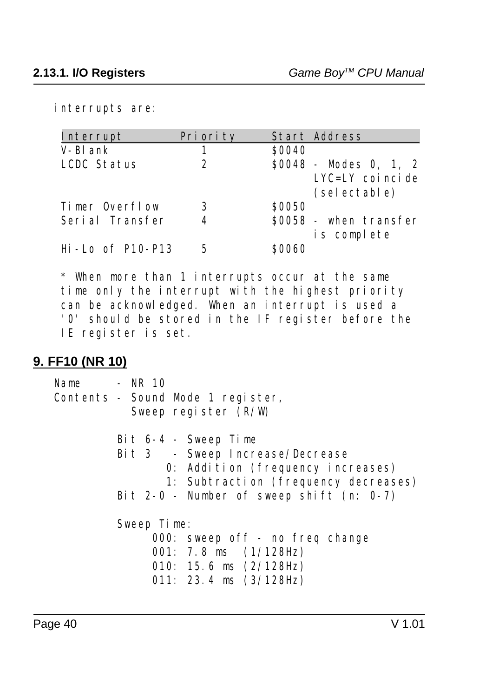interrupts are:

| Interrupt            | Pri ori ty | <b>Start Address</b>                  |
|----------------------|------------|---------------------------------------|
| V-Bl ank             |            | \$0040                                |
| LCDC Status          | 2          | $$0048$ - Modes 0, 1, 2               |
|                      |            | $LYC=LY$ coincide<br>(sel ectable)    |
| Timer Overflow       | 3          | \$0050                                |
| Serial Transfer      | 4          | \$0058 - when transfer<br>is complete |
| $Hi$ - Lo of P10-P13 | 5          | 90060                                 |

 \* When more than 1 interrupts occur at the same time only the interrupt with the highest priority can be acknowledged. When an interrupt is used a '0' should be stored in the IF register before the IE register is set.

#### **9. FF10 (NR 10)**

 Name - NR 10 Contents - Sound Mode 1 register, Sweep register (R/W) Bit 6-4 - Sweep Time Bit 3 - Sweep Increase/Decrease 0: Addition (frequency increases) 1: Subtraction (frequency decreases) Bit 2-0 - Number of sweep shift  $(n: 0-7)$  Sweep Time: 000: sweep off - no freq change 001: 7.8 ms (1/128Hz) 010: 15.6 ms (2/128Hz) 011: 23.4 ms (3/128Hz)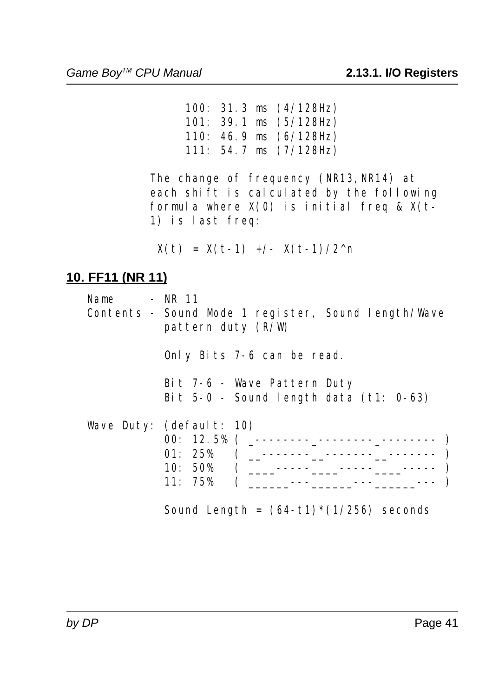100: 31.3 ms (4/128Hz) 101: 39.1 ms (5/128Hz) 110: 46.9 ms (6/128Hz) 111: 54.7 ms (7/128Hz)

The change of frequency (NR13, NR14) at each shift is calculated by the following formula where  $X(0)$  is initial freq &  $X(t-$ 1) is last freq:

 $X(t) = X(t-1)$  +/-  $X(t-1)/2^n$ 

# **10. FF11 (NR 11)**

| Name | - NR 11<br>Contents - Sound Mode 1 register, Sound length/Wave<br>pattern duty $(R/W)$ |
|------|----------------------------------------------------------------------------------------|
|      | Only Bits 7-6 can be read.                                                             |
|      | Bit 7-6 - Wave Pattern Duty<br>Bit $5-0$ - Sound length data (t1: $0-63$ )             |
|      | Wave Duty: (default: 10)<br>01:25%<br>10:50%<br>11:75%                                 |

Sound Length =  $(64-t1)*(1/256)$  seconds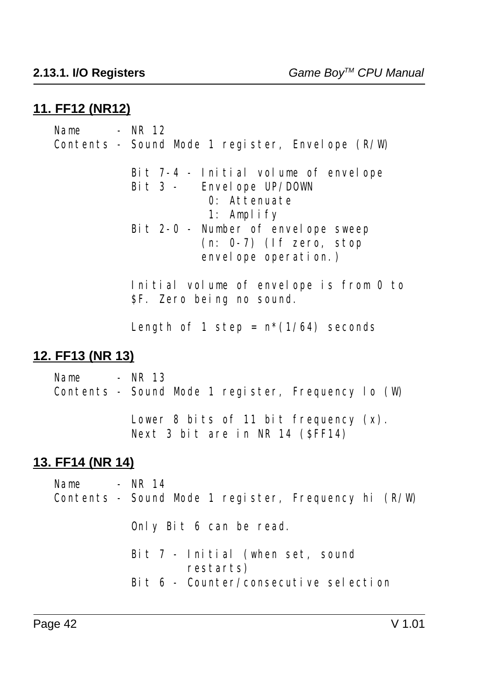#### **11. FF12 (NR12)**

 $Name$  -  $NR$  12 Contents - Sound Mode 1 register, Envelope (R/W) Bit 7-4 - Initial volume of envelope Bit 3 - Envelope UP/DOWN 0: Attenuate 1: Amplify Bit 2-0 - Number of envelope sweep (n: 0-7) (If zero, stop envelope operation.) Initial volume of envelope is from 0 to \$F. Zero being no sound. Length of 1 step =  $n*(1/64)$  seconds **12. FF13 (NR 13)** Name  $- NR$  13 Contents - Sound Mode 1 register, Frequency lo (W) Lower 8 bits of 11 bit frequency  $(x)$ . Next 3 bit are in NR 14 (\$FF14) **13. FF14 (NR 14)** Name - NR 14 Contents - Sound Mode 1 register, Frequency hi (R/W) Only Bit 6 can be read. Bit 7 - Initial (when set, sound

restarts)

Bit 6 - Counter/consecutive selection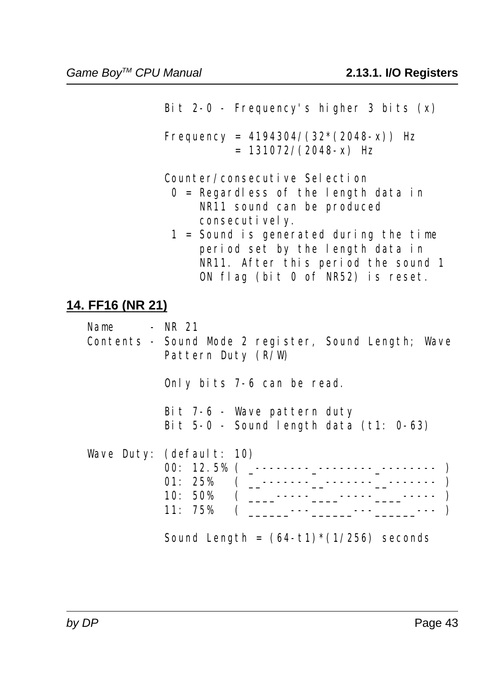Bit 2-0 - Frequency's higher 3 bits (x)

Frequency =  $4194304/(32*(2048-x))$  Hz  $= 131072/(2048-x)$  Hz

Counter/consecutive Selection

- $0 =$  Regardless of the length data in NR11 sound can be produced consecutively.
- 1 = Sound is generated during the time period set by the length data in NR11. After this period the sound 1 ON flag (bit 0 of NR52) is reset.

#### **14. FF16 (NR 21)**

| Name | - NR 21<br>Contents - Sound Mode 2 register, Sound Length; Wave<br>Pattern Duty (R/W) |
|------|---------------------------------------------------------------------------------------|
|      | Only bits 7-6 can be read.                                                            |
|      | Bit 7-6 - Wave pattern duty<br>Bit $5-0$ - Sound length data (t1: $0-63$ )            |
|      | Wave Duty: $(\text{default}: 10)$<br>10:50%<br>11:75%                                 |

Sound Length =  $(64-t1)*(1/256)$  seconds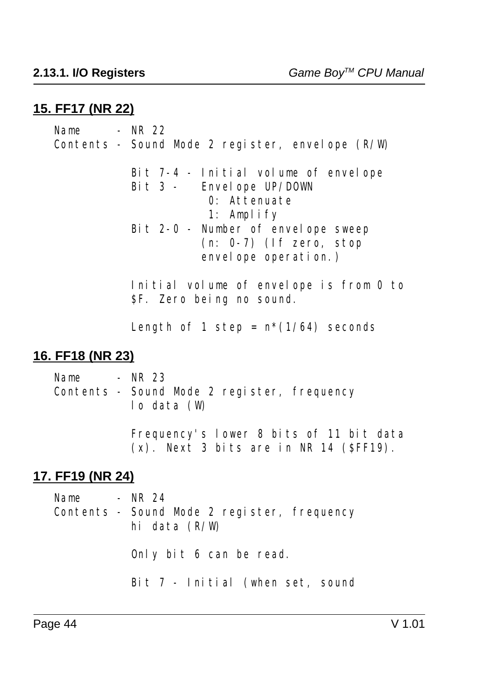#### **15. FF17 (NR 22)**

Name  $-$  NR 22 Contents - Sound Mode 2 register, envelope (R/W) Bit 7-4 - Initial volume of envelope Bit 3 - Envelope UP/DOWN 0: Attenuate 1: Amplify Bit 2-0 - Number of envelope sweep (n: 0-7) (If zero, stop envelope operation.) Initial volume of envelope is from 0 to \$F. Zero being no sound. Length of 1 step =  $n*(1/64)$  seconds **16. FF18 (NR 23)** Name - NR 23 Contents - Sound Mode 2 register, frequency

lo data (W)

 Frequency's lower 8 bits of 11 bit data  $(x)$ . Next 3 bits are in NR 14 (\$FF19).

#### **17. FF19 (NR 24)**

| Name - NR $24$ | Contents - Sound Mode 2 register, frequency<br>hi data $(R/W)$ |
|----------------|----------------------------------------------------------------|
|                | Only bit 6 can be read.                                        |
|                | Bit 7 - Initial (when set, sound                               |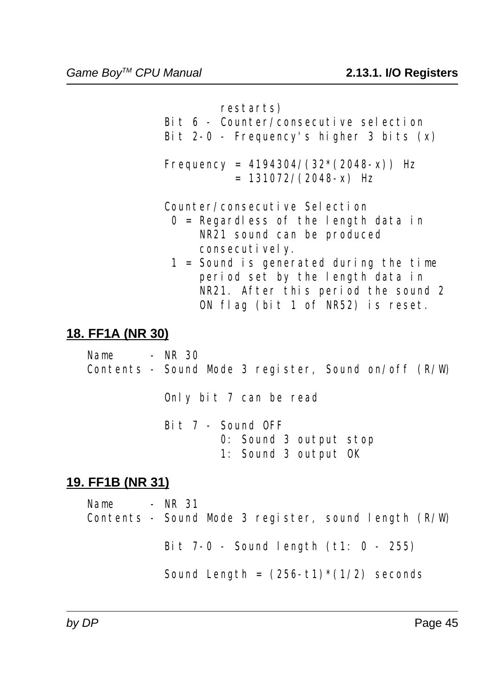restarts)

- Bit 6 Counter/consecutive selection
- Bit  $2-0$  Frequency's higher 3 bits  $(x)$
- Frequency =  $4194304/(32*(2048-x))$  Hz  $= 131072/(2048-x)$  Hz

Counter/consecutive Selection

- $0$  = Regardless of the length data in NR21 sound can be produced consecutively.
- 1 = Sound is generated during the time period set by the length data in NR21. After this period the sound 2 ON flag (bit 1 of NR52) is reset.

# **18. FF1A (NR 30)**

 Name - NR 30 Contents - Sound Mode 3 register, Sound on/off (R/W)

Only bit 7 can be read

 Bit 7 - Sound OFF 0: Sound 3 output stop 1: Sound 3 output OK

# **19. FF1B (NR 31)**

Name  $-$  NR 31 Contents - Sound Mode 3 register, sound length (R/W)

Bit 7-0 - Sound length (t1: 0 - 255)

Sound Length =  $(256-t1)*(1/2)$  seconds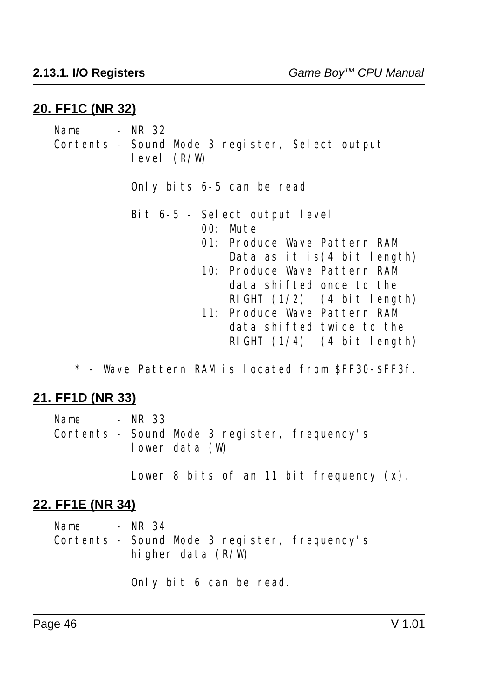#### **20. FF1C (NR 32)**

 $Name$  -  $NR$  32 Contents - Sound Mode 3 register, Select output level (R/W) Only bits 6-5 can be read Bit 6-5 - Select output level 00: Mute 01: Produce Wave Pattern RAM Data as it is(4 bit length) 10: Produce Wave Pattern RAM data shifted once to the RIGHT (1/2) (4 bit length) 11: Produce Wave Pattern RAM data shifted twice to the RIGHT  $(1/4)$   $(4 \text{ bit length})$ 

\* - Wave Pattern RAM is located from \$FF30-\$FF3f.

#### **21. FF1D (NR 33)**

| Name | - NR 33        |  |                                               |
|------|----------------|--|-----------------------------------------------|
|      |                |  | Contents - Sound Mode 3 register, frequency's |
|      | lower data (W) |  |                                               |

Lower 8 bits of an 11 bit frequency (x).

#### **22. FF1E (NR 34)**

Name - NR 34 Contents - Sound Mode 3 register, frequency's higher data (R/W)

Only bit 6 can be read.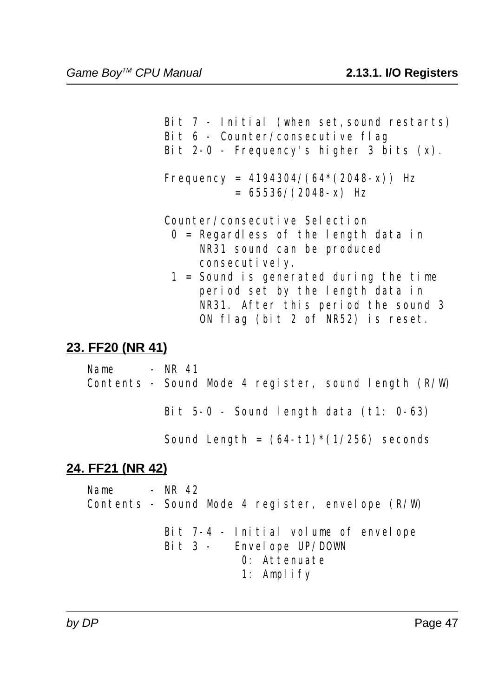Bit 7 - Initial (when set, sound restarts) Bit 6 - Counter/consecutive flag

Bit  $2-0$  - Frequency's higher 3 bits  $(x)$ .

Frequency =  $4194304/(64*(2048-x))$  Hz  $= 65536/(2048-x)$  Hz

Counter/consecutive Selection

- $0 =$  Regardless of the length data in NR31 sound can be produced consecutively.
- 1 = Sound is generated during the time period set by the length data in NR31. After this period the sound 3 ON flag (bit 2 of NR52) is reset.

## **23. FF20 (NR 41)**

 $Name$  -  $NR$  41 Contents - Sound Mode 4 register, sound length (R/W)

Bit 5-0 - Sound length data (t1: 0-63)

Sound Length =  $(64-t1)*(1/256)$  seconds

# **24. FF21 (NR 42)**

Name - NR 42 Contents - Sound Mode 4 register, envelope (R/W)

> Bit 7-4 - Initial volume of envelope Bit 3 - Envelope UP/DOWN 0: Attenuate 1: Amplify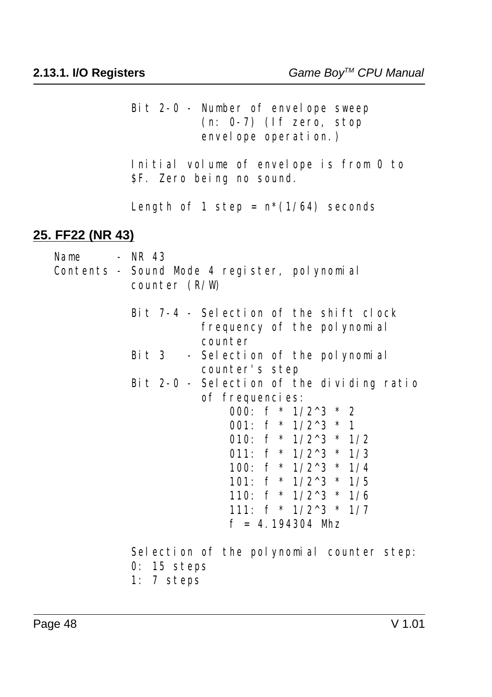Bit 2-0 - Number of envelope sweep (n: 0-7) (If zero, stop envel ope operation.)

 Initial volume of envelope is from 0 to \$F. Zero being no sound.

Length of 1 step =  $n*(1/64)$  seconds

#### **25. FF22 (NR 43)**

Name  $-$  NR 43 Contents - Sound Mode 4 register, polynomial counter (R/W) Bit 7-4 - Selection of the shift clock frequency of the polynomial counter Bit 3 - Selection of the polynomial counter's step Bit 2-0 - Selection of the dividing ratio of frequencies: 000:  $f * 1/2^3 * 2$ 001:  $f * 1/2^3 * 1$ 010:  $f * 1/2^3 * 1/2$ 011:  $f * 1/2^3 * 1/3$ 100:  $f * 1/2^3 * 1/4$ 101:  $f * 1/2^3 * 1/5$ 110:  $f * 1/2^3 * 1/6$ 111:  $f * 1/2^3 * 1/7$  $f = 4.194304$  Mhz Selection of the polynomial counter step: 0: 15 steps

1: 7 steps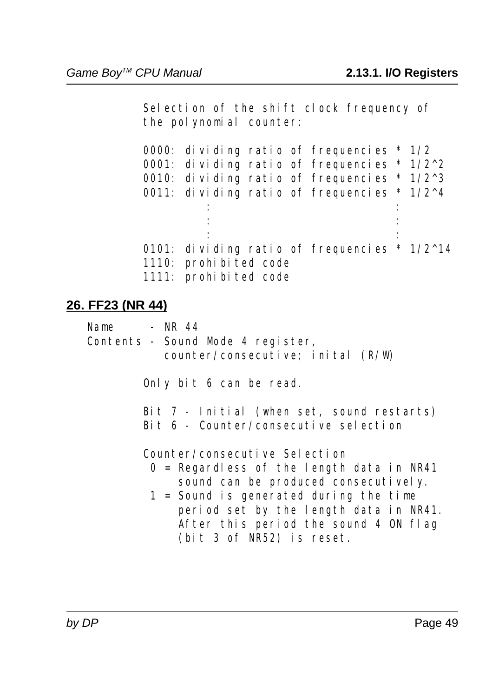Selection of the shift clock frequency of the polynomial counter:

| 0000: dividing ratio of frequencies $*1/2$    |  |
|-----------------------------------------------|--|
| 0001: dividing ratio of frequencies $* 1/2^2$ |  |
| 0010: dividing ratio of frequencies * $1/2^3$ |  |
| 0011: dividing ratio of frequencies * $1/2^4$ |  |
|                                               |  |
|                                               |  |
|                                               |  |
| 0101: dividing ratio of frequencies * $1/2^1$ |  |
| 1110: prohibited code                         |  |
| 1111: prohibited code                         |  |

### **26. FF23 (NR 44)**

Name - NR 44 Contents - Sound Mode 4 register, counter/consecutive; inital (R/W)

Only bit 6 can be read.

| Bit 7 - Initial (when set, sound restarts) |
|--------------------------------------------|
| Bit 6 - Counter/consecutive selection      |

Counter/consecutive Selection

- 0 = Regardless of the length data in NR41 sound can be produced consecutively.
- $1 =$  Sound is generated during the time period set by the length data in NR41. After this period the sound 4 ON flag (bit 3 of NR52) is reset.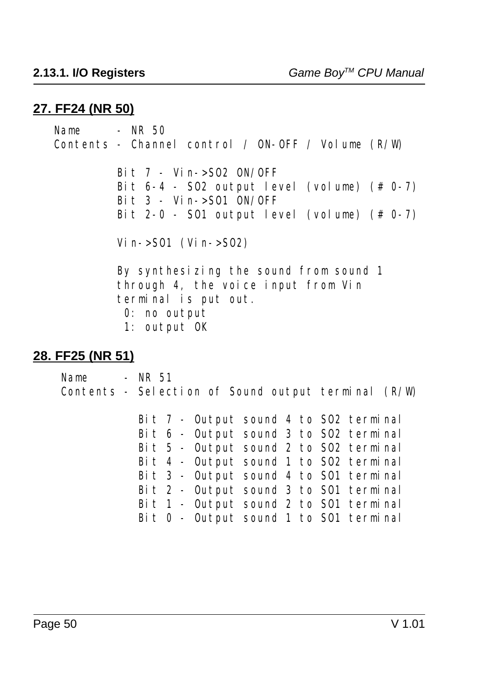#### **27. FF24 (NR 50)**

 $Name$  -  $NR$  50 Contents - Channel control / ON-OFF / Volume (R/W) Bit 7 - Vin->SO2 ON/OFF Bit  $6-4$  - S02 output level (volume)  $(# 0-7)$ Bit  $3 - \text{Vi n}$ ->S01 ON/OFF Bit  $2-0$  - S01 output level (volume)  $(# 0-7)$ Vi n- $>$ S01 (Vi n- $>$ S02) By synthesizing the sound from sound 1 through 4, the voice input from Vin terminal is put out. 0: no output 1: output OK **28. FF25 (NR 51)** Name  $-$  NR 51 Contents - Selection of Sound output terminal (R/W) Bit 7 - Output sound 4 to SO2 terminal Bit 6 - Output sound 3 to SO2 terminal Bit 5 - Output sound 2 to SO2 terminal Bit 4 - Output sound 1 to SO2 terminal Bit 3 - Output sound 4 to SO1 terminal Bit 2 - Output sound 3 to SO1 terminal Bit 1 - Output sound 2 to SO1 terminal Bit 0 - Output sound 1 to SO1 terminal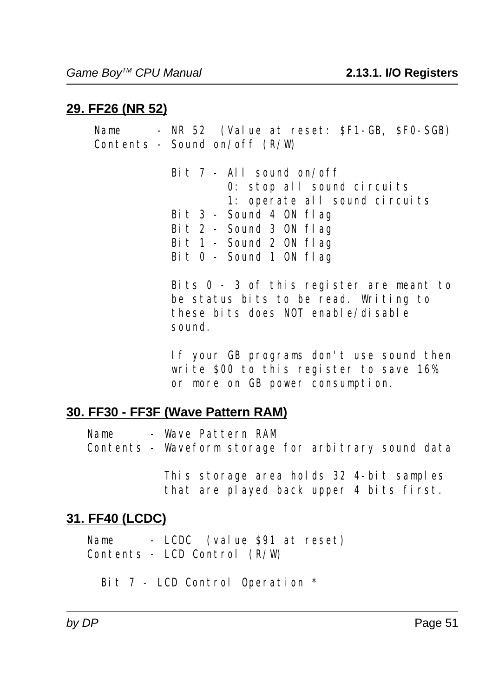# **29. FF26 (NR 52)**

Name - NR 52 (Value at reset: SF1-GB, SF0-SGB) Contents - Sound on/off (R/W) Bit 7 - All sound on/off 0: stop all sound circuits 1: operate all sound circuits Bit 3 - Sound 4 ON flag Bit 2 - Sound 3 ON flag Bit  $1$  - Sound  $2$  ON flag Bit 0 - Sound 1 ON flag Bits 0 - 3 of this register are meant to

 be status bits to be read. Writing to these bits does NOT enable/disable sound.

 If your GB programs don't use sound then write \$00 to this register to save 16% or more on GB power consumption.

# **30. FF30 - FF3F (Wave Pattern RAM)**

| Name | - Wave Pattern RAM                                   |  |  |
|------|------------------------------------------------------|--|--|
|      | Contents - Waveform storage for arbitrary sound data |  |  |

 This storage area holds 32 4-bit samples that are played back upper 4 bits first.

# **31. FF40 (LCDC)**

 Name - LCDC (value \$91 at reset) Contents - LCD Control (R/W)

Bit 7 - LCD Control Operation \*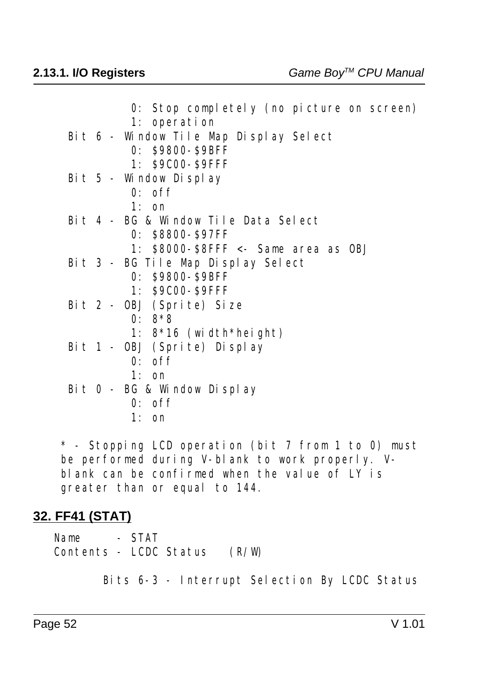| 0: Stop completely (no picture on screen) |
|-------------------------------------------|
| 1: operation                              |
| Bit 6 - Window Tile Map Display Select    |
| 0: \$9800-\$9BFF                          |
| 1: \$9C00-\$9FFF                          |
| Bit 5 - Window Display                    |
| $0:$ of f                                 |
| $1:$ on                                   |
| Bit 4 - BG & Window Tile Data Select      |
| 0: \$8800-\$97FF                          |
| 1: $$8000-S8$ FFF $\le$ Same area as OBJ  |
| Bit 3 - BG Tile Map Display Select        |
| 0: \$9800-\$9BFF                          |
| 1: \$9C00-\$9FFF                          |
| Bit 2 - OBJ (Sprite) Size                 |
| $0: 8*8$                                  |
| 1: $8*16$ (width*height)                  |
| Bit 1 - OBJ (Sprite) Display              |
| $0:$ of f                                 |
| $1:$ on                                   |
| Bit 0 - BG & Window Display               |
| $0:$ of f                                 |
| $1:$ on                                   |

 \* - Stopping LCD operation (bit 7 from 1 to 0) must be performed during V-blank to work properly. V blank can be confirmed when the value of LY is greater than or equal to 144.

#### **32. FF41 (STAT)**

Name - STAT Contents - LCDC Status (R/W)

Bits 6-3 - Interrupt Selection By LCDC Status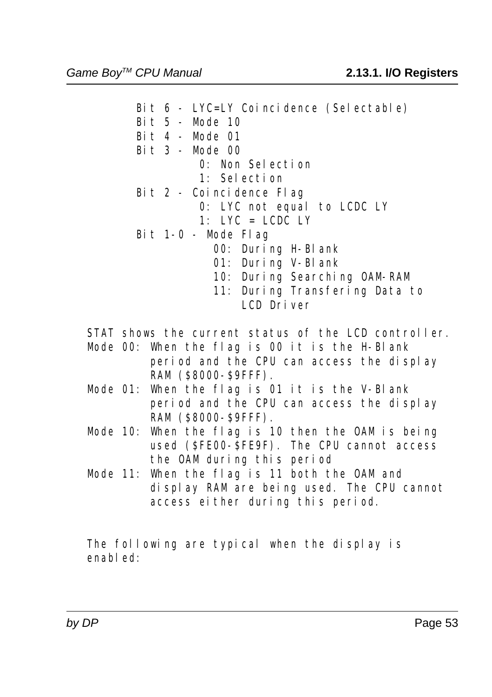Bit 6 - LYC=LY Coincidence (Selectable) Bit 5 - Mode 10 Bit 4 - Mode 01 Bit 3 - Mode 00 0: Non Selection 1: Selection Bit 2 - Coincidence Flag 0: LYC not equal to LCDC LY 1: LYC = LCDC LY Bit 1-0 - Mode Flag 00: During H-Blank 01: During V-Blank 10: During Searching OAM-RAM 11: During Transfering Data to

LCD Driver

STAT shows the current status of the LCD controller.

- Mode 00: When the flag is 00 it is the H-Blank period and the CPU can access the display RAM (\$8000-\$9FFF).
- Mode 01: When the flag is 01 it is the V-Blank period and the CPU can access the display RAM (\$8000-\$9FFF).
- Mode 10: When the flag is 10 then the OAM is being used (\$FE00-\$FE9F). The CPU cannot access the OAM during this period
- Mode 11: When the flag is 11 both the OAM and display RAM are being used. The CPU cannot access either during this period.

 The following are typical when the display is enabl ed: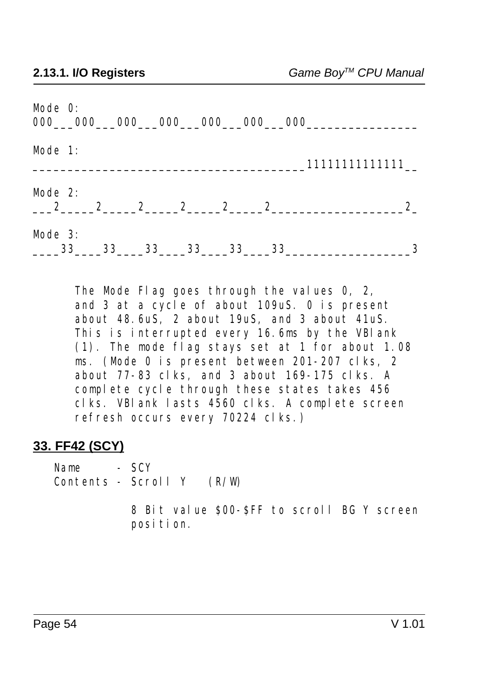| Mode 0:<br>$000$ $000$ $000$ $000$ $000$ $000$ $000$ $000$ |              |       |    |    |    |                                               |
|------------------------------------------------------------|--------------|-------|----|----|----|-----------------------------------------------|
| Mode 1:                                                    |              |       |    |    |    | 11111111111111                                |
| Mode $2$ :<br>$\overline{\phantom{1}}$ 2                   | $\mathbf{2}$ | 2 2 2 |    |    |    | $2\overline{ }$<br>$2 \overline{\phantom{a}}$ |
| Mode $3:$<br>$\sim$ 33                                     | 33           | 33    | 33 | 33 | 33 | 3                                             |

 The Mode Flag goes through the values 0, 2, and 3 at a cycle of about 109uS. 0 is present about 48.6uS, 2 about 19uS, and 3 about 41uS. This is interrupted every 16.6ms by the VBlank (1). The mode flag stays set at 1 for about 1.08 ms. (Mode 0 is present between 201-207 clks, 2 about 77-83 clks, and 3 about 169-175 clks. A complete cycle through these states takes 456 clks. VBlank lasts 4560 clks. A complete screen refresh occurs every 70224 clks.)

#### **33. FF42 (SCY)**

Name - SCV Contents - Scroll Y (R/W)

> 8 Bit value \$00-\$FF to scroll BG Y screen position.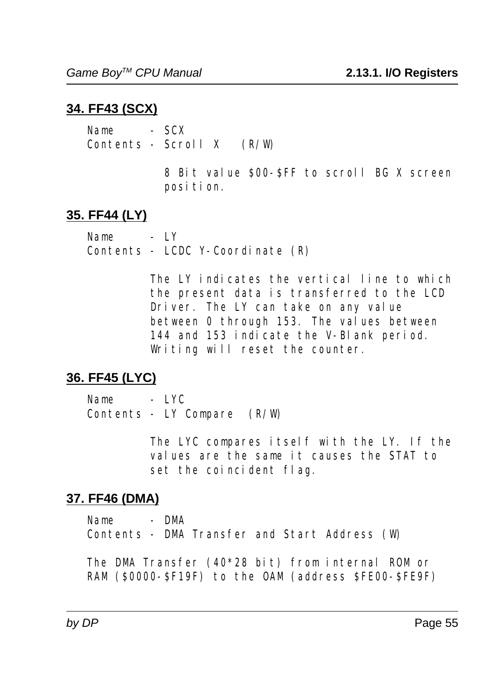# **34. FF43 (SCX)**

Name - SCX Contents - Scroll X (R/W)

> 8 Bit value \$00-\$FF to scroll BG X screen position.

# **35. FF44 (LY)**

Name - LY Contents - LCDC Y-Coordinate (R)

> The LY indicates the vertical line to which the present data is transferred to the LCD Driver. The LY can take on any value between 0 through 153. The values between 144 and 153 indicate the V-Blank period. Writing will reset the counter.

# **36. FF45 (LYC)**

Name - LYC Contents - LY Compare (R/W)

> The LYC compares itself with the LY. If the values are the same it causes the STAT to set the coincident flag.

# **37. FF46 (DMA)**

 Name - DMA Contents - DMA Transfer and Start Address (W)

 The DMA Transfer (40\*28 bit) from internal ROM or RAM (\$0000-\$F19F) to the OAM (address \$FE00-\$FE9F)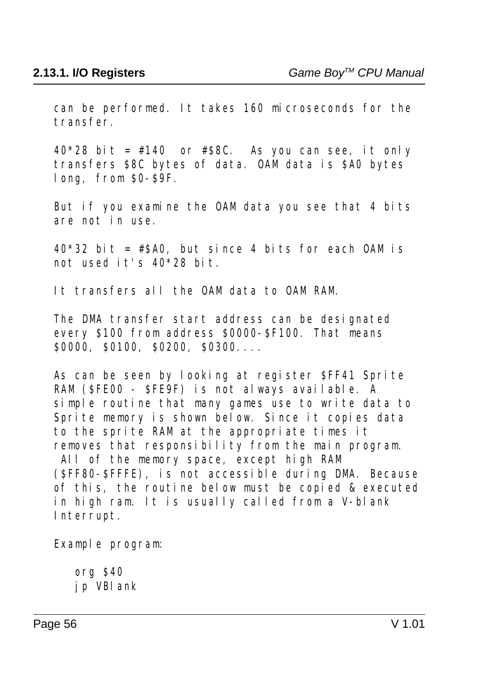can be performed. It takes 160 microseconds for the transfer.

 $40*28$  bit = #140 or #\$8C. As you can see, it only transfers \$8C bytes of data. OAM data is \$A0 bytes long, from \$0-\$9F.

 But if you examine the OAM data you see that 4 bits are not in use.

 $40*32$  bit = #\$A0, but since 4 bits for each OAM is not used it's 40\*28 bit.

It transfers all the OAM data to OAM RAM.

 The DMA transfer start address can be designated every \$100 from address \$0000-\$F100. That means \$0000, \$0100, \$0200, \$0300....

 As can be seen by looking at register \$FF41 Sprite RAM (SFE00 - SFE9F) is not always available. A simple routine that many games use to write data to Sprite memory is shown below. Since it copies data to the sprite RAM at the appropriate times it removes that responsibility from the main program. All of the memory space, except high RAM

 $(SFF80- SFFFE)$ , is not accessible during DMA. Because of this, the routine below must be copied & executed in high ram. It is usually called from a V-blank Interrupt.

Example program:

 org \$40 jp VBlank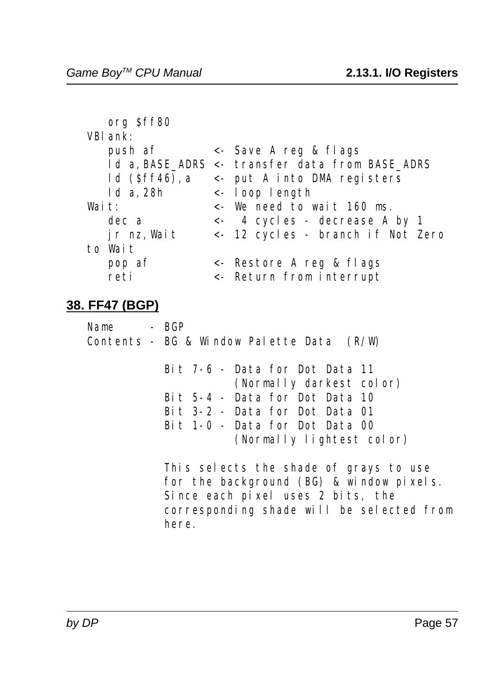|                 | $\lt$ - Save A reg & flags                      |
|-----------------|-------------------------------------------------|
|                 | 1d a, BASE ADRS <- transfer data from BASE ADRS |
| $ld$ (Sff46), a | $\le$ put A into DMA registers                  |
|                 | $\leftarrow$ loop length                        |
|                 | $\lt$ - We need to wait 160 ms.                 |
|                 | $\leftarrow$ 4 cycles - decrease A by 1         |
|                 | <- 12 cycles - branch if Not Zero               |
|                 |                                                 |
|                 | <- Restore A reg & flags                        |
|                 | <- Return from interrupt                        |
|                 |                                                 |

#### **38. FF47 (BGP)**

| Name                                        | - BGP |  |  |  |
|---------------------------------------------|-------|--|--|--|
| Contents - BG & Window Palette Data $(R/W)$ |       |  |  |  |

| Bit 7-6 - Data for Dot Data 11   |
|----------------------------------|
| (Normally darkest color)         |
| Bit 5-4 - Data for Dot Data 10   |
| Bit $3-2$ - Data for Dot Data 01 |
| Bit 1-0 - Data for Dot Data 00   |
| (Normally lightest color)        |

 This selects the shade of grays to use for the background (BG) & window pixels. Since each pixel uses 2 bits, the corresponding shade will be selected from here.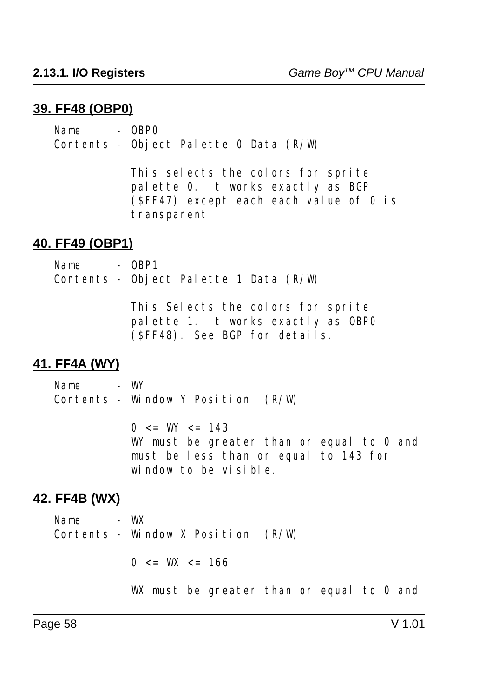#### **39. FF48 (OBP0)**

 $Name = 0BPO$ Contents - Object Palette 0 Data (R/W)

> This selects the colors for sprite palette 0. It works exactly as BGP (\$FF47) except each each value of 0 is transparent.

#### **40. FF49 (OBP1)**

Name - OBP1 Contents - Object Palette 1 Data (R/W) This Selects the colors for sprite palette 1. It works exactly as OBP0

(\$FF48). See BGP for details.

#### **41. FF4A (WY)**

Name - WY Contents - Window Y Position (R/W)

> $0 \leq W \leq 143$ WY must be greater than or equal to 0 and must be less than or equal to 143 for window to be visible.

#### **42. FF4B (WX)**

Name - WX Contents - Window X Position  $(R/W)$  $0 \leq W \leq 166$ 

WX must be greater than or equal to 0 and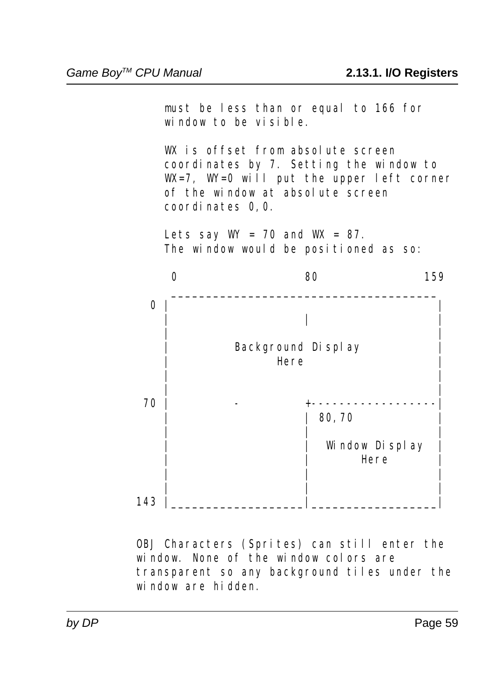must be less than or equal to 166 for window to be visible. W<sub>is</sub> offset from absolute screen coordinates by 7. Setting the window to W<sub>-7</sub>, W<sub>-0</sub> will put the upper left corner of the window at absolute screen coordinates 0,0. Lets say  $W = 70$  and  $W = 87$ . The window would be positioned as so:  $\begin{matrix}0\end{matrix}$  and  $\begin{matrix}80\end{matrix}$  and  $\begin{matrix}159\end{matrix}$  $\mathcal{L}_\text{max}$  and  $\mathcal{L}_\text{max}$  and  $\mathcal{L}_\text{max}$  and  $\mathcal{L}_\text{max}$  and  $\mathcal{L}_\text{max}$  0 | | | | | | | Background Display | Here | | | | | 70 | - +------------------| | | 80,70 | | | | Window Display | | Here | | | | | | | 143 |\_\_\_\_\_\_\_\_\_\_\_\_\_\_\_\_\_\_\_|\_\_\_\_\_\_\_\_\_\_\_\_\_\_\_\_\_\_|

> OBJ Characters (Sprites) can still enter the window. None of the window colors are transparent so any background tiles under the window are hidden.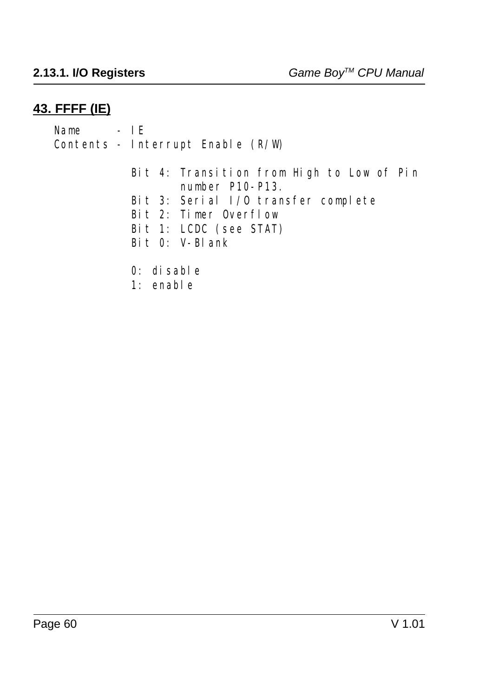### **43. FFFF (IE)**

Name - IE Contents - Interrupt Enable (R/W) Bit 4: Transition from High to Low of Pin number P10-P13. Bit 3: Serial I/O transfer complete Bit 2: Timer Overflow Bit 1: LCDC (see STAT) Bit 0: V-Blank 0: disable

1: enable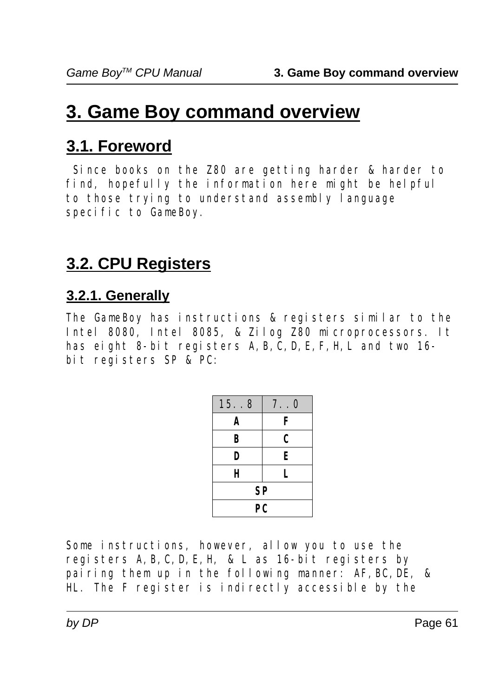# **3. Game Boy command overview**

# **3.1. Foreword**

 Since books on the Z80 are getting harder & harder to find, hopefully the information here might be helpful to those trying to understand assembly language specific to GameBoy.

# **3.2. CPU Registers**

# **3.2.1. Generally**

The GameBoy has instructions & registers similar to the Intel 8080, Intel 8085, & Zilog Z80 microprocessors. It has eight 8-bit registers A, B, C, D, E, F, H, L and two 16bit registers SP & PC:

| 15. . 8 | 7.0 |  |  |
|---------|-----|--|--|
| A       | F   |  |  |
| B       | C   |  |  |
| D       | E   |  |  |
| H       | L   |  |  |
| SP      |     |  |  |
| PC      |     |  |  |

Some instructions, however, allow you to use the registers A,B,C,D,E,H, & L as 16-bit registers by pairing them up in the following manner: AF, BC, DE, & HL. The F register is indirectly accessible by the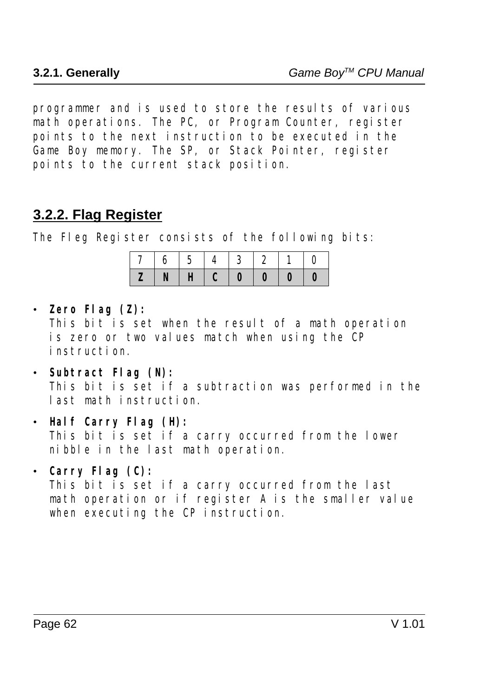programmer and is used to store the results of various math operations. The PC, or Program Counter, register points to the next instruction to be executed in the Game Boy memory. The SP, or Stack Pointer, register points to the current stack position.

# **3.2.2. Flag Register**

The Fleg Register consists of the following bits:

|  |  | 7   6   5   4   3   2   1   0                        |  |
|--|--|------------------------------------------------------|--|
|  |  | $Z \mid N \mid H \mid C \mid 0 \mid 0 \mid 0 \mid 0$ |  |

ï **Zero Flag (Z):**

This bit is set when the result of a math operation is zero or two values match when using the CP instruction.

- ï **Subtract Flag (N):** This bit is set if a subtraction was performed in the last math instruction.
- **Example 1 Half Carry Flag (H):**

This bit is set if a carry occurred from the lower nibble in the last math operation.

ï **Carry Flag (C):**

This bit is set if a carry occurred from the last math operation or if register A is the smaller value when executing the CP instruction.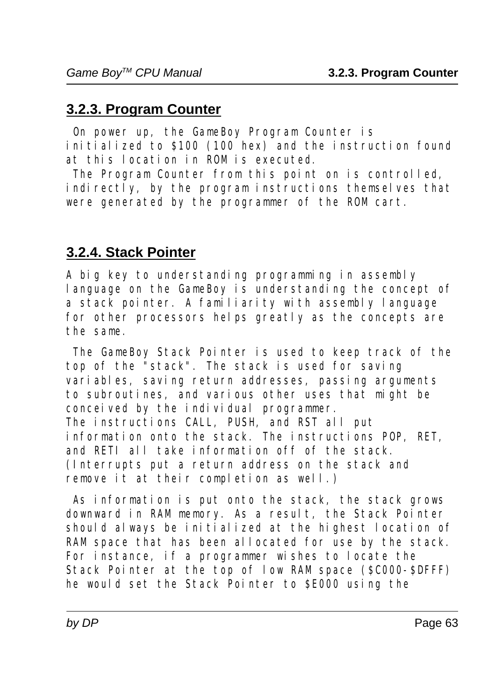# **3.2.3. Program Counter**

 On power up, the GameBoy Program Counter is initialized to \$100 (100 hex) and the instruction found at this location in ROM is executed.

 The Program Counter from this point on is controlled, indirectly, by the program instructions themselves that were generated by the programmer of the ROM cart.

# **3.2.4. Stack Pointer**

A big key to understanding programming in assembly language on the GameBoy is understanding the concept of a stack pointer. A familiarity with assembly language for other processors helps greatly as the concepts are the same.

 The GameBoy Stack Pointer is used to keep track of the top of the "stack". The stack is used for saving variables, saving return addresses, passing arguments to subroutines, and various other uses that might be conceived by the individual programmer. The instructions CALL, PUSH, and RST all put information onto the stack. The instructions POP, RET, and RETI all take information off of the stack. (Interrupts put a return address on the stack and remove it at their completion as well.)

 As information is put onto the stack, the stack grows downward in RAM memory. As a result, the Stack Pointer should always be initialized at the highest location of RAM space that has been allocated for use by the stack. For instance, if a programmer wishes to locate the Stack Pointer at the top of low RAM space (\$C000-\$DFFF) he would set the Stack Pointer to \$E000 using the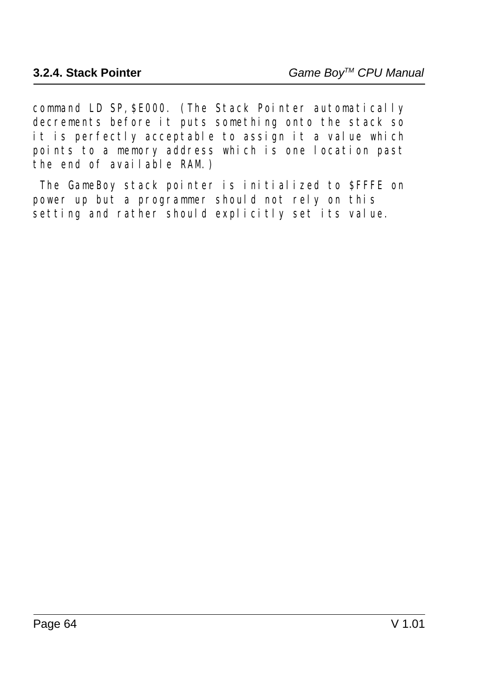command LD SP,\$E000. (The Stack Pointer automatically decrements before it puts something onto the stack so it is perfectly acceptable to assign it a value which points to a memory address which is one location past the end of available RAM.)

 The GameBoy stack pointer is initialized to \$FFFE on power up but a programmer should not rely on this setting and rather should explicitly set its value.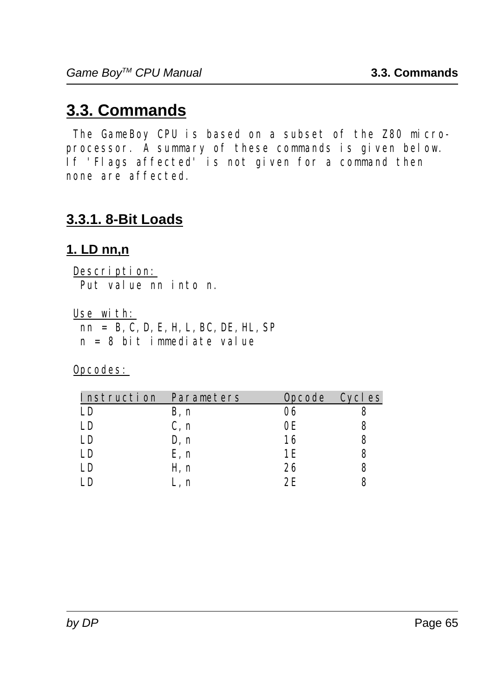# **3.3. Commands**

The GameBoy CPU is based on a subset of the Z80 microprocessor. A summary of these commands is given below. If 'Flags affected' is not given for a command then none are affected.

# **3.3.1. 8-Bit Loads**

# **1. LD nn,n**

Description: Put value nn into n.

Use with:

 nn = B,C,D,E,H,L,BC,DE,HL,SP n = 8 bit immediate value

| Instruction | Parameters | <b>Opcode</b> | Cycl es |
|-------------|------------|---------------|---------|
| LD          | B, n       | 06            |         |
| LD          | C, n       | 0E            |         |
| LD          | D, n       | 16            |         |
| LD          | E, n       | 1 F.          |         |
| LD          | H, n       | 26            |         |
| Γn          | L. n       | クド            |         |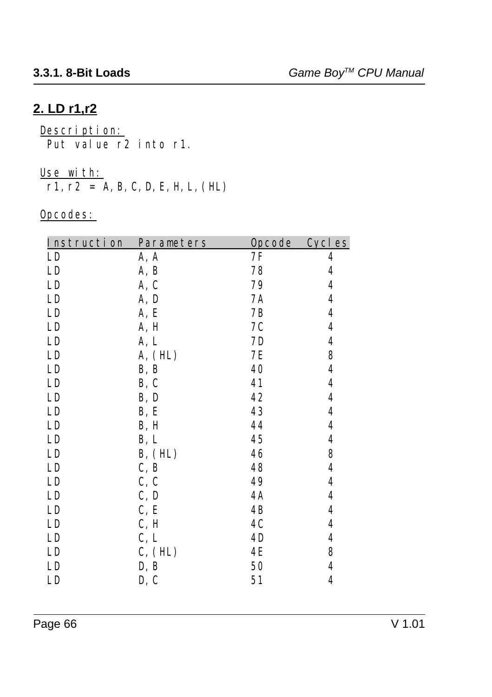# **2. LD r1,r2**

<u>Description:</u> Put value r2 into r1.

#### Use with:

 $r1, r2 = A, B, C, D, E, H, L, (HL)$ 

| Instruction | Parameters | Opcode    | <b>Cycles</b>    |
|-------------|------------|-----------|------------------|
| LD          | A, A       | 7F        | 4                |
| LD          | A, B       | 78        | $\boldsymbol{4}$ |
| LD          | A, C       | 79        | $\boldsymbol{4}$ |
| LD          | A, D       | 7A        | $\boldsymbol{4}$ |
| LD          | A, E       | 7B        | $\boldsymbol{4}$ |
| LD          | A, H       | 7C        | 4                |
| LD          | A, L       | 7D        | 4                |
| LD          | A, (HL)    | 7E        | 8                |
| LD          | B, B       | 40        | $\boldsymbol{4}$ |
| LD          | B, C       | 41        | $\boldsymbol{4}$ |
| LD          | B, D       | 42        | 4                |
| LD          | B, E       | 43        | 4                |
| LD          | B, H       | 44        | 4                |
| LD          | B, L       | 45        | 4                |
| LD          | B, (HL)    | 46        | 8                |
| LD          | C, B       | 48        | 4                |
| LD          | C, C       | 49        | 4                |
| LD          | C, D       | <b>4A</b> | $\boldsymbol{4}$ |
| LD          | C, E       | 4B        | $\boldsymbol{4}$ |
| LD          | C, H       | 4C        | $\boldsymbol{4}$ |
| LD          | C, L       | 4D        | $\boldsymbol{4}$ |
| LD          | C, (HL)    | 4E        | 8                |
| LD          | D, B       | 50        | 4                |
| LD          | D, C       | 51        | 4                |
|             |            |           |                  |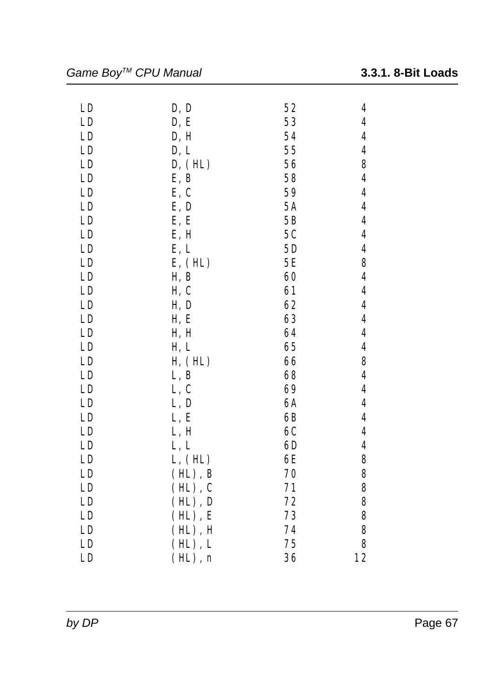| LD | D, D         | 52 | 4                       |
|----|--------------|----|-------------------------|
| LD | D, E         | 53 | 4                       |
| LD | D, H         | 54 | $\overline{\mathbf{4}}$ |
| LD | D, L         | 55 | $\overline{\mathbf{4}}$ |
| LD | D, (HL)      | 56 | 8                       |
| LD | E, B         | 58 | 4                       |
| LD | E, C         | 59 | $\boldsymbol{4}$        |
| LD | E, D         | 5A | $\overline{\mathbf{4}}$ |
| LD | E, E         | 5B | 4                       |
| LD | E, H         | 5C | $\overline{\mathbf{4}}$ |
| LD | E, L         | 5D | $\boldsymbol{4}$        |
| LD | E, (HL)      | 5E | 8                       |
| LD | H, B         | 60 | $\boldsymbol{4}$        |
| LD | H, C         | 61 | 4                       |
| LD | H, D         | 62 | 4                       |
| LD | H, E         | 63 | $\overline{\mathbf{4}}$ |
| LD | H, H         | 64 | $\boldsymbol{4}$        |
| LD | H, L         | 65 | 4                       |
| LD | H, (HL)      | 66 | 8                       |
| LD | L, B         | 68 | 4                       |
| LD | L, C         | 69 | $\boldsymbol{4}$        |
| LD | L, D         | 6A | 4                       |
| LD | L, E         | 6B | $\overline{\mathbf{4}}$ |
| LD | L, H         | 6C | $\boldsymbol{4}$        |
| LD | L, L         | 6D | $\overline{\mathbf{4}}$ |
| LD | L, (HL)      | 6E | 8                       |
| LD | $(HL)$ , $B$ | 70 | 8                       |
| LD | $(HL)$ , $C$ | 71 | 8                       |
| LD | $(HL)$ , $D$ | 72 | 8                       |
| LD | $(HL)$ , $E$ | 73 | 8                       |
| LD | $(HL)$ , $H$ | 74 | 8                       |
| LD | $(HL)$ , $L$ | 75 | 8                       |
| LD | $(HL)$ , n   | 36 | 12                      |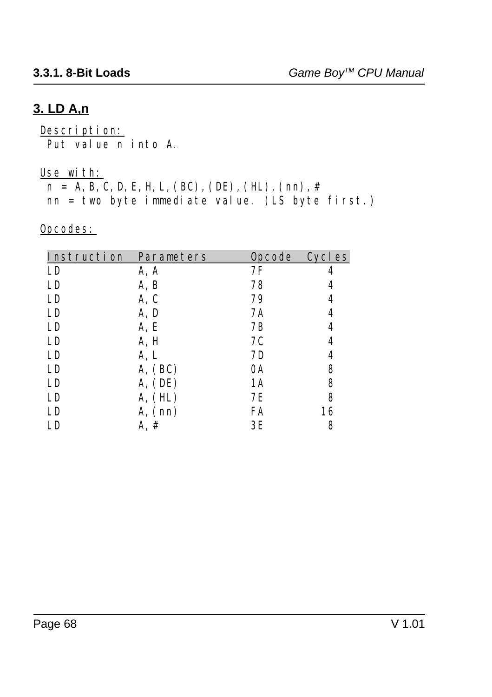## **3. LD A,n**

Description: Put value n into A.

Use with:

 $n = A, B, C, D, E, H, L, (BC), (DE), (HL), (nn), #$ nn = two byte immediate value. (LS byte first.)

| Instruction Parameters |         |    | Opcode Cycles |
|------------------------|---------|----|---------------|
| LD                     | A, A    | 7F | 4             |
| LD                     | A, B    | 78 | 4             |
| LD                     | A, C    | 79 | 4             |
| LD                     | A, D    | 7Α | 4             |
| LD                     | A, E    | 7B | 4             |
| LD                     | A, H    | 7C | 4             |
| LD                     | A, L    | 7D | 4             |
| LD                     | A, (BC) | 0A | 8             |
| LD                     | A, (DE) | 1A | 8             |
| LD                     | A, (HL) | 7Ε | 8             |
| LD                     | A, (nn) | FA | 16            |
| LD                     | A, #    | 3E | 8             |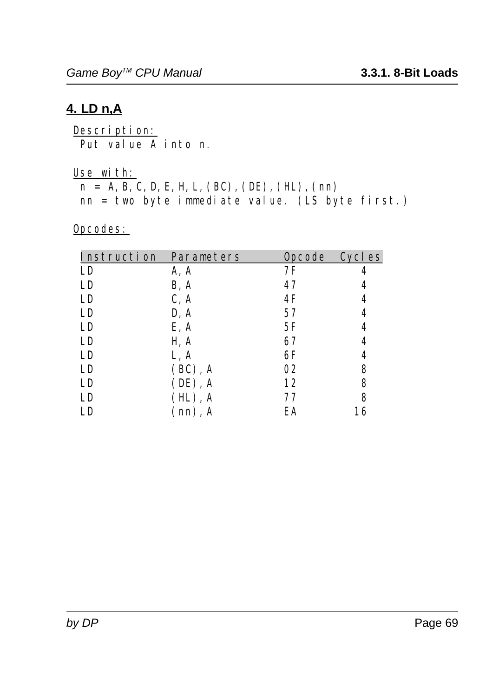### **4. LD n,A**

Description: Put value A into n.

#### Use with:

 $n = A, B, C, D, E, H, L, (BC), (DE), (HL), (nn)$ 

nn = two byte immediate value. (LS byte first.)

| Instruction Parameters |              | Opcode Cycles |    |
|------------------------|--------------|---------------|----|
| LD                     | A, A         | 7F            |    |
| LD                     | B, A         | 47            | 4  |
| LD                     | C, A         | 4F            | 4  |
| LD                     | D, A         | 57            | 4  |
| LD                     | E, A         | 5F            | 4  |
| LD                     | H, A         | 67            | 4  |
| LD                     | L, A         | 6F            | 4  |
| LD                     | $(BC)$ , A   | 02            | 8  |
| LD                     | $(DE)$ , A   | 12            | 8  |
| LD                     | $(HL)$ , A   | 77            | 8  |
| LD                     | $(nn)$ , $A$ | EA            | 16 |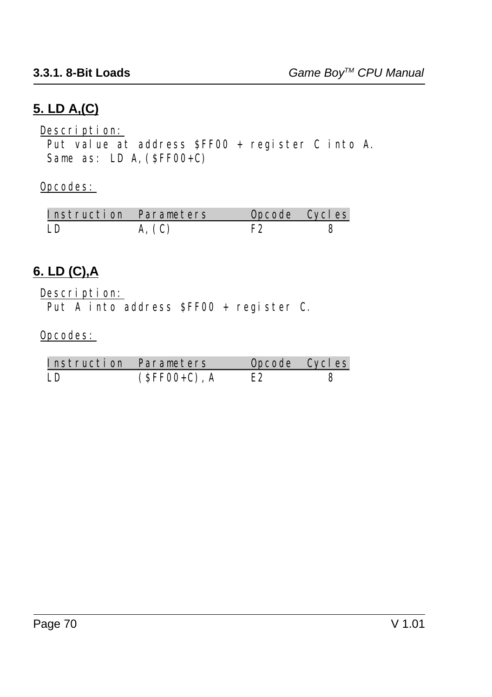# **5. LD A,(C)**

Description:

 Put value at address \$FF00 + register C into A. Same as: LD A,  $(SFF00+C)$ 

Opcodes:

| Instruction Parameters | Opcode Cycles |  |
|------------------------|---------------|--|
|                        |               |  |

# **6. LD (C),A**

Description:

Put A into address \$FF00 + register C.

| Instruction Parameters |                 | Opcode Cycles |  |
|------------------------|-----------------|---------------|--|
| I.D                    | $(SFF00+C)$ , A | E2            |  |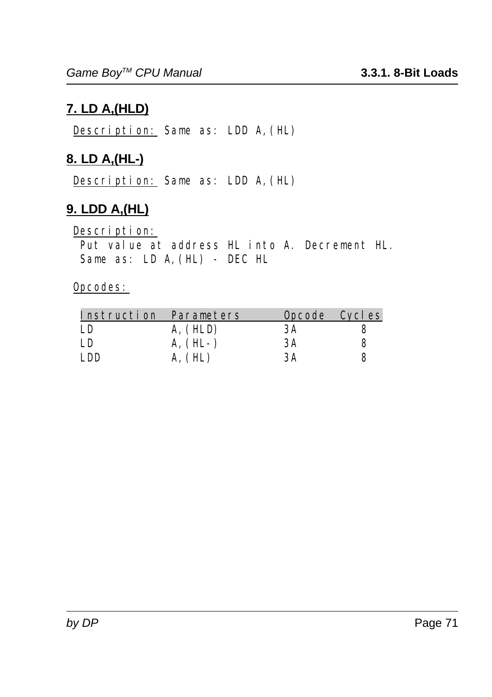# **7. LD A,(HLD)**

Description: Same as: LDD A,(HL)

# **8. LD A,(HL-)**

Description: Same as: LDD A,(HL)

# **9. LDD A,(HL)**

Description:

 Put value at address HL into A. Decrement HL. Same as: LD A,(HL) - DEC HL

|      | Instruction Parameters |    | Opcode Cycles |
|------|------------------------|----|---------------|
| LD   | A, (HLD)               | 3A |               |
| LD   | $A, (HL-)$             | ЗA | 8             |
| I DD | A, (HL)                | ЗA |               |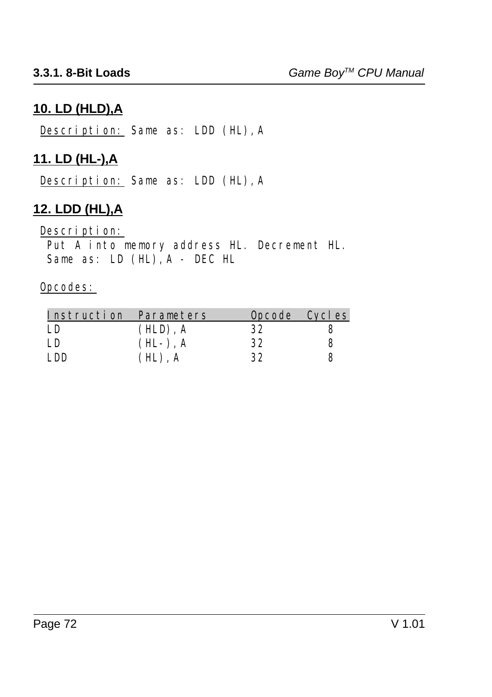### **10. LD (HLD),A**

Description: Same as: LDD (HL),A

## **11. LD (HL-),A**

Description: Same as: LDD (HL),A

# **12. LDD (HL),A**

#### Description:

 Put A into memory address HL. Decrement HL. Same as: LD (HL), A - DEC HL

|      | Instruction Parameters |    | Opcode Cycles |
|------|------------------------|----|---------------|
| LD   | $(HLD)$ . A            | 32 |               |
| I.D  | $(HL-)$ , A            | 32 |               |
| I DD | $(HL)$ , A             | 32 |               |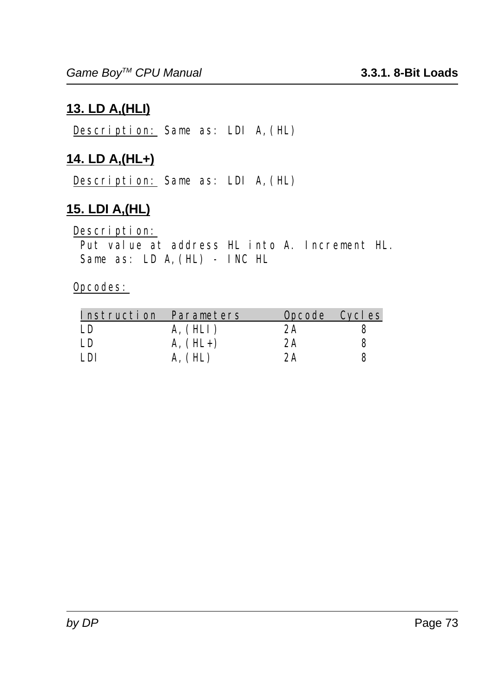## **13. LD A,(HLI)**

Description: Same as: LDI A,(HL)

## **14. LD A,(HL+)**

Description: Same as: LDI A,(HL)

## **15. LDI A,(HL)**

Description:

Put value at address HL into A. Increment HL. Same as: LD A,(HL) - INC HL

|      | Instruction Parameters |    | Opcode Cycles |
|------|------------------------|----|---------------|
| LD   | A, (HLI)               | 2A |               |
| LD   | $A, (HL+)$             | 2A | 8             |
| I DI | A, (HL)                | 2A |               |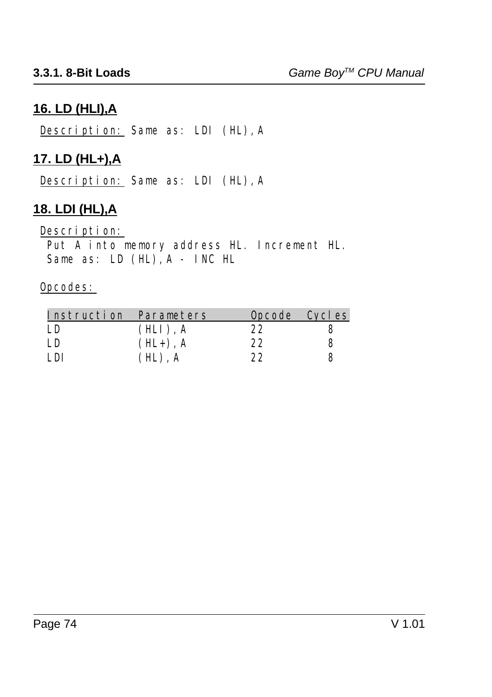### **16. LD (HLI),A**

Description: Same as: LDI (HL),A

### **17. LD (HL+),A**

Description: Same as: LDI (HL),A

### **18. LDI (HL),A**

#### Description:

 Put A into memory address HL. Increment HL. Same as: LD (HL), A - INC HL

|      | Instruction Parameters |             |    | Opcode Cycles |
|------|------------------------|-------------|----|---------------|
| I.D  |                        | $(HLI)$ , A | 22 |               |
| I.D  |                        | $(HL+)$ , A | 22 | 8             |
| I DI |                        | $(HL)$ , A  | 22 |               |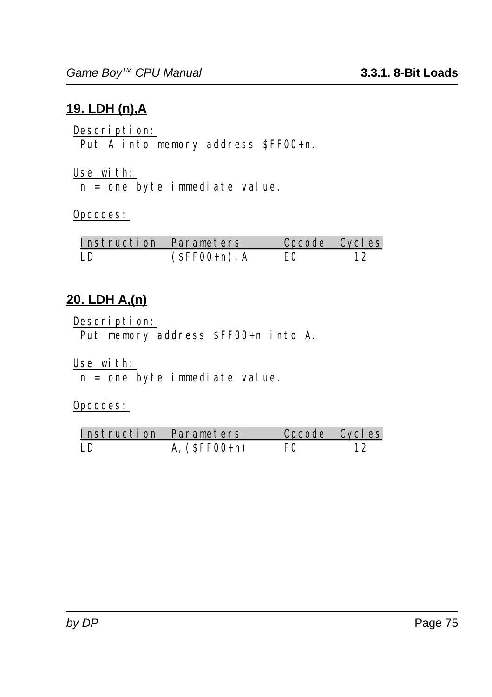## **19. LDH (n),A**

Description: Put A into memory address \$FF00+n.

Use with: n = one byte immediate value.

### Opcodes:

| Instruction Parameters |                 | Opcode Cycles |  |
|------------------------|-----------------|---------------|--|
| LD                     | $(SFF00+n)$ , A | EΩ            |  |

### **20. LDH A,(n)**

Description: Put memory address \$FF00+n into A.

Use with:

n = one byte immediate value.

| Instruction Parameters |                | Opcode Cycles  |    |
|------------------------|----------------|----------------|----|
| LD                     | A, $(SFF00+n)$ | F <sub>0</sub> | 12 |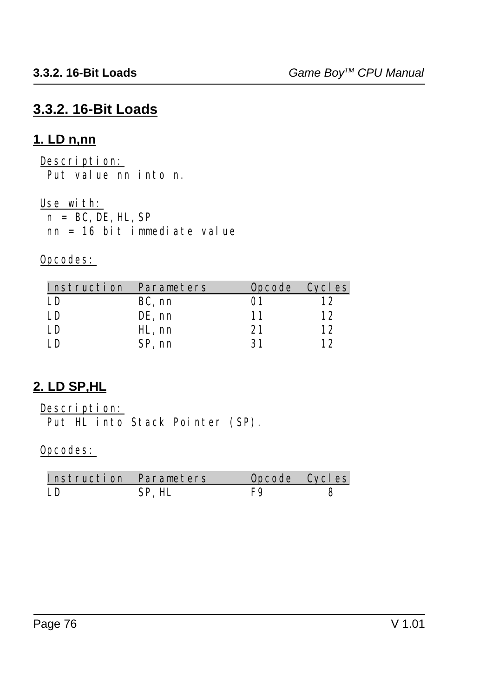## **3.3.2. 16-Bit Loads**

### **1. LD n,nn**

Description: Put value nn into n.

Use with:  $n = BC$ , DE, HL, SP nn = 16 bit immediate value

Opcodes:

| Instruction Parameters |        | Opcode Cycles |    |
|------------------------|--------|---------------|----|
| I D                    | BC, nn | 01            | 12 |
| I.D                    | DE, nn | 11            | 12 |
| I D                    | HL, nn | 21            | 12 |
| חו                     | SP, nn | 31            | 19 |

## **2. LD SP,HL**

Description:

Put HL into Stack Pointer (SP).

| Instruction Parameters |        | Opcode Cycles |  |
|------------------------|--------|---------------|--|
| I D                    | SP. HL |               |  |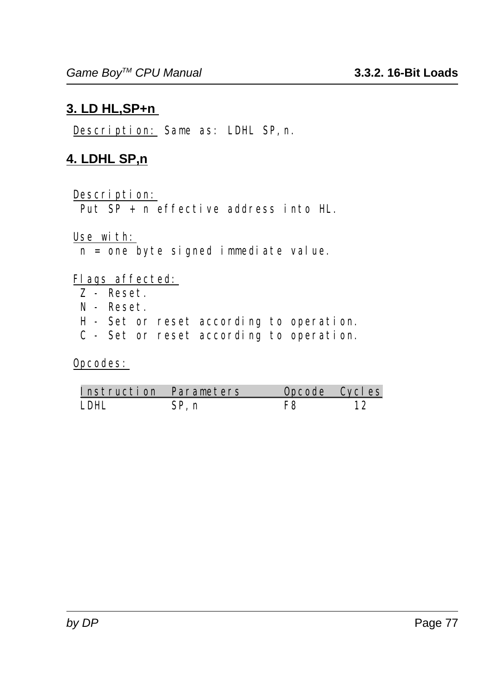### **3. LD HL,SP+n**

Description: Same as: LDHL SP,n.

### **4. LDHL SP,n**

### Description:

Put  $SP + n$  effective address into  $H_{n}$ .

#### Use with:

n = one byte signed immediate value.

### Flags affected:

- Z Reset.
- N Reset.
- H Set or reset according to operation.
- C Set or reset according to operation.

| Instruction Parameters |       | Opcode Cycles |  |
|------------------------|-------|---------------|--|
| I DHI                  | SP. n | F8            |  |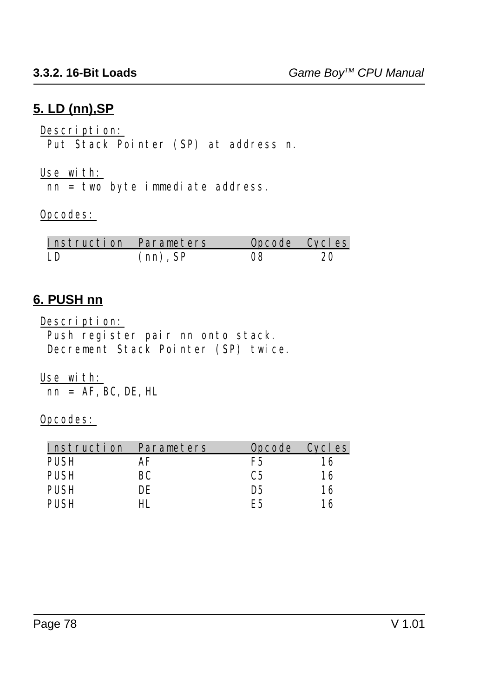### **5. LD (nn),SP**

Description:

Put Stack Pointer (SP) at address n.

Use with:

nn = two byte immediate address.

Opcodes:

| Instruction Parameters |             | Opcode Cycles |    |
|------------------------|-------------|---------------|----|
| LD.                    | $(nn)$ , SP | 08            | 20 |

### **6. PUSH nn**

Description:

 Push register pair nn onto stack. Decrement Stack Pointer (SP) twice.

Use with:  $nn = AF$ , BC, DE, HL

| Instruction | Parameters |     | Opcode Cycles |
|-------------|------------|-----|---------------|
| <b>PUSH</b> | АF         | F5  | 16            |
| <b>PUSH</b> | BС         | С5  | 16            |
| <b>PUSH</b> | DE         | D5  | 16            |
| PHSH        |            | F.5 | 16            |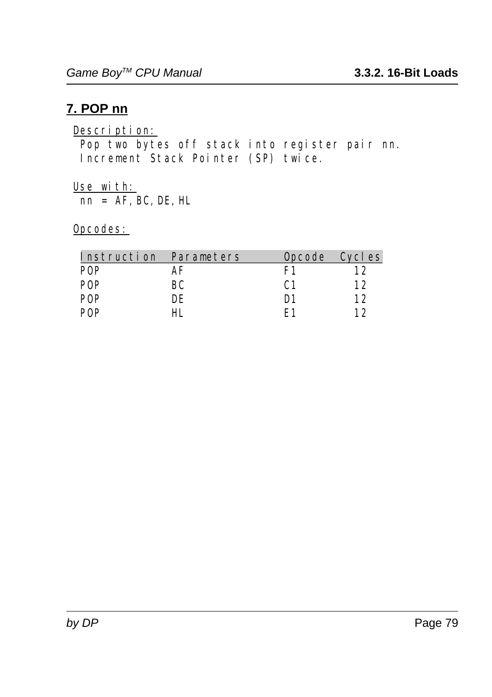### **7. POP nn**

### Description:

 Pop two bytes off stack into register pair nn. Increment Stack Pointer (SP) twice.

#### Use with:  $\overline{\text{nn}} = \overline{\text{AF}}$ , BC, DE, HL

| Instruction Parameters |    |     | Opcode Cycles |
|------------------------|----|-----|---------------|
| POP                    | АF | F1  | l 2           |
| <b>POP</b>             | BС | C:1 | 12            |
| POP                    | DE | D1  | 12            |
| POP                    |    | F 1 | 19            |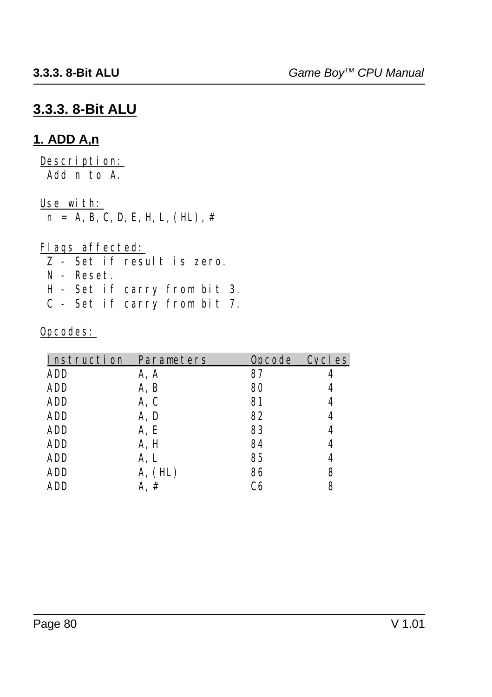## **3.3.3. 8-Bit ALU**

### **1. ADD A,n**

Description: Add n to A.

Use with:

 $n = A, B, C, D, E, H, L, (HL)$ , #

### Flags affected:

Z - Set if result is zero.

- N Reset.
- H Set if carry from bit 3.
- C Set if carry from bit 7.

| Opcodes: |  |
|----------|--|
|----------|--|

| Instruction Parameters |         | <b>Opcode</b> | Cycl es |
|------------------------|---------|---------------|---------|
| ADD                    | A, A    | 87            |         |
| <b>ADD</b>             | A, B    | 80            | 4       |
| <b>ADD</b>             | A, C    | 81            | 4       |
| ADD                    | A, D    | 82            | 4       |
| <b>ADD</b>             | A, E    | 83            | 4       |
| <b>ADD</b>             | A, H    | 84            | 4       |
| ADD                    | A, L    | 85            | 4       |
| <b>ADD</b>             | A, (HL) | 86            | 8       |
| ADD                    | A. #    | C6            | 8       |
|                        |         |               |         |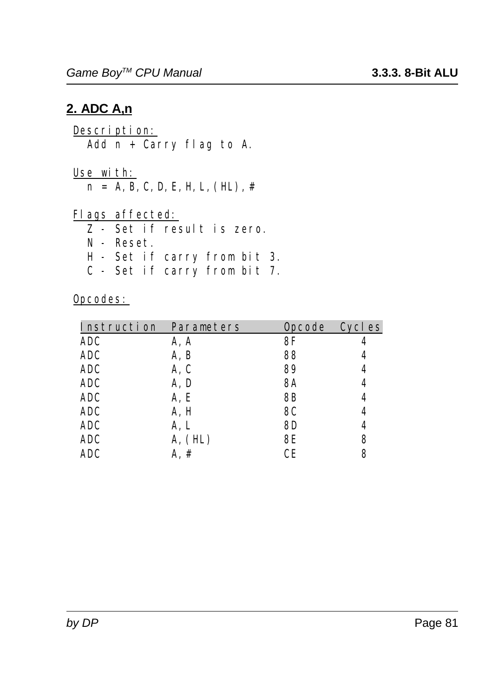### **2. ADC A,n**

Description: Add  $n +$  Carry flag to A.

Use with:  $n = A, B, C, D, E, H, L, (HL)$ , #

Flags affected:

Z - Set if result is zero.

- N Reset.
- H Set if carry from bit 3.
- C Set if carry from bit 7.

| Cycles | <b>Opcode</b> |         | Instruction Parameters |
|--------|---------------|---------|------------------------|
|        | 8F            | A, A    | <b>ADC</b>             |
|        | 88            | A, B    | <b>ADC</b>             |
| 4      | 89            | A, C    | <b>ADC</b>             |
| 4      | <b>8A</b>     | A, D    | <b>ADC</b>             |
| 4      | 8B            | A, E    | <b>ADC</b>             |
| 4      | 8C            | A, H    | <b>ADC</b>             |
| 4      | 8D            | A, L    | <b>ADC</b>             |
| 8      | 8E            | A, (HL) | <b>ADC</b>             |
| 8      | CЕ            | A, #    | <b>ADC</b>             |
|        |               |         |                        |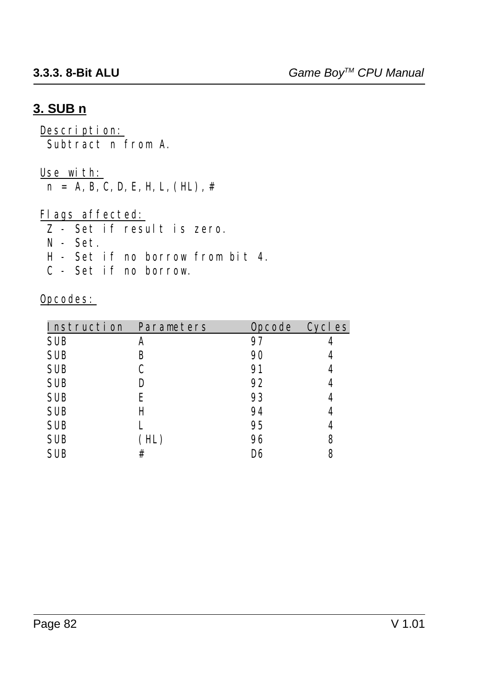### **3. SUB n**

Description: Subtract n from A.

#### Use with:

 $n = A, B, C, D, E, H, L, (HL)$ , #

### Flags affected:

Z - Set if result is zero.

- N Set.
- H Set if no borrow from bit 4.
- C Set if no borrow.

| Instruction Parameters |      | <b>Opcode</b> | Cycl es |
|------------------------|------|---------------|---------|
| <b>SUB</b>             | A    | 97            |         |
| <b>SUB</b>             | B    | 90            | 4       |
| <b>SUB</b>             | C    | 91            | 4       |
| <b>SUB</b>             | D    | 92            | 4       |
| <b>SUB</b>             | E    | 93            | 4       |
| <b>SUB</b>             | Н    | 94            | 4       |
| <b>SUB</b>             |      | 95            | 4       |
| <b>SUB</b>             | (HL) | 96            | 8       |
| <b>SUB</b>             | #    | D6            | 8       |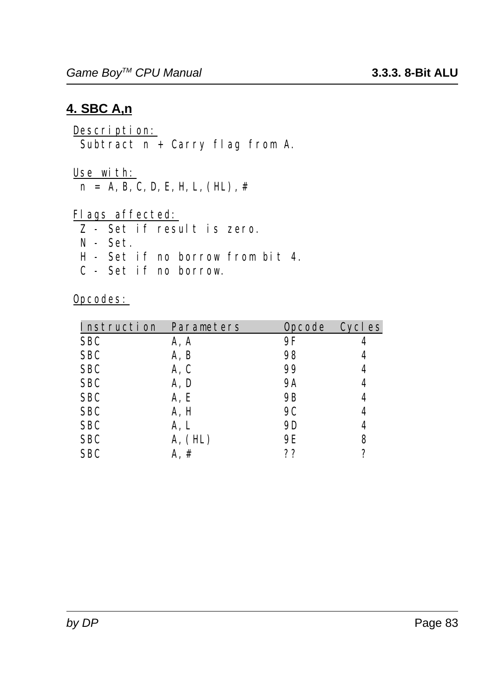### **4. SBC A,n**

Description: Subtract n + Carry flag from A.

Use with:  $n = A, B, C, D, E, H, L, (HL)$ , #

Flags affected:

- Z Set if result is zero.
- N Set.
- H Set if no borrow from bit 4.
- C Set if no borrow.

| Instruction Parameters |         | <b>Opcode</b> | <b>Cycles</b> |
|------------------------|---------|---------------|---------------|
| <b>SBC</b>             | A, A    | 9F            |               |
| <b>SBC</b>             | A, B    | 98            |               |
| <b>SBC</b>             | A, C    | 99            |               |
| <b>SBC</b>             | A, D    | <b>9A</b>     | 4             |
| <b>SBC</b>             | A, E    | <b>9B</b>     | 4             |
| <b>SBC</b>             | A, H    | <b>9C</b>     |               |
| <b>SBC</b>             | A, L    | 9D            | 4             |
| <b>SBC</b>             | A, (HL) | 9E            | 8             |
| <b>SBC</b>             | #       | ??            | 7             |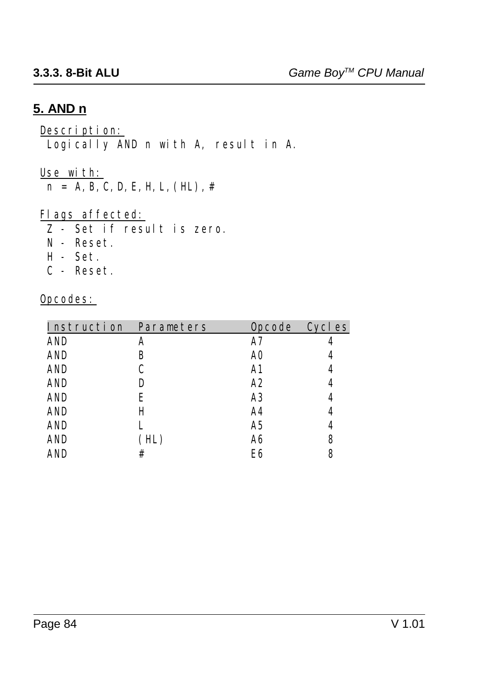### **5. AND n**

Description: Logically AND n with A, result in A.

Use with:

 $n = A, B, C, D, E, H, L, (HL)$ , #

Flags affected:

Z - Set if result is zero.

- N Reset.
- H Set.
- C Reset.

| Instruction Parameters |     |    | Opcode Cycles |
|------------------------|-----|----|---------------|
| <b>AND</b>             | A   | А7 |               |
| <b>AND</b>             | В   | A0 | 4             |
| <b>AND</b>             | C   | A1 | 4             |
| <b>AND</b>             | D   | A2 | 4             |
| <b>AND</b>             | Е   | A3 | 4             |
| <b>AND</b>             | Н   | A4 | 4             |
| <b>AND</b>             |     | A5 | 4             |
| <b>AND</b>             | HL) | A6 | 8             |
| AND                    | #   | E6 | 8             |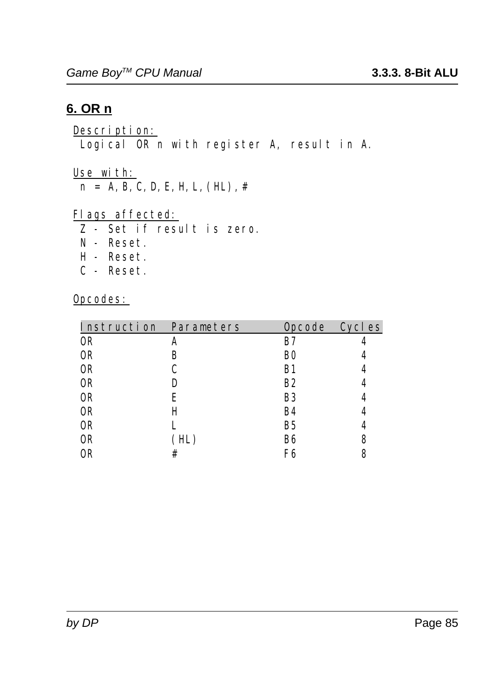### **6. OR n**

Description: Logical OR n with register A, result in A.

Use with:

 $n = A, B, C, D, E, H, L, (HL)$ , #

Flags affected:

- Z Set if result is zero.
- N Reset.
- H Reset.
- C Reset.

| Instruction Parameters |      | Opcode Cycles  |   |
|------------------------|------|----------------|---|
| 0R                     | A    | B7             |   |
| 0R                     | B    | B <sub>0</sub> |   |
| 0 <sub>R</sub>         |      | <b>B1</b>      |   |
| 0R                     | D    | <b>B2</b>      |   |
| <b>OR</b>              | E    | B <sub>3</sub> | 4 |
| 0R                     | Н    | <b>B4</b>      |   |
| 0R                     |      | <b>B5</b>      | 4 |
| 0R                     | (HL) | B6             | 8 |
| 0R                     | #    | F6             | 8 |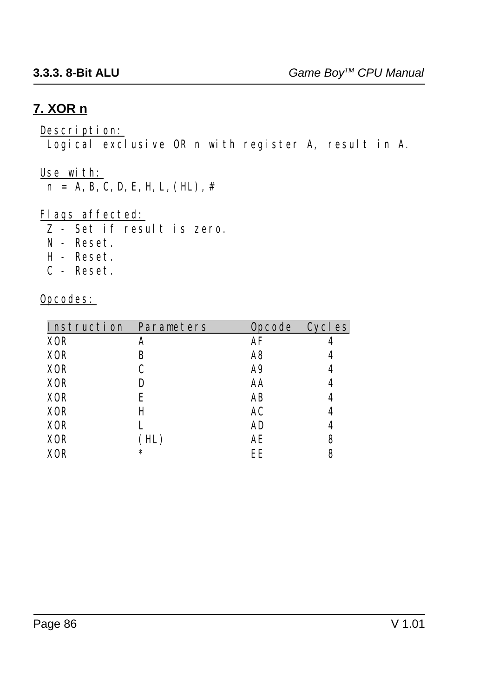### **7. XOR n**

#### Description:

Logical exclusive OR n with register A, result in A.

#### Use with:

 $n = A, B, C, D, E, H, L, (HL)$ , #

#### Flags affected:

Z - Set if result is zero.

- N Reset.
- H Reset.
- C Reset.

| Instruction Parameters |        |    | Opcode Cycles |
|------------------------|--------|----|---------------|
| <b>XOR</b>             | A      | AF |               |
| <b>XOR</b>             | B      | A8 | 4             |
| <b>XOR</b>             | C      | A9 | 4             |
| <b>XOR</b>             | D      | AA | 4             |
| <b>XOR</b>             | Е      | AB | 4             |
| <b>XOR</b>             | Н      | AC | 4             |
| <b>XOR</b>             |        | AD | 4             |
| <b>XOR</b>             | HL)    | AЕ | 8             |
| XOR                    | $\ast$ | EE | 8             |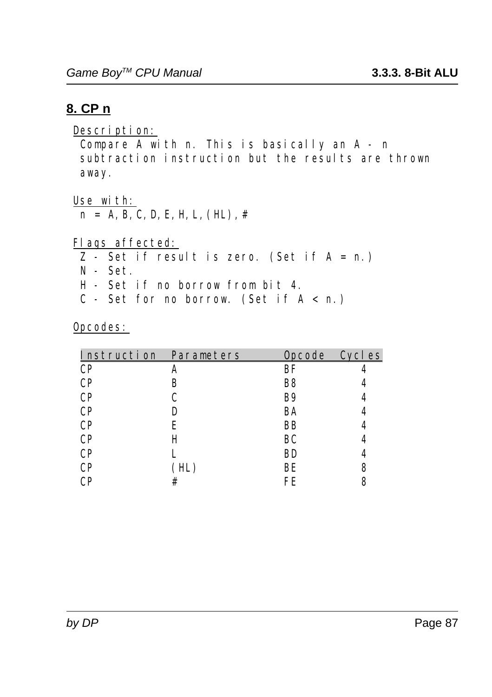### **8. CP n**

Description: Compare A with n. This is basically an A - n subtraction instruction but the results are thrown away.

Use with:  $n = A, B, C, D, E, H, L, (HL)$ , #

Flags affected:

- $\overline{Z}$  Set if result is zero. (Set if  $A = n$ .)
- N Set.
- H Set if no borrow from bit 4.
- C Set for no borrow. (Set if  $A < n$ .)

| Instruction Parameters |     | Opcode Cycles |   |
|------------------------|-----|---------------|---|
| <b>CP</b>              |     | BF            |   |
| <b>CP</b>              | B   | B8            |   |
| <b>CP</b>              |     | <b>B9</b>     |   |
| <b>CP</b>              |     | BA            |   |
| <b>CP</b>              | Е   | <b>BB</b>     |   |
| <b>CP</b>              | Н   | BC            |   |
| <b>CP</b>              |     | BD            |   |
| <b>CP</b>              | HL) | ВE            | 8 |
| C₽                     | #   | FE            |   |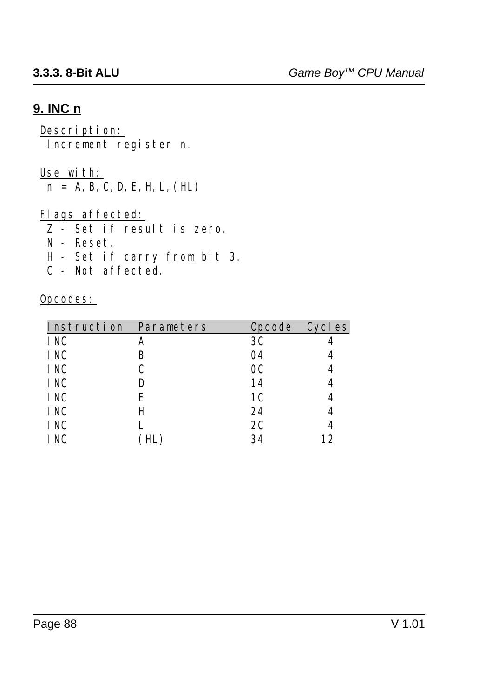### **9. INC n**

#### Description: Increment register n.

#### Use with:

 $n = A, B, C, D, E, H, L, (HL)$ 

#### Flags affected:

- Z Set if result is zero.
- N Reset.
- H Set if carry from bit 3.
- C Not affected.

| Instruction Parameters |   | <b>Opcode</b>  | Cycl es |
|------------------------|---|----------------|---------|
| <b>INC</b>             | A | 3C             |         |
| <b>INC</b>             | B | 04             |         |
| <b>INC</b>             | C | 0 <sup>C</sup> | 4       |
| <b>INC</b>             |   | 14             | 4       |
| <b>INC</b>             | E | 1 <sup>C</sup> | 4       |
| <b>INC</b>             | H | 24             | 4       |
| <b>INC</b>             |   | 2C             |         |
| I NC                   |   | 34             | 12      |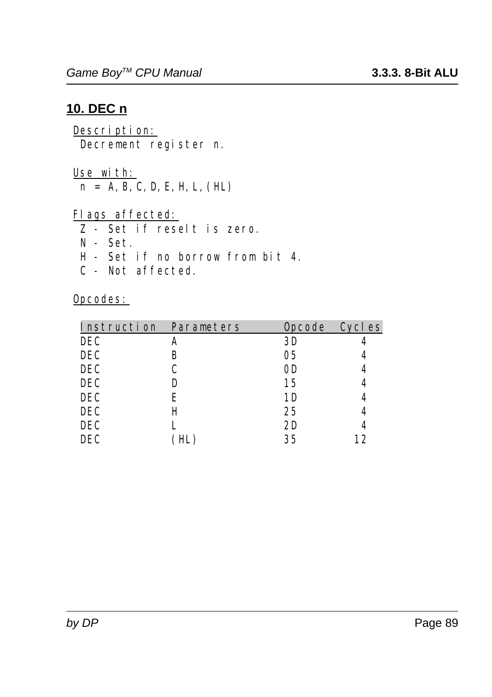### **10. DEC n**

Description: Decrement register n.

Use with:  $n = A, B, C, D, E, H, L, (HL)$ 

Flags affected:

- Z Set if reselt is zero.
- N Set.
- H Set if no borrow from bit 4.
- C Not affected.

| Instruction Parameters |   | <b>Opcode</b> | Cycles |
|------------------------|---|---------------|--------|
| <b>DEC</b>             |   | 3D            |        |
| <b>DEC</b>             | B | 05            |        |
| <b>DEC</b>             | C | 0D            |        |
| <b>DEC</b>             |   | 15            |        |
| <b>DEC</b>             | Е | 1D            |        |
| <b>DEC</b>             | H | 25            |        |
| <b>DEC</b>             |   | 2D            |        |
| DEC                    |   | 35            | 12     |
|                        |   |               |        |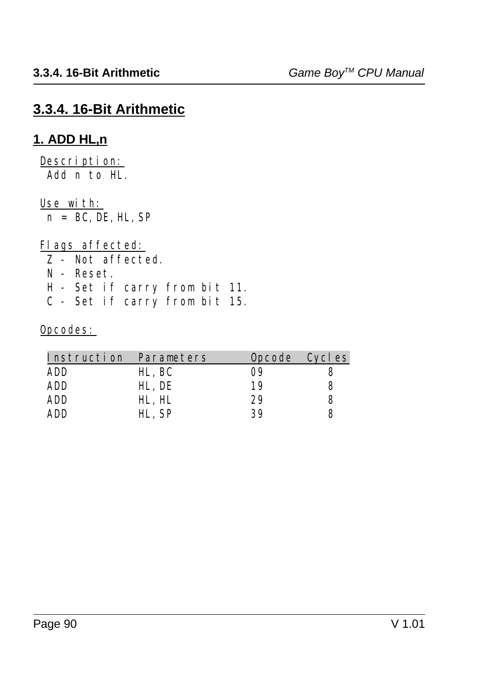## **3.3.4. 16-Bit Arithmetic**

### **1. ADD HL,n**

Description: Add n to HL.

Use with:

 $n = BC$ , DE, HL, SP

Flags affected: Z - Not affected. N - Reset. H - Set if carry from bit 11.

C - Set if carry from bit 15.

| Parameters | Opcode Cycles |  |
|------------|---------------|--|
| HL, BC     | 09            |  |
| HL, DE     | 19            |  |
| HL, HL     | 29            |  |
| HL. SP     | 39            |  |
|            |               |  |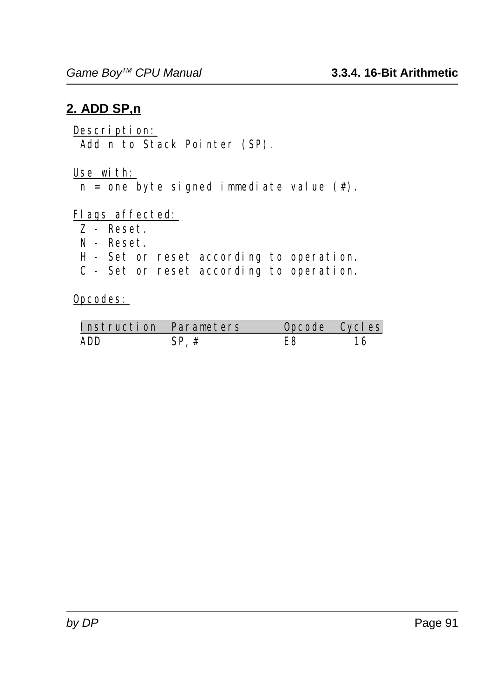### **2. ADD SP,n**

Description: Add n to Stack Pointer (SP).

Use with:

 $n =$  one byte signed immediate value  $(\#)$ .

Flags affected:

- $\overline{z}$  Reset.
- N Reset.
- H Set or reset according to operation.
- C Set or reset according to operation.

| Instruction Parameters |      | Opcode Cycles |  |
|------------------------|------|---------------|--|
| ADD                    | SD # |               |  |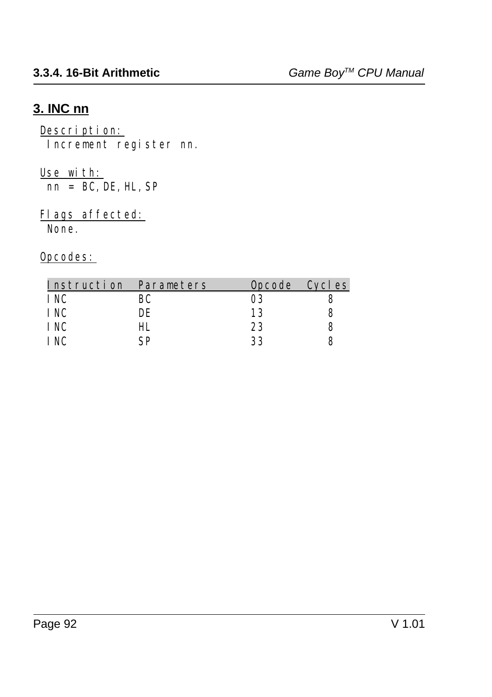## **3. INC nn**

#### Description: Increment register nn.

#### Use with:  $\overline{\text{nn} = \text{BC}}$ , DE, HL, SP

# Flags affected:

None.

| Instruction Parameters |     |    | Opcode Cycles |
|------------------------|-----|----|---------------|
| I NC                   | BС  | 03 |               |
| I NC                   | DE  | 13 |               |
| I NC                   | HL. | 23 |               |
| I NC                   | ςp  | 33 |               |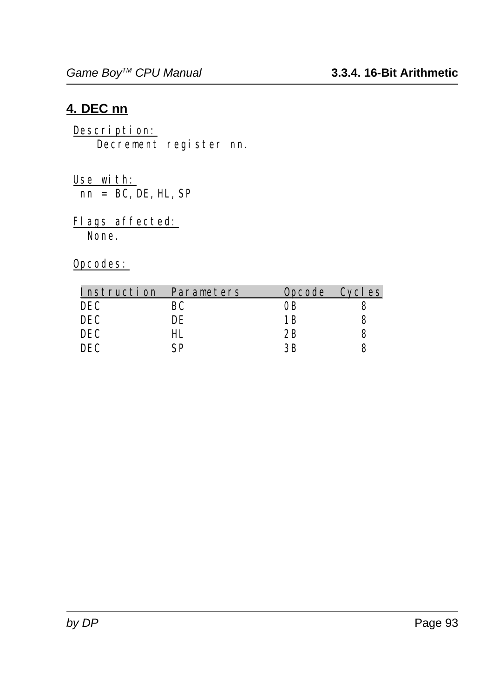### **4. DEC nn**

Description: Decrement register nn.

Use with:  $\overline{nn}$  = BC, DE, HL, SP

Flags affected: None.

| Instruction Parameters |     |     | Opcode Cycles |
|------------------------|-----|-----|---------------|
| DEC                    | BС  | OB  |               |
| DEC                    | DE  | 1 R |               |
| DEC                    | HL. | 2B  |               |
| DEC                    | CD  | ЗR  |               |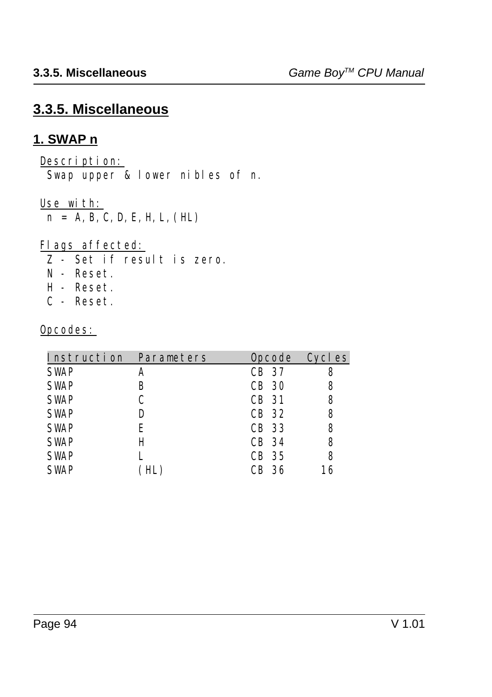## **3.3.5. Miscellaneous**

### **1. SWAP n**

Description: Swap upper & lower nibles of n.

Use with:

 $n = A, B, C, D, E, H, L, (HL)$ 

Flags affected:

- Z Set if result is zero.
- N Reset.
- H Reset.
- C Reset.

| Instruction Parameters |     | Opcode Cycles |    |
|------------------------|-----|---------------|----|
| <b>SWAP</b>            | A   | CB 37         | 8  |
| <b>SWAP</b>            | B   | <b>CB</b> 30  | 8  |
| <b>SWAP</b>            | C   | <b>CB</b> 31  | 8  |
| <b>SWAP</b>            | D   | CB 32         | 8  |
| <b>SWAP</b>            | E   | CB 33         | 8  |
| <b>SWAP</b>            | H   | CB 34         | 8  |
| <b>SWAP</b>            |     | CB 35         | 8  |
| <b>SWAP</b>            | HL) | CB 36         | 16 |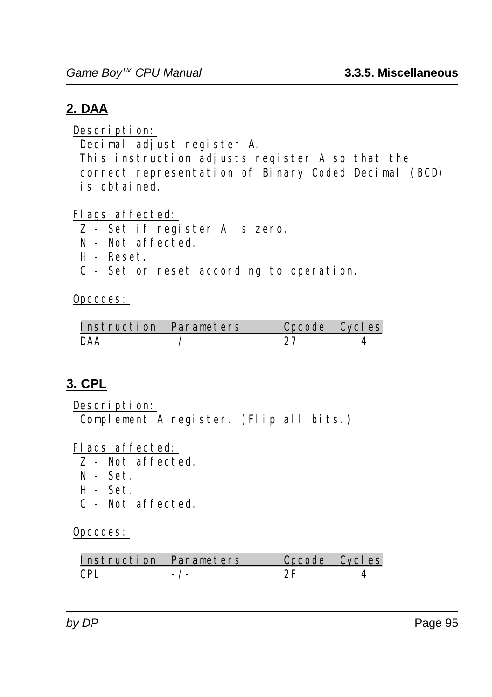## **2. DAA**

Description:

Decimal adjust register A.

 This instruction adjusts register A so that the correct representation of Binary Coded Decimal (BCD) is obtained.

Flags affected:

- Z Set if register A is zero.
- N Not affected.
- H Reset.
- C Set or reset according to operation.

Opcodes:

| Instruction Parameters | Opcode Cycles |  |
|------------------------|---------------|--|
|                        |               |  |

## **3. CPL**

Description: Complement A register. (Flip all bits.)

Flags affected:

- Z Not affected.
- $N Set.$
- H Set.
- C Not affected.

| Instruction Parameters | Oncode Cycles |  |
|------------------------|---------------|--|
|                        |               |  |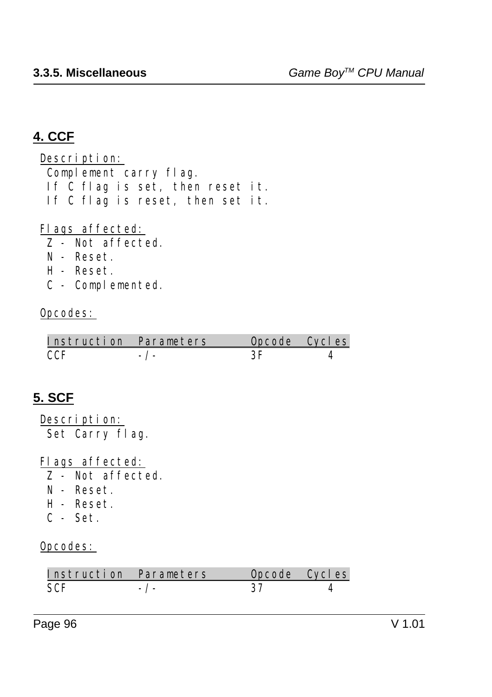## **4. CCF**

Description: Complement carry flag. If C flag is set, then reset it. If C flag is reset, then set it.

Flags affected:

- Z Not affected.
- N Reset.
- H Reset.
- C Complemented.

### Opcodes:

| Instruction Parameters | Oncode Cycles |  |
|------------------------|---------------|--|
| CC F                   |               |  |

## **5. SCF**

Description: Set Carry flag.

Flags affected:

- Z Not affected.
- N Reset.
- H Reset.
- C Set.

| Instruction Parameters | Opcode Cycles |  |
|------------------------|---------------|--|
| SCF                    |               |  |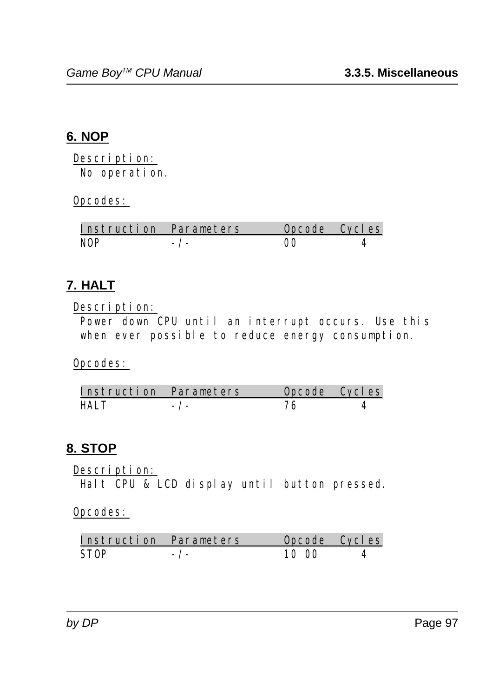## **6. NOP**

Description: No operation.

Opcodes:

| Instruction Parameters | Oncode Cycles |  |
|------------------------|---------------|--|
| NOP                    |               |  |

### **7. HALT**

Description:

 Power down CPU until an interrupt occurs. Use this when ever possible to reduce energy consumption.

Opcodes:

| Instruction Parameters | Opcode Cycles |  |
|------------------------|---------------|--|
| нат т                  |               |  |

### **8. STOP**

Description:

Halt CPU & LCD display until button pressed.

| Instruction Parameters |           | Opcode Cycles |  |
|------------------------|-----------|---------------|--|
| STOP                   | $-$ / $-$ | 10.00         |  |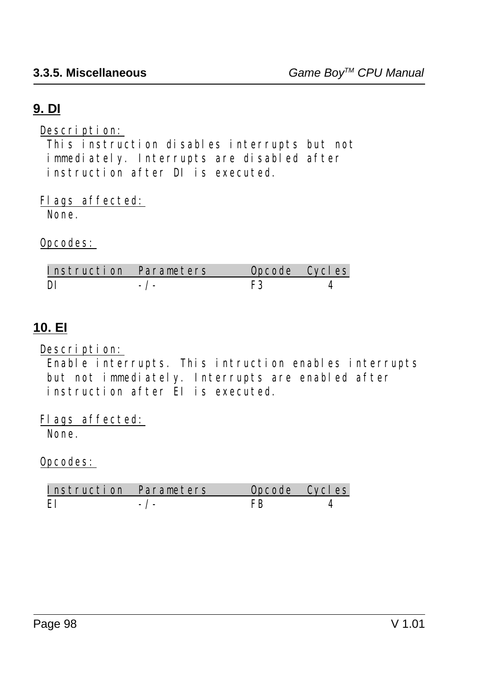## **9. DI**

Description:

 This instruction disables interrupts but not immediately. Interrupts are disabled after instruction after DI is executed.

Flags affected: None.

Opcodes:

| Instruction Parameters | Opcode Cycles |  |
|------------------------|---------------|--|
|                        |               |  |

### **10. EI**

Description:

 Enable interrupts. This intruction enables interrupts but not immediately. Interrupts are enabled after instruction after EI is executed.

Flags affected: None.

| Instruction Parameters | Opcode Cycles |  |
|------------------------|---------------|--|
| FТ                     |               |  |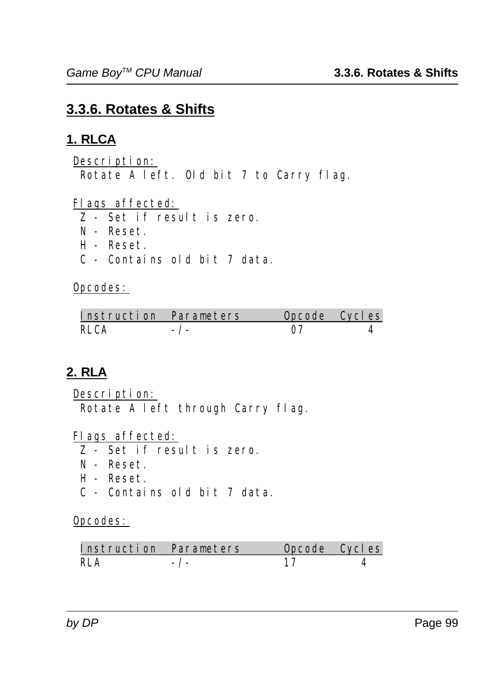## **3.3.6. Rotates & Shifts**

## **1. RLCA**

Description: Rotate A left. Old bit 7 to Carry flag.

Flags affected:

Z - Set if result is zero.

- N Reset.
- H Reset.
- C Contains old bit 7 data.

Opcodes:

| Instruction Parameters | Opcode Cycles |  |
|------------------------|---------------|--|
| RLCA                   |               |  |

## **2. RLA**

Description: Rotate A left through Carry flag.

Flags affected:

- Z Set if result is zero.
- N Reset.
- H Reset.
- C Contains old bit 7 data.

| Instruction Parameters | Opcode Cycles |  |
|------------------------|---------------|--|
| RI A                   |               |  |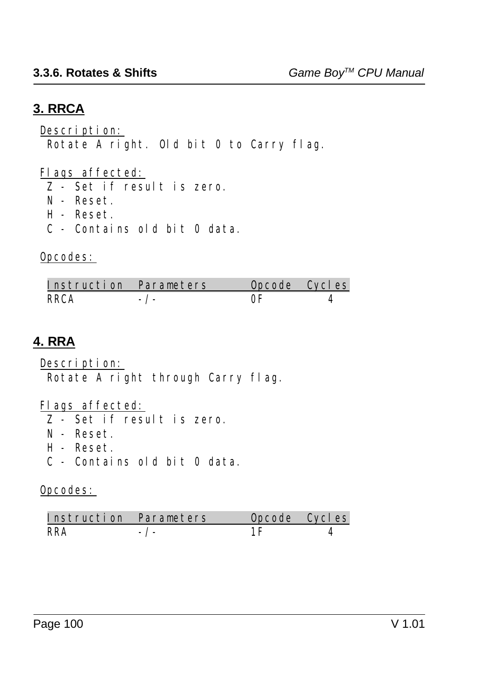## **3. RRCA**

Description:

Rotate A right. Old bit 0 to Carry flag.

Flags affected:

Z - Set if result is zero.

- N Reset.
- H Reset.
- C Contains old bit 0 data.

## Opcodes:

| Instruction Parameters | Oncode Cycles |  |
|------------------------|---------------|--|
| RRCA                   |               |  |

## **4. RRA**

Description: Rotate A right through Carry flag.

Flags affected:

- Z Set if result is zero.
- N Reset.
- H Reset.
- C Contains old bit 0 data.

| Instruction Parameters | Opcode Cycles |  |
|------------------------|---------------|--|
| RR∆                    |               |  |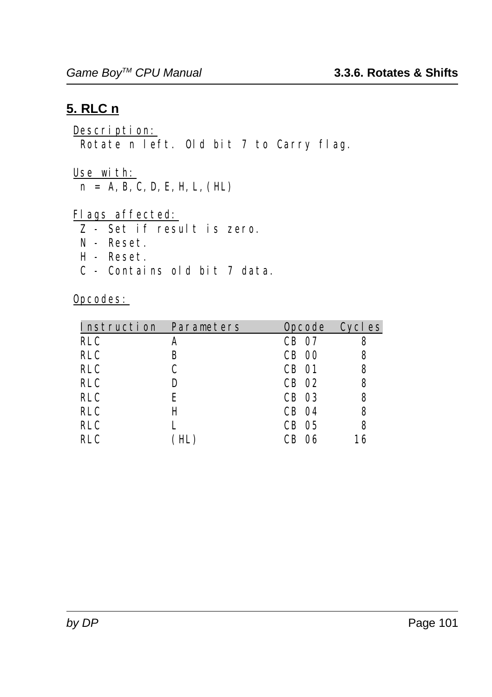### **5. RLC n**

#### Description: Rotate n left. Old bit 7 to Carry flag.

Use with:

 $n = A, B, C, D, E, H, L, (HL)$ 

Flags affected:

- $\frac{2}{\sqrt{2}}$  Set if result is zero.
- N Reset.
- H Reset.
- C Contains old bit 7 data.

| Instruction Parameters |   | Opcode Cycles |    |
|------------------------|---|---------------|----|
| <b>RLC</b>             | A | CB 07         |    |
| <b>RLC</b>             | B | <b>CB 00</b>  | 8  |
| <b>RLC</b>             | C | <b>CB</b> 01  | 8  |
| <b>RLC</b>             | D | CB 02         | 8  |
| <b>RLC</b>             | E | CB 03         | 8  |
| <b>RLC</b>             | Н | CB 04         | 8  |
| <b>RLC</b>             |   | CB 05         | 8  |
| <b>RLC</b>             |   | CB.<br>06     | 16 |
|                        |   |               |    |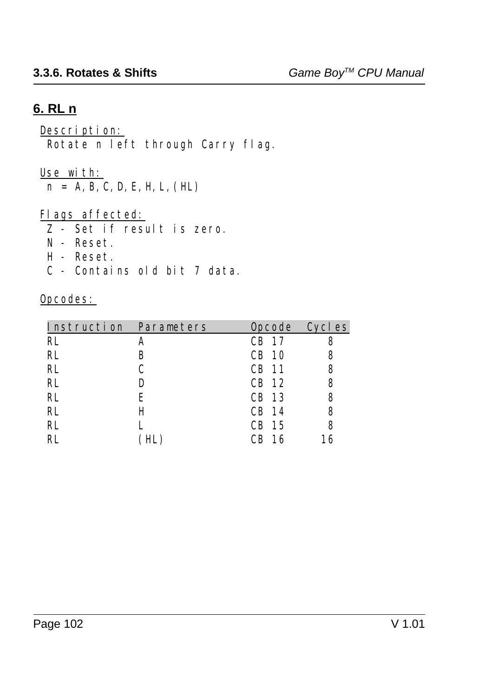### **6. RL n**

#### Description: Rotate n left through Carry flag.

#### Use with:

 $n = A, B, C, D, E, H, L, (HL)$ 

### Flags affected:

- $\frac{2}{\sqrt{2}}$  Set if result is zero.
- N Reset.
- H Reset.
- C Contains old bit 7 data.

| Instruction Parameters |   |          | Opcode Cycles |
|------------------------|---|----------|---------------|
| <b>RL</b>              |   | CB 17    | 8             |
| RL                     | В | CB 10    | 8             |
| RL                     |   | CB 11    | 8             |
| RL                     | D | CB 12    | 8             |
| RL                     | E | CB 13    | 8             |
| RL                     | H | CB 14    | 8             |
| RL                     |   | CB 15    | 8             |
| RI.                    |   | 16<br>CВ | 16            |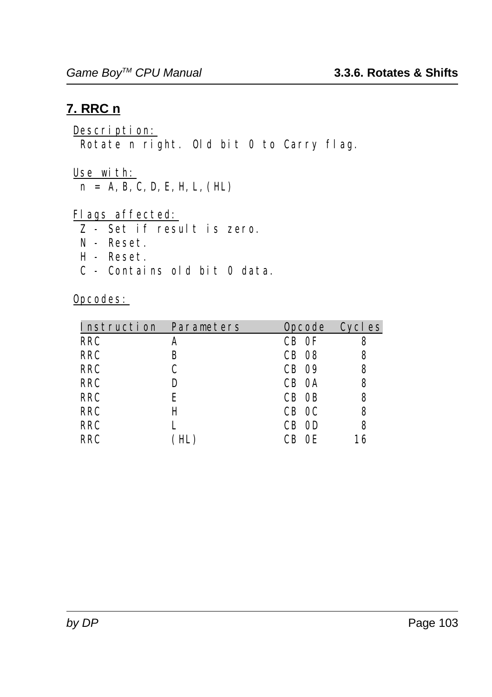## **7. RRC n**

#### Description: Rotate n right. Old bit 0 to Carry flag.

Use with:

 $n = A, B, C, D, E, H, L, (HL)$ 

Flags affected:

- $\frac{2}{\sqrt{2}}$  Set if result is zero.
- N Reset.
- H Reset.
- C Contains old bit 0 data.

| Instruction Parameters |   | Opcode Cycles |    |
|------------------------|---|---------------|----|
| <b>RRC</b>             | A | CB OF         |    |
| <b>RRC</b>             | B | <b>CB 08</b>  | 8  |
| <b>RRC</b>             | C | CB 09         | 8  |
| <b>RRC</b>             | D | CB 0A         | 8  |
| <b>RRC</b>             | Е | CB OB         | 8  |
| <b>RRC</b>             | Н | CB OC         | 8  |
| <b>RRC</b>             |   | CB OD         | 8  |
| <b>RRC</b>             |   | CB OE         | 16 |
|                        |   |               |    |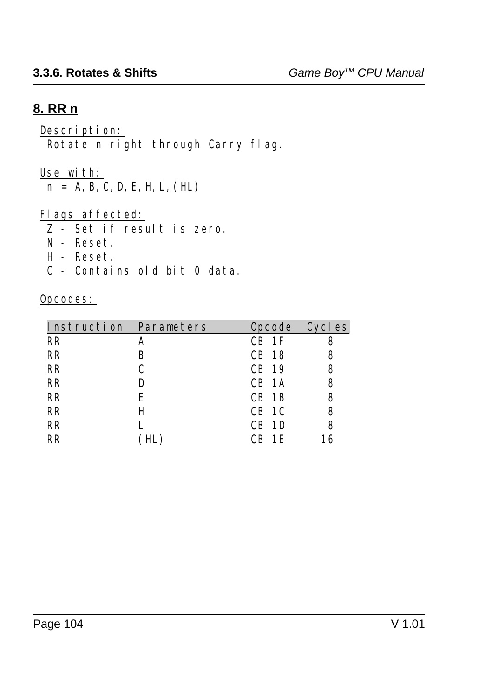## **8. RR n**

# Description:

Rotate n right through Carry flag.

### Use with:

 $n = A, B, C, D, E, H, L, (HL)$ 

### Flags affected:

- $\frac{2}{\sqrt{2}}$  Set if result is zero.
- N Reset.
- H Reset.
- C Contains old bit 0 data.

| Instruction Parameters |   |            | Opcode Cycles |
|------------------------|---|------------|---------------|
| <b>RR</b>              | A | $CB$ 1F    | 8             |
| <b>RR</b>              | B | CB 18      | 8             |
| <b>RR</b>              |   | CB 19      | 8             |
| <b>RR</b>              | D | CB 1A      | 8             |
| RR                     | E | $CB$ 1B    | 8             |
| <b>RR</b>              | H | CB 1C      | 8             |
| <b>RR</b>              |   | 1D<br>CB.  | 8             |
| RR                     |   | 1 F.<br>CВ | 16            |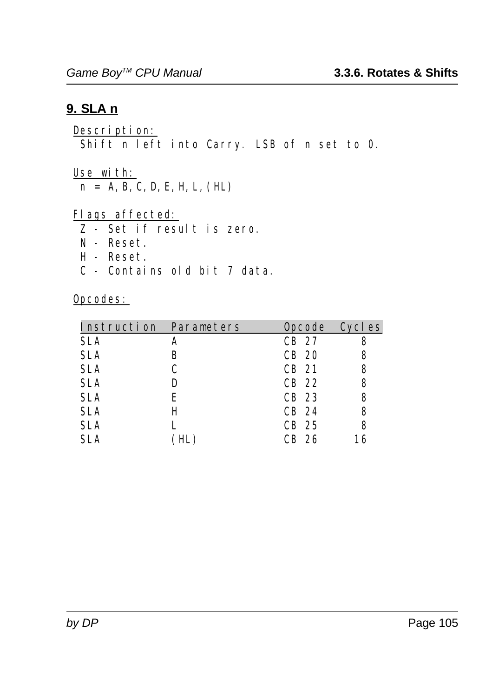### **9. SLA n**

Description: Shift n left into Carry. LSB of n set to 0.

Use with:

 $n = A, B, C, D, E, H, L, (HL)$ 

Flags affected:

- Z Set if result is zero.
- N Reset.
- H Reset.
- C Contains old bit 7 data.

| Instruction Parameters |   | Opcode Cycles |    |
|------------------------|---|---------------|----|
| <b>SLA</b>             | A | CB 27         |    |
| <b>SLA</b>             | B | CB 20         | 8  |
| <b>SLA</b>             | C | CB 21         | 8  |
| <b>SLA</b>             | D | CB 22         | 8  |
| <b>SLA</b>             | E | CB 23         | 8  |
| <b>SLA</b>             | H | CB 24         | 8  |
| <b>SLA</b>             |   | CB 25         | 8  |
| <b>SLA</b>             |   | CB 26         | 16 |
|                        |   |               |    |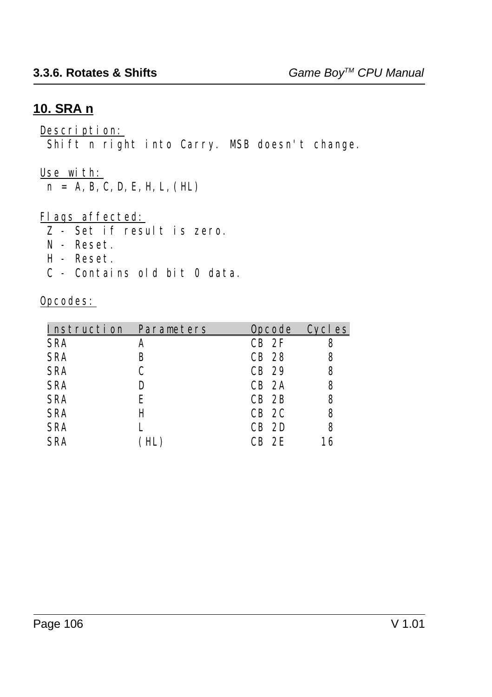### **10. SRA n**

#### Description:

Shift n right into Carry. MSB doesn't change.

#### Use with:

 $n = A, B, C, D, E, H, L, (HL)$ 

### Flags affected:

- Z Set if result is zero.
- N Reset.
- H Reset.
- C Contains old bit 0 data.

| Instruction Parameters |     | Opcode Cycles |    |
|------------------------|-----|---------------|----|
| <b>SRA</b>             | A   | $CB$ $2F$     |    |
| <b>SRA</b>             | В   | CB 28         | 8  |
| <b>SRA</b>             | C   | CB 29         | 8  |
| <b>SRA</b>             | D   | $CB$ 2A       | 8  |
| <b>SRA</b>             | E   | $CB$ $2B$     | 8  |
| <b>SRA</b>             | Н   | $CB$ 2C       | 8  |
| <b>SRA</b>             |     | $CB$ 2D       | 8  |
| <b>SRA</b>             | HL. | $CR$ $2E$     | 16 |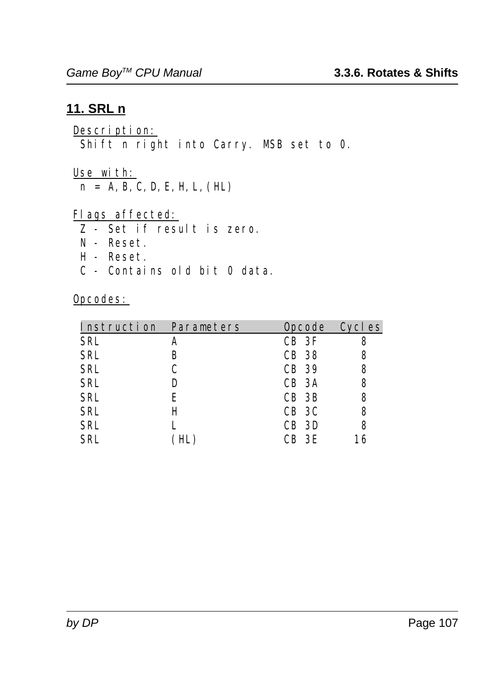### **11. SRL n**

Description: Shift n right into Carry. MSB set to 0.

Use with:

 $n = A, B, C, D, E, H, L, (HL)$ 

Flags affected:

- $\frac{2}{\sqrt{2}}$  Set if result is zero.
- N Reset.
- H Reset.
- C Contains old bit 0 data.

| Instruction Parameters |   | Opcode Cycles |    |
|------------------------|---|---------------|----|
| <b>SRL</b>             | A | $CB$ 3F       |    |
| <b>SRL</b>             | В | CB 38         | 8  |
| <b>SRL</b>             | C | CB 39         | 8  |
| <b>SRL</b>             | D | CB 3A         | 8  |
| <b>SRL</b>             | E | CB 3B         | 8  |
| <b>SRL</b>             | H | CB 3C         | 8  |
| <b>SRL</b>             |   | CB 3D         | 8  |
| <b>SRL</b>             |   | CB 3E         | 16 |
|                        |   |               |    |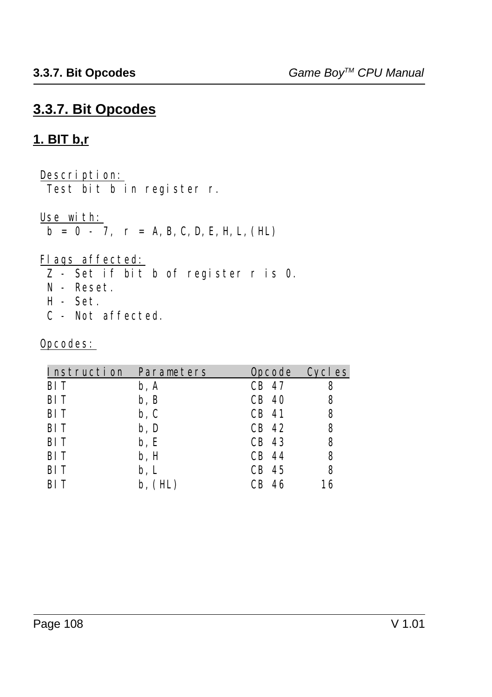## **3.3.7. Bit Opcodes**

## **1. BIT b,r**

Description:

Test bit b in register r.

Use with:

 $\overline{b} = 0 - 7$ ,  $\Gamma = A, B, C, D, E, H, L, (HL)$ 

### Flags affected:

- Z Set if bit b of register r is 0.
- N Reset.
- H Set.
- C Not affected.

|      | <b>Opcode</b>          | Cycl es |
|------|------------------------|---------|
| b, A | CB 47                  | 8       |
| b, B | CB 40                  | 8       |
| b, C | CB 41                  | 8       |
| b, D | CB 42                  | 8       |
| b, E | CB 43                  | 8       |
| b, H | CB 44                  | 8       |
| b, L | CB 45                  | 8       |
| (HL) | 46<br>CВ               | 16      |
|      | Instruction Parameters |         |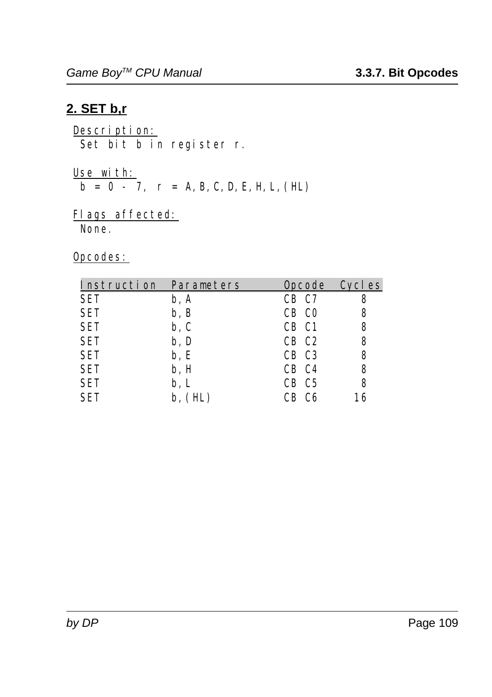### **2. SET b,r**

Description: Set bit b in register r.

<u>Use with:</u>  $\mathbf{b} = \mathbf{0} - 7$ ,  $\mathbf{r} = \mathbf{A}, \mathbf{B}, \mathbf{C}, \mathbf{D}, \mathbf{E}, \mathbf{H}, \mathbf{L}, (\mathbf{H}\mathbf{L})$ 

#### Flags affected: None.

| Instruction Parameters |                          | Opcode Cycles     |    |
|------------------------|--------------------------|-------------------|----|
| <b>SET</b>             | b, A                     | CB C7             | 8  |
| <b>SET</b>             | b, B                     | CB CO             | 8  |
| SET                    | $\mathbf{b}, \mathbf{C}$ | CB C1             | 8  |
| SET                    | b, D                     | CB C <sub>2</sub> | 8  |
| <b>SET</b>             | b, E                     | CB C3             | 8  |
| <b>SET</b>             | b, H                     | CB C4             | 8  |
| <b>SET</b>             | b, L                     | CB C5             | 8  |
| <b>SET</b>             | b. (HL)                  | - C6              | 16 |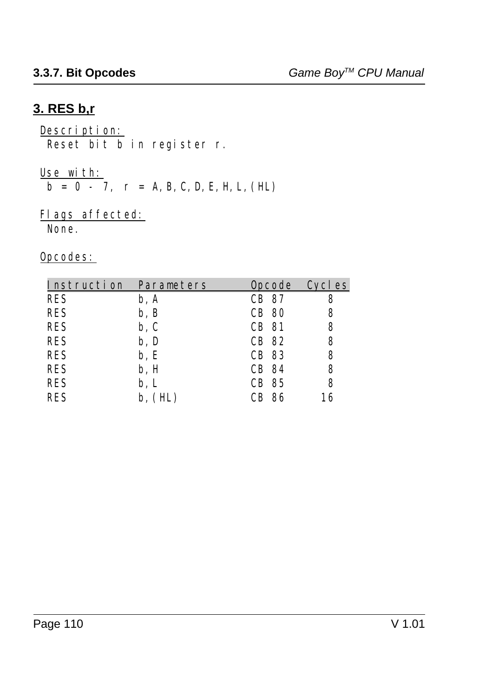# **3. RES b,r**

# Description:

Reset bit b in register r.

#### <u>Use with:</u>

 $b = 0 - 7$ ,  $r = A, B, C, D, E, H, L, (HL)$ 

### Flags affected:

None.

| Instruction Parameters |         | Opcode Cycles |    |
|------------------------|---------|---------------|----|
| <b>RES</b>             | b, A    | CB 87         | 8  |
| <b>RES</b>             | b, B    | <b>CB 80</b>  | 8  |
| <b>RES</b>             | b, C    | CB 81         | 8  |
| <b>RES</b>             | b, D    | CB 82         | 8  |
| <b>RES</b>             | b, E    | CB 83         | 8  |
| <b>RES</b>             | b, H    | CB 84         | 8  |
| <b>RES</b>             | b, L    | CB 85         | 8  |
| <b>RES</b>             | b. (HL) | 86<br>CB -    | 16 |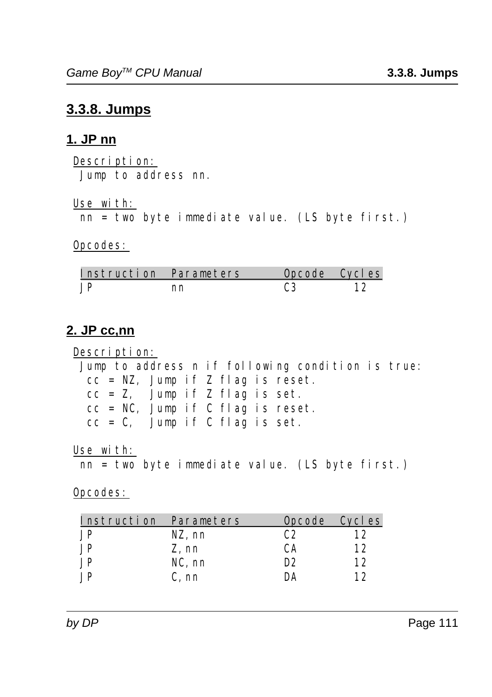# **3.3.8. Jumps**

#### **1. JP nn**

Description: Jump to address nn.

Use with:

nn = two byte immediate value. (LS byte first.)

#### Opcodes:

| Instruction Parameters |    | Opcode Cycles |  |
|------------------------|----|---------------|--|
|                        | nn |               |  |

# **2. JP cc,nn**

Description: Jump to address n if following condition is true:  $cc = NZ$ , Jump if Z flag is reset.  $cc = Z$ , Jump if Z flag is set.  $cc = NC$ , Jump if C flag is reset.  $cc = C$ , Jump if C flag is set.

Use with:

nn = two byte immediate value. (LS byte first.)

| Instruction Parameters |           | Opcode Cycles  |    |
|------------------------|-----------|----------------|----|
| .JP                    | NZ, nn    | C2             | 12 |
| .JP                    | Z, nn     | CА             | 12 |
| .JP                    | $NC$ , nn | D <sub>2</sub> | 12 |
| ΙP                     | C. nn     | DА             | 12 |
|                        |           |                |    |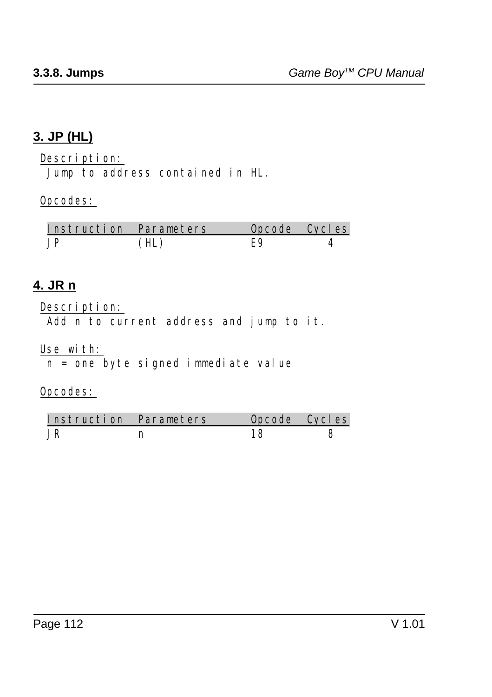# **3. JP (HL)**

Description:

Jump to address contained in HL.

#### Opcodes:

| Instruction Parameters | Opcode Cycles |  |
|------------------------|---------------|--|
|                        |               |  |

### **4. JR n**

#### Description:

Add n to current address and jump to it.

#### Use with:

 $n = one$  byte signed immediate value

| Instruction Parameters | Opcode Cycles |  |
|------------------------|---------------|--|
|                        |               |  |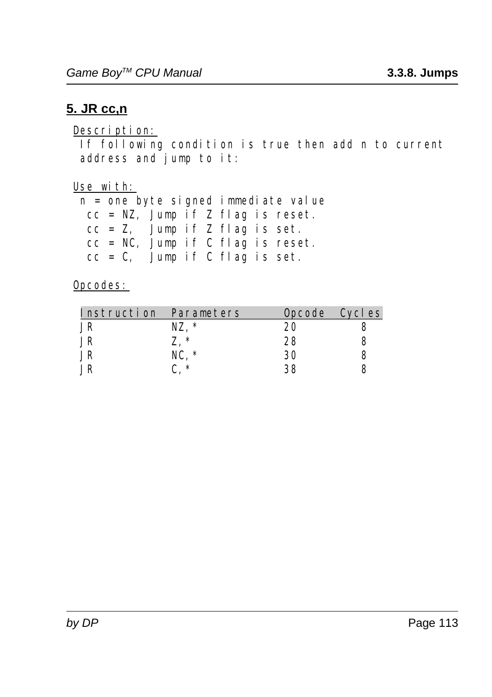### **5. JR cc,n**

#### Description:

 If following condition is true then add n to current address and jump to it:

Use with:

 n = one byte signed immediate value  $cc = NZ$ , Jump if Z flag is reset. cc = Z, Jump if Z flag is set. cc = NC, Jump if C flag is reset.  $cc = C$ , Jump if C flag is set.

| Instruction Parameters |          |    | Opcode Cycles |
|------------------------|----------|----|---------------|
| JR                     | *<br>NZ. | 20 |               |
| JR                     | -∗       | 28 |               |
| JR                     | NC. *    | 30 |               |
|                        | ∗        | २९ |               |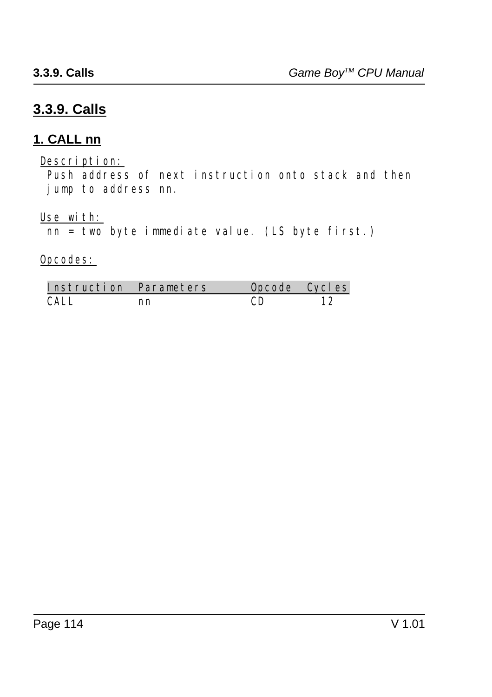# **3.3.9. Calls**

### **1. CALL nn**

Description:

 Push address of next instruction onto stack and then jump to address nn.

Use with:

 $\overline{\text{nn} = \text{two}}$  byte immediate value. (LS byte first.)

| Instruction Parameters |    | Opcode Cycles |    |
|------------------------|----|---------------|----|
| CALL.                  | nn |               | 12 |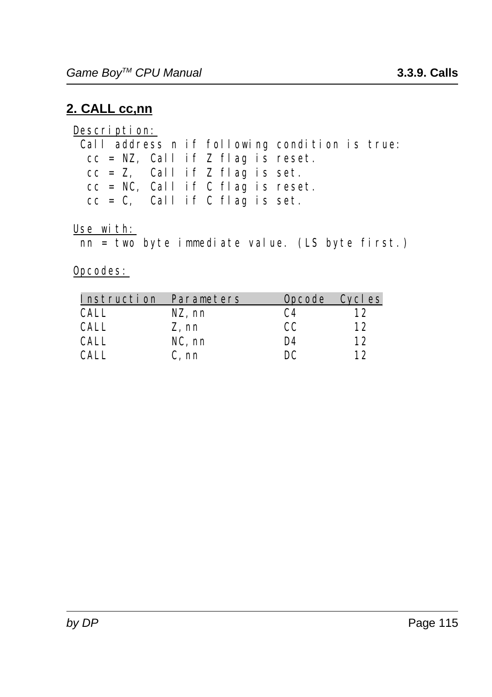# **2. CALL cc,nn**

Description: Call address n if following condition is true:  $cc = NZ$ , Call if Z flag is reset.  $cc = Z$ , Call if Z flag is set.  $cc = NC$ , Call if C flag is reset.  $cc = C$ , Call if C flag is set.

Use with:

nn = two byte immediate value. (LS byte first.)

| Instruction Parameters |           | Opcode Cycles |    |
|------------------------|-----------|---------------|----|
| CALL.                  | NZ, nn    | C4            | 12 |
| CALL.                  | Z, nn     | CC.           | 12 |
| CALL.                  | $NC$ , nn | D4            | 12 |
|                        | C. nn     | DС            | 12 |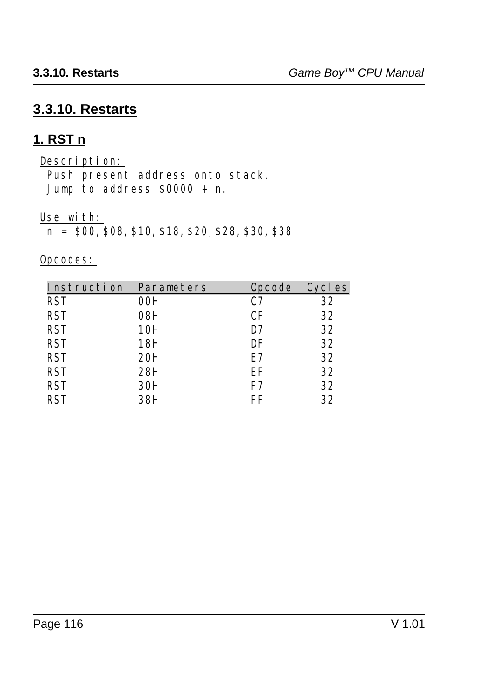# **3.3.10. Restarts**

### **1. RST n**

Description: Push present address onto stack. Jump to address  $$0000 + n$ .

Use with:

n = \$00,\$08,\$10,\$18,\$20,\$28,\$30,\$38

| Instruction | Parameters | <b>Opcode</b> | Cycles |
|-------------|------------|---------------|--------|
| <b>RST</b>  | 00H        | C7            | 32     |
| <b>RST</b>  | 08H        | CF            | 32     |
| <b>RST</b>  | 10H        | D7            | 32     |
| <b>RST</b>  | 18H        | DF            | 32     |
| <b>RST</b>  | 20H        | E7            | 32     |
| <b>RST</b>  | 28H        | EF            | 32     |
| <b>RST</b>  | 30H        | F7            | 32     |
| <b>RST</b>  | 38H        | FF            | 32     |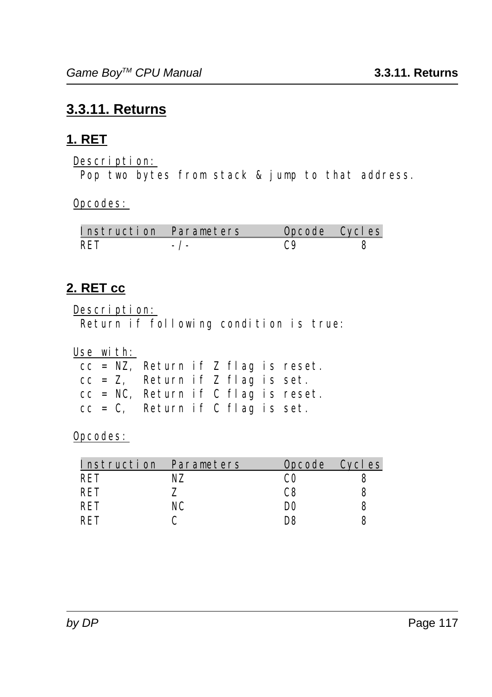# **3.3.11. Returns**

# **1. RET**

Description:

Pop two bytes from stack & jump to that address.

Opcodes:

| Instruction Parameters |  | Opcode Cycles |
|------------------------|--|---------------|
| <b>RET</b>             |  |               |

# **2. RET cc**

Description:

Return if following condition is true:

Use with:

| $cc = NZ$ , Return if Z flag is reset. |  |  |  |
|----------------------------------------|--|--|--|
| $cc = Z$ , Return if Z flag is set.    |  |  |  |
| $cc = NC$ , Return if C flag is reset. |  |  |  |
| $cc = C$ , Return if C flag is set.    |  |  |  |

| Instruction Parameters |    | Opcode Cycles |  |
|------------------------|----|---------------|--|
| RET                    |    |               |  |
| RET                    |    | C8            |  |
| RET                    | NC | DO            |  |
| RFT                    |    | ng            |  |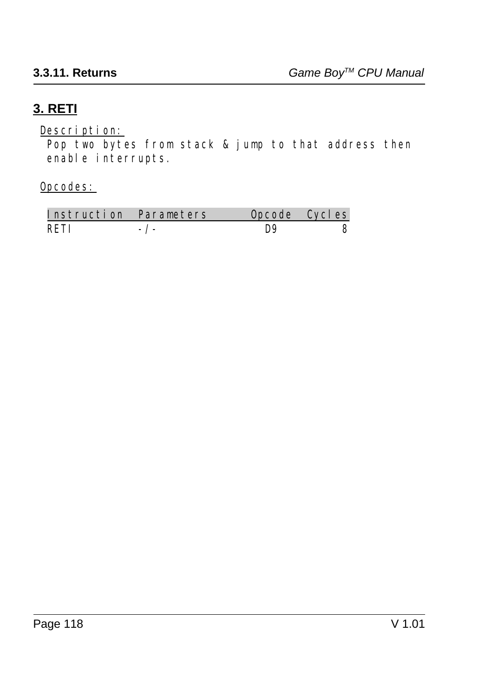# **3. RETI**

Description:

 Pop two bytes from stack & jump to that address then enable interrupts.

| Instruction Parameters | Opcode Cycles |  |
|------------------------|---------------|--|
| RFTI                   | Do            |  |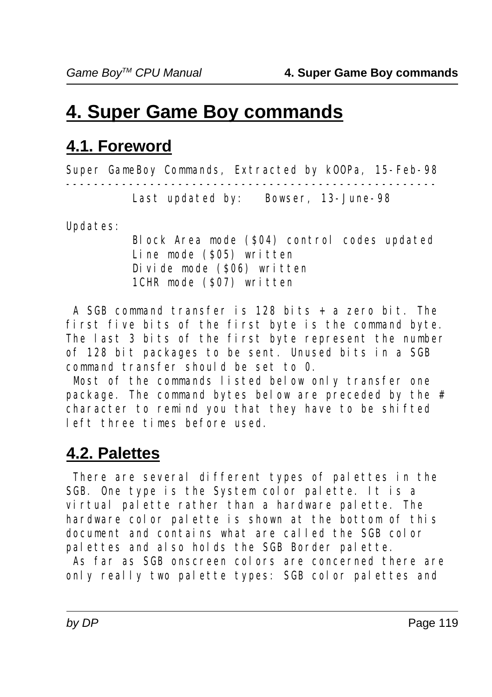# **4. Super Game Boy commands**

# **4.1. Foreword**

*Super GameBoy Commands, Extracted by kOOPa, 15-Feb-98 ----------------------------------------------------- Last updated by: Bowser, 13-June-98*

Updates:

Block Area mode (\$04) control codes updated Line mode (\$05) written Divide mode (\$06) written 1CHR mode (\$07) written

 A SGB command transfer is 128 bits + a zero bit. The first five bits of the first byte is the command byte. The last 3 bits of the first byte represent the number of 128 bit packages to be sent. Unused bits in a SGB command transfer should be set to 0.

 Most of the commands listed below only transfer one package. The command bytes below are preceded by the # character to remind you that they have to be shifted left three times before used.

# **4.2. Palettes**

 There are several different types of palettes in the SGB. One type is the System color palette. It is a virtual palette rather than a hardware palette. The hardware color palette is shown at the bottom of this document and contains what are called the SGB color palettes and also holds the SGB Border palette.

 As far as SGB onscreen colors are concerned there are only really two palette types: SGB color palettes and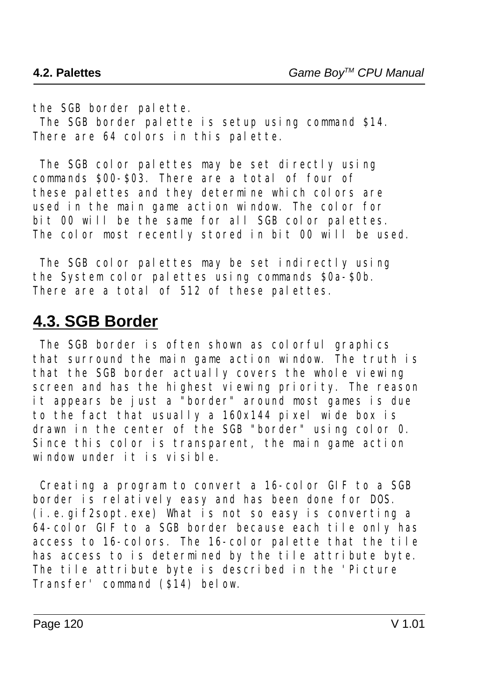the SGB border palette.

 The SGB border palette is setup using command \$14. There are 64 colors in this palette.

 The SGB color palettes may be set directly using commands \$00-\$03. There are a total of four of these palettes and they determine which colors are used in the main game action window. The color for bit 00 will be the same for all SGB color palettes. The color most recently stored in bit 00 will be used.

 The SGB color palettes may be set indirectly using the System color palettes using commands \$0a-\$0b. There are a total of 512 of these palettes.

# **4.3. SGB Border**

 The SGB border is often shown as colorful graphics that surround the main game action window. The truth is that the SGB border actually covers the whole viewing screen and has the highest viewing priority. The reason it appears be just a "border" around most games is due to the fact that usually a 160x144 pixel wide box is drawn in the center of the SGB "border" using color 0. Since this color is transparent, the main game action window under it is visible.

 Creating a program to convert a 16-color GIF to a SGB border is relatively easy and has been done for DOS. (i.e.gif2sopt.exe) What is not so easy is converting a 64-color GIF to a SGB border because each tile only has access to 16-colors. The 16-color palette that the tile has access to is determined by the tile attribute byte. The tile attribute byte is described in the 'Picture Transfer' command (\$14) below.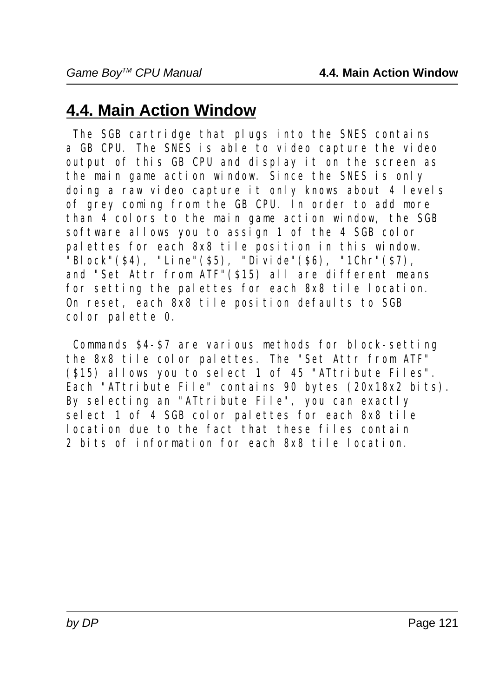# **4.4. Main Action Window**

 The SGB cartridge that plugs into the SNES contains a GB CPU. The SNES is able to video capture the video output of this GB CPU and display it on the screen as the main game action window. Since the SNES is only doing a raw video capture it only knows about 4 levels of grey coming from the GB CPU. In order to add more than 4 colors to the main game action window, the SGB software allows you to assign 1 of the 4 SGB color palettes for each 8x8 tile position in this window.  $\overline{\text{}}$ "Block"(\$4), "Line"(\$5), "Divide"(\$6), "1Chr"(\$7), and "Set Attr from ATF"(\$15) all are different means for setting the palettes for each 8x8 tile location. On reset, each 8x8 tile position defaults to SGB color palette 0.

 Commands \$4-\$7 are various methods for block-setting the 8x8 tile color palettes. The "Set Attr from ATF" (\$15) allows you to select 1 of 45 "ATtribute Files". Each "ATtribute File" contains 90 bytes (20x18x2 bits). By selecting an "ATtribute File", you can exactly select 1 of 4 SGB color palettes for each 8x8 tile location due to the fact that these files contain 2 bits of information for each 8x8 tile location.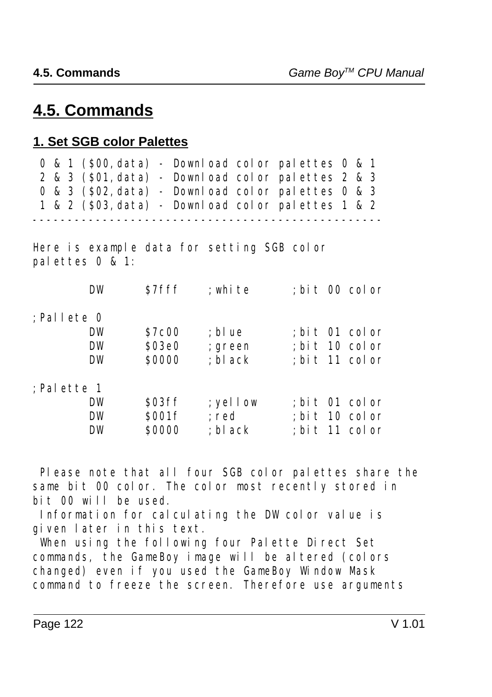# **4.5. Commands**

#### **1. Set SGB color Palettes**

|  |  |  | 0 & 1 (\$00, data) - Download color palettes 0 & 1 |  |  |  |
|--|--|--|----------------------------------------------------|--|--|--|
|  |  |  | 2 & 3 (\$01, data) - Download color palettes 2 & 3 |  |  |  |
|  |  |  | 0 & 3 (\$02, data) - Download color palettes 0 & 3 |  |  |  |
|  |  |  | 1 & 2 (\$03, data) - Download color palettes 1 & 2 |  |  |  |
|  |  |  |                                                    |  |  |  |

Here is example data for setting SGB color palettes 0 & 1:

|               | DW        | \$7fff       | ; white    | ; bit 00 color |  |
|---------------|-----------|--------------|------------|----------------|--|
| :Pallete 0    |           |              |            |                |  |
|               | DW        | <b>S7c00</b> | ; blue     | ; bit 01 color |  |
|               | <b>DW</b> | \$03e0       | ; green    | ; bit 10 color |  |
|               | <b>DW</b> | \$0000       | ; bl ack   | ; bit 11 color |  |
| $:$ Palette 1 |           |              |            |                |  |
|               | <b>DW</b> | \$03ff       | $;$ yellow | ; bit 01 color |  |
|               | <b>DW</b> | \$001f       | ; red      | ; bit 10 color |  |
|               | DW        | \$0000       | ; bl ack   | ; bit 11 color |  |

 Please note that all four SGB color palettes share the same bit 00 color. The color most recently stored in bit 00 will be used.

 Information for calculating the DW color value is given later in this text.

 When using the following four Palette Direct Set commands, the GameBoy image will be altered (colors changed) even if you used the GameBoy Window Mask command to freeze the screen. Therefore use arguments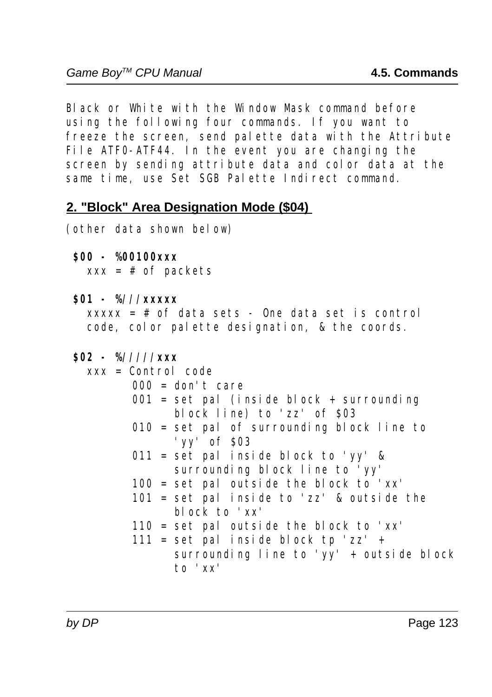Black or White with the Window Mask command before using the following four commands. If you want to freeze the screen, send palette data with the Attribute File ATF0-ATF44. In the event you are changing the screen by sending attribute data and color data at the same time, use Set SGB Palette Indirect command.

#### **2. "Block" Area Designation Mode (\$04)**

(other data shown below)

#### **\$00 - %00100xxx**

 $xxx = # of packets$ 

 **\$01 - %///xxxxx**

 $xxxxx = # of data sets - One data set is control$ code, color palette designation, & the coords.

| $$02 - %///xxx$                              |
|----------------------------------------------|
| $xxx = Control code$                         |
| $000 = don't care$                           |
| $001 =$ set pal (inside block + surrounding  |
| block line) to 'zz' of \$03                  |
| $010 =$ set pal of surrounding block line to |
| 'yy' of $\sqrt{503}$                         |
| $011 =$ set pal inside block to 'yy' &       |
| surrounding block line to 'yy'               |
| $100 =$ set pal outside the block to 'xx'    |
| $101 = set$ pal inside to 'zz' & outside the |
| block to $'xx'$                              |
| $110 =$ set pal outside the block to 'xx'    |
| $111 =$ set pal inside block tp 'zz' +       |
| surrounding line to 'yy' + outside block     |
| to 'xx'                                      |
|                                              |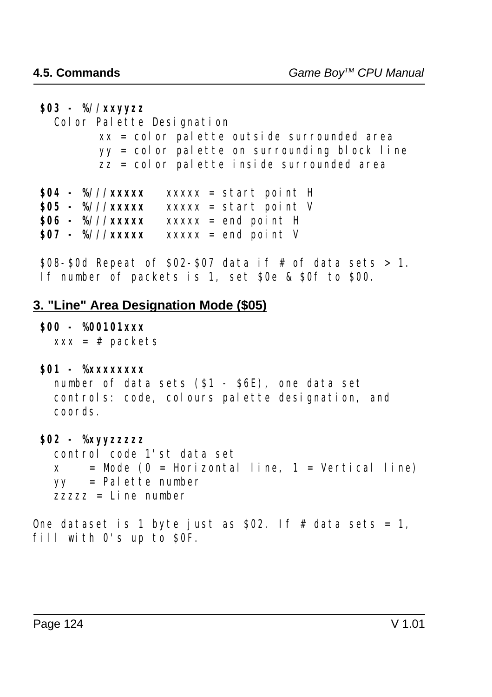**\$03 - %//xxyyzz** Color Palette Designation  $xx = col$  or palette outside surrounded area yy = color palette on surrounding block line  $\overline{zz}$  = color palette inside surrounded area  $$04 - %//xxxxx$  xxxxx = start point H **\$05 - %///xxxxx** xxxxx = start point V **\$06 - %///xxxxx** xxxxx = end point H **807 - %///xxxxx** xxxxx = end point V \$08-\$0d Repeat of \$02-\$07 data if # of data sets > 1. If number of packets is 1, set \$0e & \$0f to \$00.

#### **3. "Line" Area Designation Mode (\$05)**

#### **\$00 - %00101xxx**

 $xxx = # packets$ 

#### **\$01 - %xxxxxxxx**

```
 number of data sets ($1 - $6E), one data set
 controls: code, colours palette designation, and
 coords.
```
#### **\$02 - %xyyzzzzz**

 control code 1'st data set  $x =$ Mode (0 = Horizontal line, 1 = Vertical line) yy = Palette number zzzzz = Line number

One dataset is 1 byte just as  $$02$ . If # data sets = 1, fill with 0's up to SOF.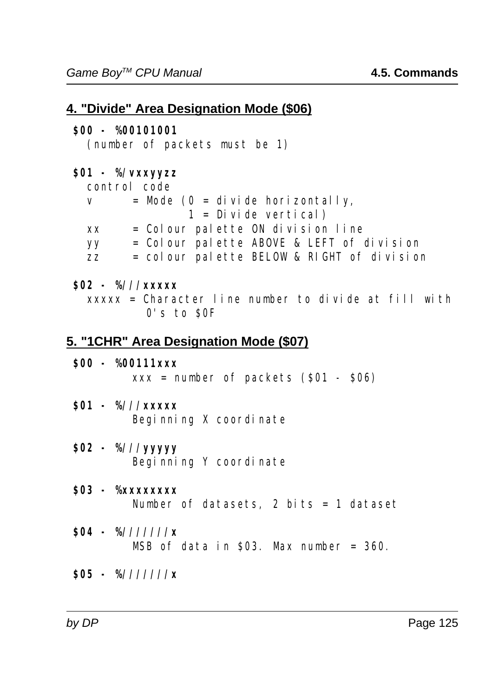```
4. "Divide" Area Designation Mode ($06)
  $00 - %00101001
    (number of packets must be 1)
  $01 - %/vxxyyzz
    control code
   v = Mode (0 = di vide horizontally,
                   1 = Divide vertical)
   xx = Colour palette ON division line
    yy = Colour palette ABOVE & LEFT of division
   \overline{zz} = colour palette BELOW & RIGHT of division
  $02 - %///xxxxx
   xxxxx = Character line number to divide at fill with0's to SOF
5. "1CHR" Area Designation Mode ($07)
  $00 - %00111xxx
         xxx = number of packets (801 - 806) $01 - %///xxxxx
         Beginning X coordinate
  $02 - %///yyyyy
         Beginning Y coordinate
  $03 - %xxxxxxxx
         Number of datasets, 2 bits = 1 dataset
  $04 - %///////x
          MSB of data in $03. Max number = 360.
  $05 - %///////x
```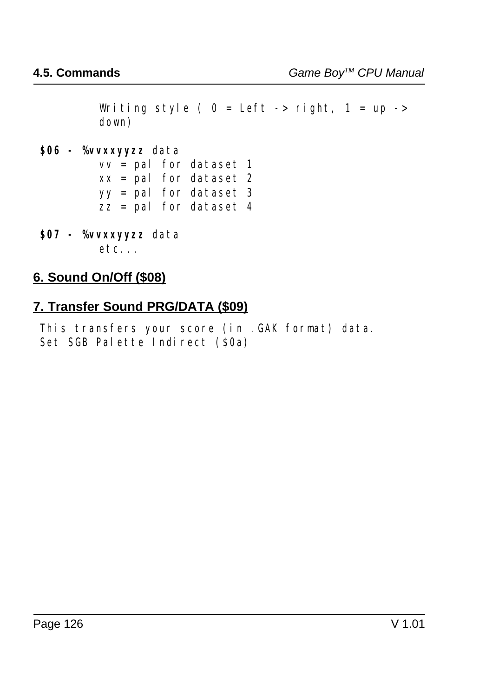Writing style (  $0 = \text{Left} \rightarrow \text{right}, 1 = \text{up} \rightarrow$ down)

#### **\$06 - %vvxxyyzz** data

 $vv = pal$  for dataset 1  $xx =$  pal for dataset 2 yy = pal for dataset 3  $\overline{zz}$  = pal for dataset 4

**\$07 - %vvxxyyzz** data  $etc.$ ...

#### **6. Sound On/Off (\$08)**

### **7. Transfer Sound PRG/DATA (\$09)**

 This transfers your score (in .GAK format) data. Set SGB Palette Indirect (\$0a)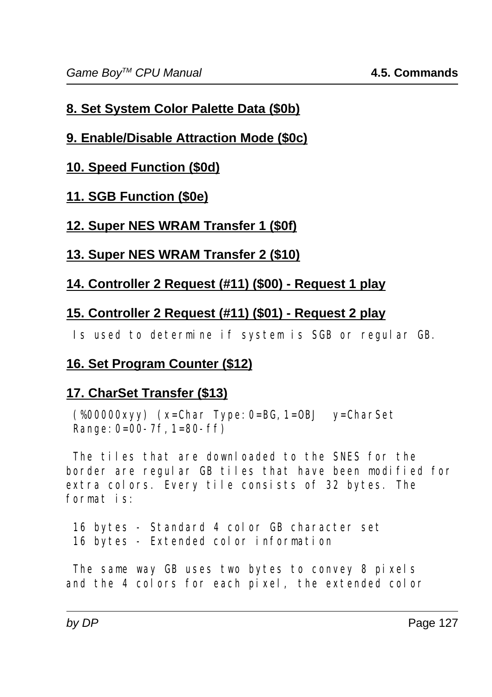# **8. Set System Color Palette Data (\$0b)**

# **9. Enable/Disable Attraction Mode (\$0c)**

# **10. Speed Function (\$0d)**

# **11. SGB Function (\$0e)**

# **12. Super NES WRAM Transfer 1 (\$0f)**

# **13. Super NES WRAM Transfer 2 (\$10)**

# **14. Controller 2 Request (#11) (\$00) - Request 1 play**

# **15. Controller 2 Request (#11) (\$01) - Request 2 play**

Is used to determine if system is SGB or regular GB.

# **16. Set Program Counter (\$12)**

# **17. CharSet Transfer (\$13)**

 (%00000xyy) (x=Char Type:0=BG,1=OBJ y=CharSet Range:  $0=00-7f$ ,  $1=80-ff$ )

 The tiles that are downloaded to the SNES for the border are regular GB tiles that have been modified for extra colors. Every tile consists of 32 bytes. The format is:

 16 bytes - Standard 4 color GB character set 16 bytes - Extended color information

 The same way GB uses two bytes to convey 8 pixels and the 4 colors for each pixel, the extended color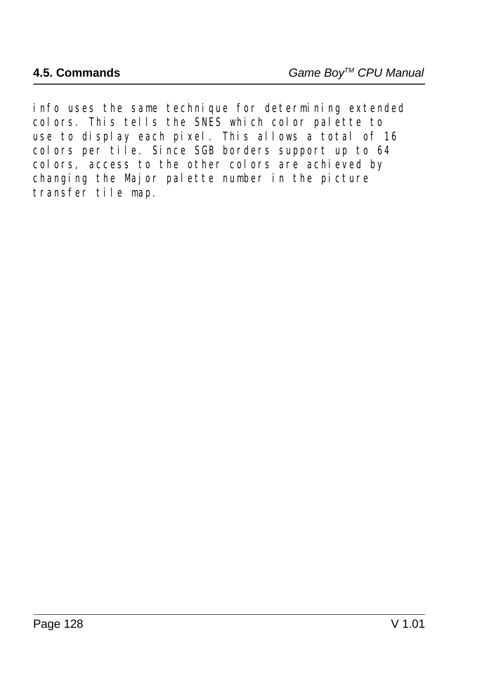info uses the same technique for determining extended colors. This tells the SNES which color palette to use to display each pixel. This allows a total of 16 colors per tile. Since SGB borders support up to 64 colors, access to the other colors are achieved by changing the Major palette number in the picture transfer tile map.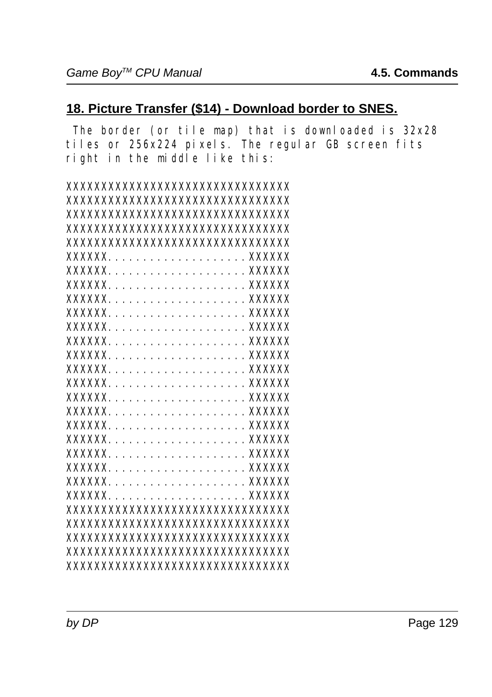#### **18. Picture Transfer (\$14) - Download border to SNES.**

 The border (or tile map) that is downloaded is 32x28 tiles or 256x224 pixels. The regular GB screen fits right in the middle like this:

| XXXXXXXXXXXXXXXXXXXXXXXXXXXXXXXX  |
|-----------------------------------|
| XXXXXXXXXXXXXXXXXXXXXXXXXXXXXXXXX |
| XXXXXXXXXXXXXXXXXXXXXXXXXXXXXXXXX |
| XXXXXXXXXXXXXXXXXXXXXXXXXXXXXXXX  |
| XXXXXXXXXXXXXXXXXXXXXXXXXXXXXXXXX |
| XXXXXX.                           |
| <b>XXXXXX</b>                     |
| <b>XXXXXX</b>                     |
| <b>XXXXXX</b>                     |
| <b>XXXXXX</b>                     |
| <b>XXXXXX</b>                     |
| <b>XXXXXX</b>                     |
| <b>XXXXXX</b>                     |
| <b>XXXXXX</b>                     |
| <b>XXXXXX</b>                     |
| XXXXXX.                           |
| <b>XXXXXX</b>                     |
| <b>XXXXXX</b>                     |
| XXXXXX.                           |
| <b>XXXXXX</b>                     |
| <b>XXXXXX</b>                     |
| <b>XXXXXX</b>                     |
| XXXXXX.                           |
| XXXXXXXXXXXXXXXXXXXXXXXXXXXXXXXX  |
| XXXXXXXXXXXXXXXXXXXXXXXXXXXXXXXXX |
| XXXXXXXXXXXXXXXXXXXXXXXXXXXXXXXXX |
| XXXXXXXXXXXXXXXXXXXXXXXXXXXXXXXXX |
| XXXXXXXXXXXXXXXXXXXXXXXXXXXXXXXXX |
|                                   |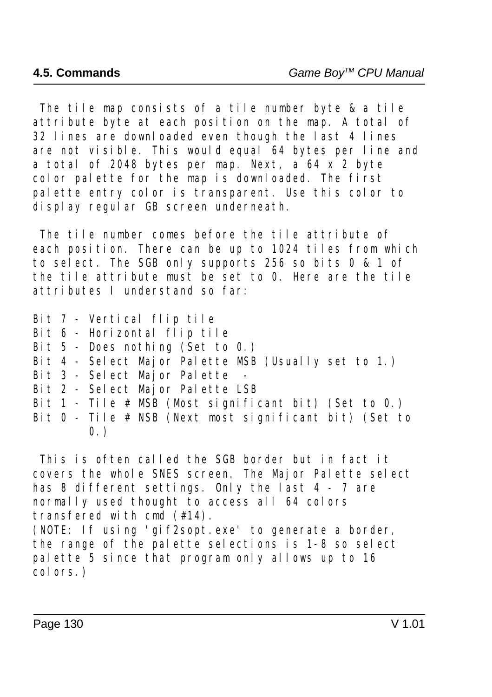The tile map consists of a tile number byte & a tile attribute byte at each position on the map. A total of 32 lines are downloaded even though the last 4 lines are not visible. This would equal 64 bytes per line and a total of 2048 bytes per map. Next,  $\alpha$  64 x 2 byte color palette for the map is downloaded. The first palette entry color is transparent. Use this color to display regular GB screen underneath.

 The tile number comes before the tile attribute of each position. There can be up to 1024 tiles from which to select. The SGB only supports 256 so bits 0 & 1 of the tile attribute must be set to 0. Here are the tile attributes I understand so far:

- Bit 7 Vertical flip tile
- Bit 6 Horizontal flip tile
- Bit  $5$  Does nothing (Set to 0.)
- Bit 4 Select Major Palette MSB (Usually set to 1.)
- Bit 3 Select Major Palette
- Bit 2 Select Major Palette LSB
- Bit 1 Tile  $# \overrightarrow{MSB}$  (Most significant bit) (Set to 0.)
- Bit 0 Tile # NSB (Next most significant bit) (Set to  $0.$ )

 This is often called the SGB border but in fact it covers the whole SNES screen. The Major Palette select has 8 different settings. Only the last 4 - 7 are normally used thought to access all 64 colors transfered with cmd (#14).

(NOTE: If using 'gif2sopt.exe' to generate a border, the range of the palette selections is 1-8 so select palette 5 since that program only allows up to 16 colors.)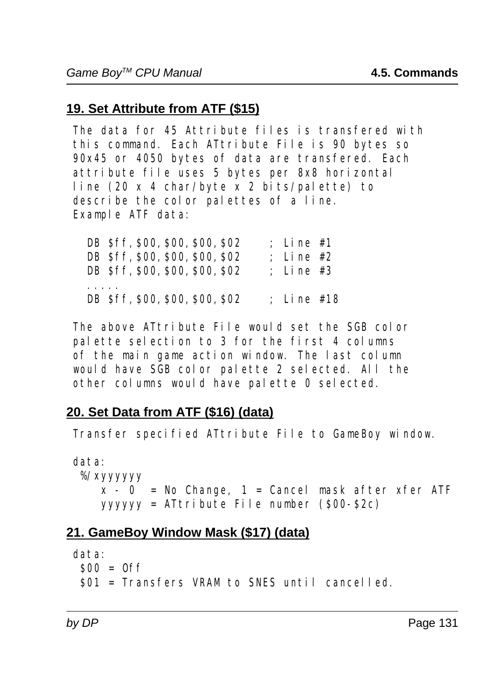# **19. Set Attribute from ATF (\$15)**

 The data for 45 Attribute files is transfered with this command. Each ATtribute File is 90 bytes so 90x45 or 4050 bytes of data are transfered. Each attribute file uses 5 bytes per 8x8 horizontal line (20 x 4 char/byte x 2 bits/palette) to describe the color palettes of a line. Example ATF data:

| DB \$ff, \$00, \$00, \$00, \$02 | : Line $#1$  |
|---------------------------------|--------------|
| DB \$ff, \$00, \$00, \$00, \$02 | ; Line $#2$  |
| DB Sff, \$00, \$00, \$00, \$02  | ; Line $#3$  |
|                                 |              |
| DB \$ff, \$00, \$00, \$00, \$02 | ; Line $#18$ |

 The above ATtribute File would set the SGB color palette selection to 3 for the first 4 columns of the main game action window. The last column would have SGB color palette 2 selected. All the other columns would have palette 0 selected.

# **20. Set Data from ATF (\$16) (data)**

Transfer specified ATtribute File to GameBoy window.

 data: %/xyyyyyy  $x - 0$  = No Change, 1 = Cancel mask after xfer ATF yyyyyy = ATtribute File number (\$00-\$2c)

# **21. GameBoy Window Mask (\$17) (data)**

 data:  $$00 = 0$ ff \$01 = Transfers VRAM to SNES until cancelled.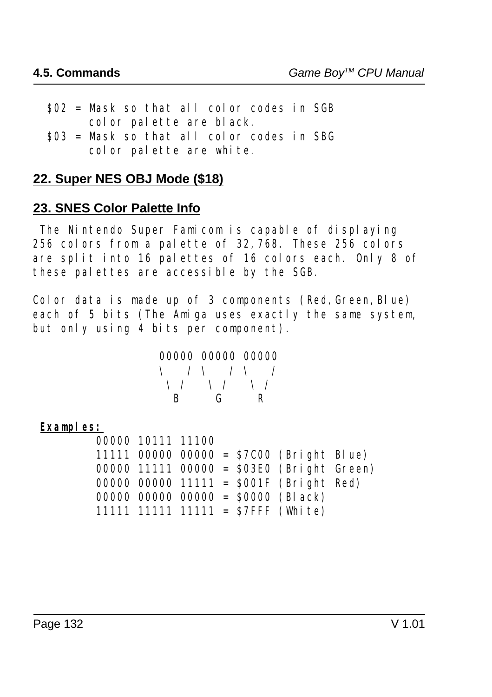- $$02$  = Mask so that all color codes in SGB color palette are black.
- \$03 = Mask so that all color codes in SBG color palette are white.

### **22. Super NES OBJ Mode (\$18)**

#### **23. SNES Color Palette Info**

 The Nintendo Super Famicom is capable of displaying 256 colors from a palette of 32,768. These 256 colors are split into 16 palettes of 16 colors each. Only 8 of these palettes are accessible by the SGB.

Color data is made up of 3 components (Red, Green, Blue) each of 5 bits (The Amiga uses exactly the same system, but only using 4 bits per component).

|  |  | 00000 00000 00000                       |                               |                                           |
|--|--|-----------------------------------------|-------------------------------|-------------------------------------------|
|  |  |                                         |                               | $\setminus$ / $\setminus$ / $\setminus$ / |
|  |  | $\setminus$ / $\setminus$ / $\setminus$ |                               |                                           |
|  |  |                                         | $\mathbf{G}$ and $\mathbf{G}$ | R                                         |

#### **Examples:**

|  | 00000 10111 11100 |  |                                              |  |
|--|-------------------|--|----------------------------------------------|--|
|  |                   |  | 11111 00000 00000 = $$7C00$ (Bright Blue)    |  |
|  |                   |  | $00000$ 11111 $00000 = $03E0$ (Bright Green) |  |
|  |                   |  | 00000 00000 11111 = $$001F$ (Bright Red)     |  |
|  |                   |  | 00000 00000 00000 = $$0000$ (Black)          |  |
|  |                   |  | 11111 11111 11111 = $$7$ FFF (White)         |  |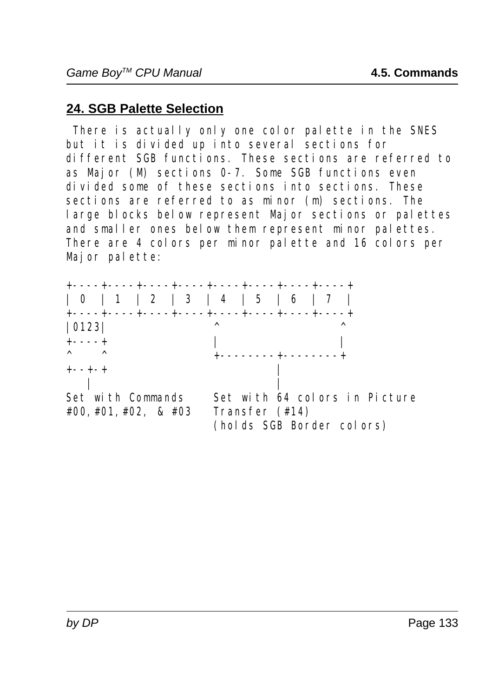# **24. SGB Palette Selection**

 There is actually only one color palette in the SNES but it is divided up into several sections for different SGB functions. These sections are referred to as Major (M) sections 0-7. Some SGB functions even divided some of these sections into sections. These sections are referred to as minor (m) sections. The large blocks below represent Major sections or palettes and smaller ones below them represent minor palettes. There are 4 colors per minor palette and 16 colors per Major palette:

| 0123 <br>$+---++$                                |  | ∧ |                                |  | ∧ |                                                            |  |
|--------------------------------------------------|--|---|--------------------------------|--|---|------------------------------------------------------------|--|
| $\wedge$ $\wedge$<br>$+- - + - +$                |  |   | ------- <del>+</del> --------+ |  |   |                                                            |  |
| Set with Commands<br>$\#00, \#01, \#02, \& \#03$ |  |   | Transfer (#14)                 |  |   | Set with 64 colors in Picture<br>(holds SGB Border colors) |  |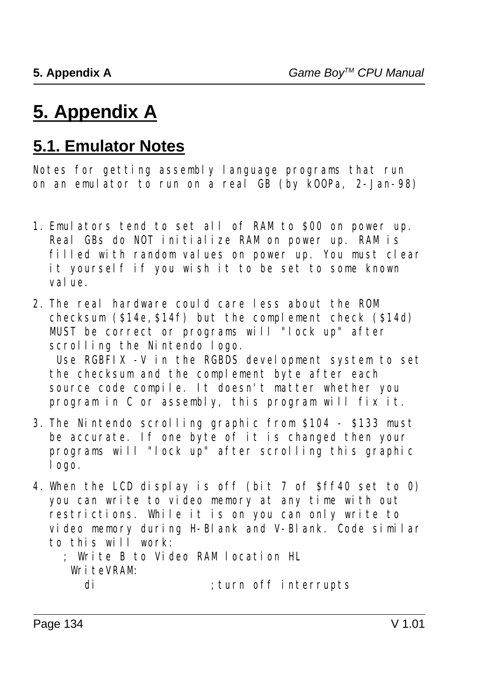# **5. Appendix A**

# **5.1. Emulator Notes**

Notes for getting assembly language programs that run on an emulator to run on a real GB (by kOOPa, 2-Jan-98)

- 1. Emulators tend to set all of RAM to \$00 on power up. Real GBs do NOT initialize RAM on power up. RAM is filled with random values on power up. You must clear it yourself if you wish it to be set to some known value.
- 2. The real hardware could care less about the ROM checksum (\$14e,\$14f) but the complement check (\$14d) MUST be correct or programs will "lock up" after scrolling the Nintendo logo. Use RGBFIX -V in the RGBDS development system to set the checksum and the complement byte after each source code compile. It doesn't matter whether you program in C or assembly, this program will fix it.
- 3. The Nintendo scrolling graphic from \$104 \$133 must be accurate. If one byte of it is changed then your programs will "lock up" after scrolling this graphic logo.
- 4. When the LCD display is off (bit 7 of \$ff40 set to 0) you can write to video memory at any time with out restrictions. While it is on you can only write to video memory during H-Blank and V-Blank. Code similar to this will work:

#### ; Write B to Video RAM location HL WriteVRAM: di ; turn off interrupts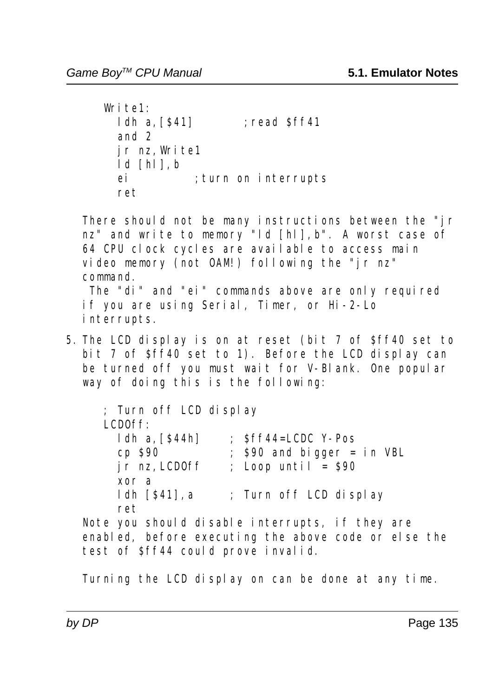```
Write1:
 ldh a, [$41] ; read $ff41
  and 2
  jr nz,Write1
  ld [hl],b
  ei ;turn on interrupts
  ret
```
There should not be many instructions between the "jr nz" and write to memory "ld [hl], b". A worst case of 64 CPU clock cycles are available to access main video memory (not OAM!) following the "jr nz" command. The "di" and "ei" commands above are only required if you are using Serial, Timer, or Hi-2-Lo

- interrupts.
- 5. The LCD display is on at reset (bit 7 of \$ff40 set to bit 7 of  $sfr40$  set to 1). Before the LCD display can be turned off you must wait for V-Blank. One popular way of doing this is the following:

 ; Turn off LCD display LCDOff: ldh a,[\$44h] ; \$ff44=LCDC Y-Pos cp  $\$90$  ;  $\$90$  and bigger = in VBL  $\overline{\text{ir}}$  nz, LCDOff ; Loop until = \$90 xor a ldh [\$41],a ; Turn off LCD display ret Note you should disable interrupts, if they are enabled, before executing the above code or else the test of \$ff44 could prove invalid.

Turning the LCD display on can be done at any time.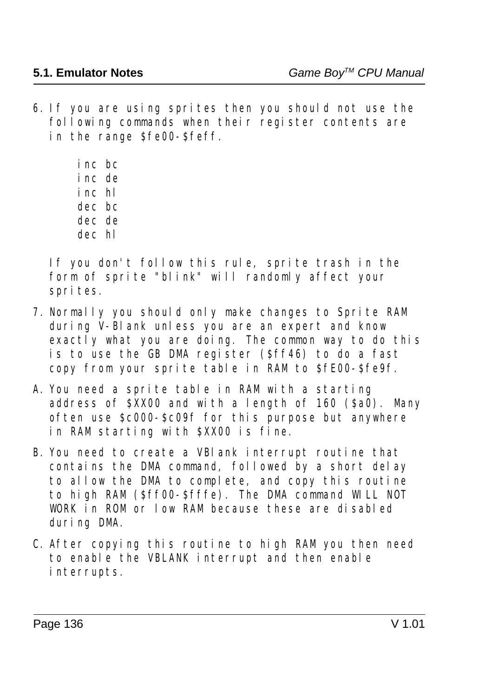6. If you are using sprites then you should not use the  $f$ ollowing commands when their register contents are in the range \$fe00-\$feff.

> inc bc inc de inc hl dec bc dec de dec hl

If you don't follow this rule, sprite trash in the form of sprite "blink" will randomly affect your sprites.

- 7. Normally you should only make changes to Sprite RAM during V-Blank unless you are an expert and know exactly what you are doing. The common way to do this is to use the GB DMA register (\$ff46) to do a fast copy from your sprite table in RAM to \$fE00-\$fe9f.
- A. You need a sprite table in RAM with a starting address of  $\hat{S}$ XX00 and with a length of 160 ( $\hat{S}$ a0). Many often use \$c000-\$c09f for this purpose but anywhere in RAM starting with \$XX00 is fine.
- B. You need to create a VBlank interrupt routine that contains the DMA command, followed by a short delay to allow the DMA to complete, and copy this routine to high RAM (\$ff00-\$fffe). The DMA command WILL NOT WORK in ROM or low RAM because these are disabled during DMA.
- C. After copying this routine to high RAM you then need to enable the VBLANK interrupt and then enable interrupts.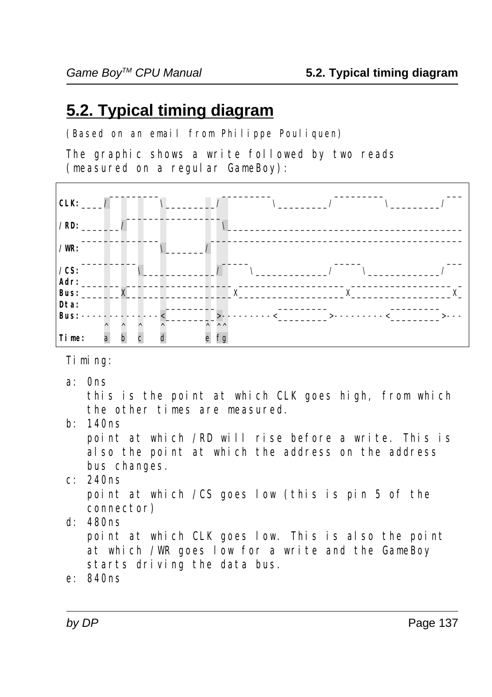# **5.2. Typical timing diagram**

(Based on an email from Philippe Pouliquen)

The graphic shows a write followed by two reads (measured on a regular GameBoy):



Timing:

a: 0ns

 this is the point at which CLK goes high, from which the other times are measured.

b: 140ns

 point at which /RD will rise before a write. This is also the point at which the address on the address bus changes.

c: 240ns

 point at which /CS goes low (this is pin 5 of the connector)

d: 480ns

 point at which CLK goes low. This is also the point at which /WR goes low for a write and the GameBoy starts driving the data bus.

e: 840ns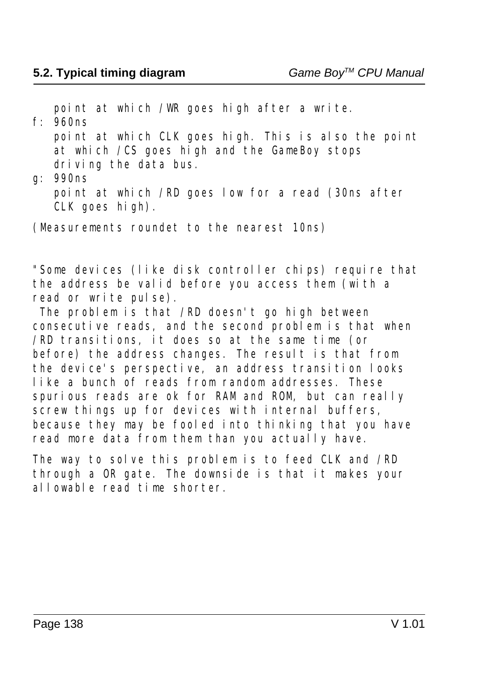point at which /WR goes high after a write.

f: 960ns point at which CLK goes high. This is also the point at which  $/CS$  goes high and the GameBoy stops driving the data bus.

g: 990ns point at which /RD goes low for a read (30ns after CLK goes high).

(Measurements roundet to the nearest 10ns)

"Some devices (like disk controller chips) require that the address be valid before you access them (with a read or write pulse).

 The problem is that /RD doesn't go high between consecutive reads, and the second problem is that when /RD transitions, it does so at the same time (or before) the address changes. The result is that from the device's perspective, an address transition looks like a bunch of reads from random addresses. These spurious reads are ok for RAM and ROM, but can really screw things up for devices with internal buffers, because they may be fooled into thinking that you have read more data from them than you actually have.

The way to solve this problem is to feed CLK and /RD through a OR gate. The downside is that it makes your allowable read time shorter.